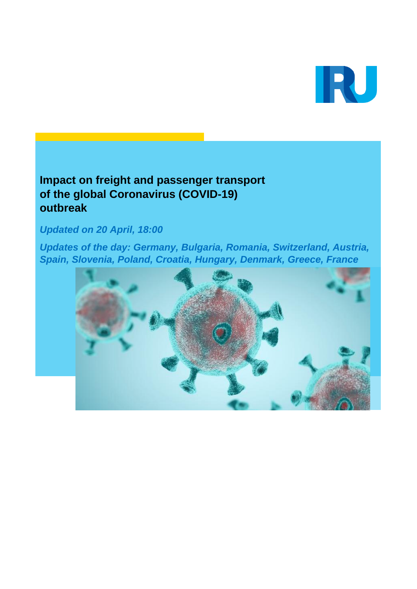

# **Impact on freight and passenger transport of the global Coronavirus (COVID-19) outbreak**

## *Updated on 20 April, 18:00*

*Updates of the day: Germany, Bulgaria, Romania, Switzerland, Austria, Spain, Slovenia, Poland, Croatia, Hungary, Denmark, Greece, France*

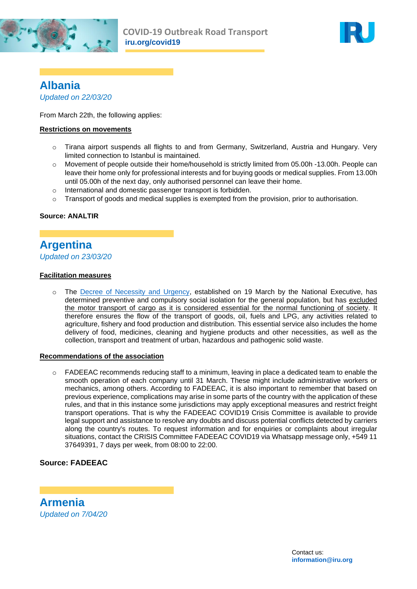



## **Albania**

*Updated on 22/03/20*

From March 22th, the following applies:

#### **Restrictions on movements**

- o Tirana airport suspends all flights to and from Germany, Switzerland, Austria and Hungary. Very limited connection to Istanbul is maintained.
- o Movement of people outside their home/household is strictly limited from 05.00h -13.00h. People can leave their home only for professional interests and for buying goods or medical supplies. From 13.00h until 05.00h of the next day, only authorised personnel can leave their home.
- o International and domestic passenger transport is forbidden.
- $\circ$  Transport of goods and medical supplies is exempted from the provision, prior to authorisation.

#### **Source: ANALTIR**

### **Argentina** *Updated on 23/03/20*

#### **Facilitation measures**

o The [Decree of Necessity and Urgency,](https://www.boletinoficial.gob.ar/detalleAviso/primera/227042/20200320) established on 19 March by the National Executive, has determined preventive and compulsory social isolation for the general population, but has excluded the motor transport of cargo as it is considered essential for the normal functioning of society. It therefore ensures the flow of the transport of goods, oil, fuels and LPG, any activities related to agriculture, fishery and food production and distribution. This essential service also includes the home delivery of food, medicines, cleaning and hygiene products and other necessities, as well as the collection, transport and treatment of urban, hazardous and pathogenic solid waste.

#### **Recommendations of the association**

 $\circ$  FADEEAC recommends reducing staff to a minimum, leaving in place a dedicated team to enable the smooth operation of each company until 31 March. These might include administrative workers or mechanics, among others, According to FADEEAC, it is also important to remember that based on previous experience, complications may arise in some parts of the country with the application of these rules, and that in this instance some jurisdictions may apply exceptional measures and restrict freight transport operations. That is why the FADEEAC COVID19 Crisis Committee is available to provide legal support and assistance to resolve any doubts and discuss potential conflicts detected by carriers along the country's routes. To request information and for enquiries or complaints about irregular situations, contact the CRISIS Committee FADEEAC COVID19 via Whatsapp message only, +549 11 37649391, 7 days per week, from 08:00 to 22:00.

#### **Source: FADEEAC**

**Armenia** *Updated on 7/04/20*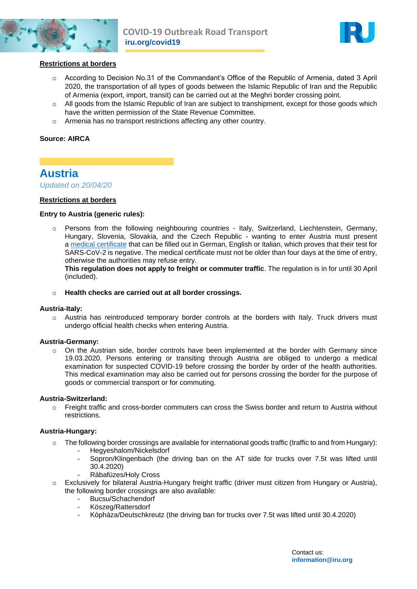



#### **Restrictions at borders**

- o According to Decision No.31 of the Commandant's Office of the Republic of Armenia, dated 3 April 2020, the transportation of all types of goods between the Islamic Republic of Iran and the Republic of Armenia (export, import, transit) can be carried out at the Meghri border crossing point.
- $\circ$  All goods from the Islamic Republic of Iran are subject to transhipment, except for those goods which have the written permission of the State Revenue Committee.
- o Armenia has no transport restrictions affecting any other country.

#### **Source: AIRCA**

### **Austria**

#### *Updated on 20/04/20*

#### **Restrictions at borders**

#### **Entry to Austria (generic rules):**

o Persons from the following neighbouring countries - Italy, Switzerland, Liechtenstein, Germany, Hungary, Slovenia, Slovakia, and the Czech Republic - wanting to enter Austria must present a [medical certificate](https://www.wko.at/service/II_87_2020_Anlage_A.pdf) that can be filled out in German, English or Italian, which proves that their test for SARS-CoV-2 is negative. The medical certificate must not be older than four days at the time of entry, otherwise the authorities may refuse entry.

**This regulation does not apply to freight or commuter traffic**. The regulation is in for until 30 April (included).

#### o **Health checks are carried out at all border crossings.**

#### **Austria-Italy:**

o Austria has reintroduced temporary border controls at the borders with Italy. Truck drivers must undergo official health checks when entering Austria.

#### **Austria-Germany:**

 $\circ$  On the Austrian side, border controls have been implemented at the border with Germany since 19.03.2020. Persons entering or transiting through Austria are obliged to undergo a medical examination for suspected COVID-19 before crossing the border by order of the health authorities. This medical examination may also be carried out for persons crossing the border for the purpose of goods or commercial transport or for commuting.

#### **Austria-Switzerland:**

 $\circ$  Freight traffic and cross-border commuters can cross the Swiss border and return to Austria without restrictions.

#### **Austria-Hungary:**

- $\circ$  The following border crossings are available for international goods traffic (traffic to and from Hungary):
	- Hegyeshalom/Nickelsdorf
	- Sopron/Klingenbach (the driving ban on the AT side for trucks over 7.5t was lifted until 30.4.2020)
	- Rábafüzes/Holy Cross
- o Exclusively for bilateral Austria-Hungary freight traffic (driver must citizen from Hungary or Austria), the following border crossings are also available:
	- Bucsu/Schachendorf
	- Köszeg/Rattersdorf
	- Kópháza/Deutschkreutz (the driving ban for trucks over 7.5t was lifted until 30.4.2020)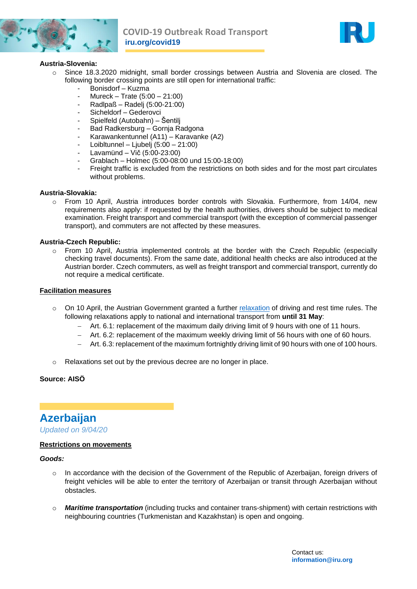



#### **Austria-Slovenia:**

- o Since 18.3.2020 midnight, small border crossings between Austria and Slovenia are closed. The following border crossing points are still open for international traffic:
	- Bonisdorf Kuzma
	- Mureck Trate (5:00 21:00)
	- Radlpaß Radeli (5:00-21:00)
	- Sicheldorf Gederovci
	- Spielfeld (Autobahn) Šentilj
	- Bad Radkersburg Gornja Radgona
	- Karawankentunnel (A11) Karavanke (A2)
	- Loibltunnel Ljubelj (5:00 21:00)
	- Lavamünd Vič  $(5:00-23:00)$
	- Grablach Holmec (5:00-08:00 und 15:00-18:00)
	- Freight traffic is excluded from the restrictions on both sides and for the most part circulates without problems.

#### **Austria-Slovakia:**

 $\circ$  From 10 April, Austria introduces border controls with Slovakia. Furthermore, from 14/04, new requirements also apply: if requested by the health authorities, drivers should be subject to medical examination. Freight transport and commercial transport (with the exception of commercial passenger transport), and commuters are not affected by these measures.

#### **Austria-Czech Republic:**

o From 10 April, Austria implemented controls at the border with the Czech Republic (especially checking travel documents). From the same date, additional health checks are also introduced at the Austrian border. Czech commuters, as well as freight transport and commercial transport, currently do not require a medical certificate.

#### **Facilitation measures**

- o On 10 April, the Austrian Government granted a further [relaxation](https://www.iru.org/apps/cms-filesystem-action?file=/flashinfo/Erlass_Ruhezeiten_20200410.pdf) of driving and rest time rules. The following relaxations apply to national and international transport from **until 31 May**:
	- Art. 6.1: replacement of the maximum daily driving limit of 9 hours with one of 11 hours.
	- Art. 6.2: replacement of the maximum weekly driving limit of 56 hours with one of 60 hours.
	- Art. 6.3: replacement of the maximum fortnightly driving limit of 90 hours with one of 100 hours.
- o Relaxations set out by the previous decree are no longer in place.

**Source: AISÖ**

## **Azerbaijan**

*Updated on 9/04/20*

#### **Restrictions on movements**

#### *Goods:*

- In accordance with the decision of the Government of the Republic of Azerbaijan, foreign drivers of freight vehicles will be able to enter the territory of Azerbaijan or transit through Azerbaijan without obstacles.
- o *Maritime transportation* (including trucks and container trans-shipment) with certain restrictions with neighbouring countries (Turkmenistan and Kazakhstan) is open and ongoing.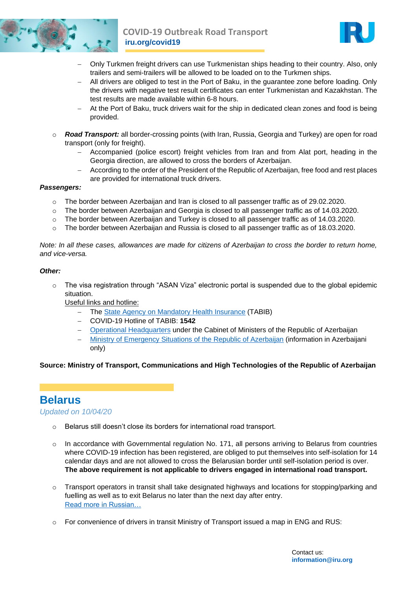



- Only Turkmen freight drivers can use Turkmenistan ships heading to their country. Also, only trailers and semi-trailers will be allowed to be loaded on to the Turkmen ships.
- All drivers are obliged to test in the Port of Baku, in the guarantee zone before loading. Only the drivers with negative test result certificates can enter Turkmenistan and Kazakhstan. The test results are made available within 6-8 hours.
- At the Port of Baku, truck drivers wait for the ship in dedicated clean zones and food is being provided.
- o *Road Transport:* all border-crossing points (with Iran, Russia, Georgia and Turkey) are open for road transport (only for freight).
	- Accompanied (police escort) freight vehicles from Iran and from Alat port, heading in the Georgia direction, are allowed to cross the borders of Azerbaijan.
	- According to the order of the President of the Republic of Azerbaijan, free food and rest places are provided for international truck drivers.

#### *Passengers:*

- o The border between Azerbaijan and Iran is closed to all passenger traffic as of 29.02.2020.
- o The border between Azerbaijan and Georgia is closed to all passenger traffic as of 14.03.2020.
- o The border between Azerbaijan and Turkey is closed to all passenger traffic as of 14.03.2020.
- o The border between Azerbaijan and Russia is closed to all passenger traffic as of 18.03.2020.

*Note: In all these cases, allowances are made for citizens of Azerbaijan to cross the border to return home, and vice-versa.*

#### *Other:*

 $\circ$  The visa registration through "ASAN Viza" electronic portal is suspended due to the global epidemic situation.

Useful links and hotline:

- The [State Agency on Mandatory Health Insurance](https://its.gov.az/page/general-situation-in-the-country) (TABIB)
- COVID-19 Hotline of TABIB: **1542**
- [Operational Headquarters](https://nk.gov.az/en/) under the Cabinet of Ministers of the Republic of Azerbaijan
- [Ministry of Emergency Situations of the Republic of Azerbaijan](http://www.koronavirusinfo.az/) (information in Azerbaijani only)

#### **Source: Ministry of Transport, Communications and High Technologies of the Republic of Azerbaijan**

## **Belarus**

*Updated on 10/04/20*

- o Belarus still doesn't close its borders for international road transport.
- $\circ$  In accordance with Governmental regulation No. 171, all persons arriving to Belarus from countries where COVID-19 infection has been registered, are obliged to put themselves into self-isolation for 14 calendar days and are not allowed to cross the Belarusian border until self-isolation period is over. **The above requirement is not applicable to drivers engaged in international road transport.**
- o Transport operators in transit shall take designated highways and locations for stopping/parking and fuelling as well as to exit Belarus no later than the next day after entry. [Read more in Russian…](http://bamap.org/information/news/2020_03_27_117994/)
- $\circ$  For convenience of drivers in transit Ministry of Transport issued a map in ENG and RUS: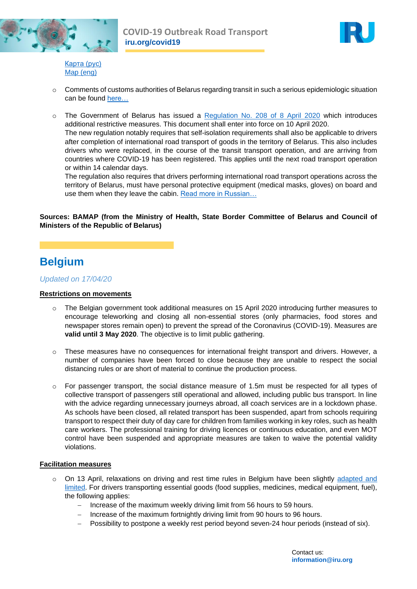



[Карта](https://yadi.sk/i/ReRbBcazi5aE5Q) (рус) [Map \(eng\)](https://yadi.sk/i/kkMS2hnATmaimA)

- $\circ$  Comments of customs authorities of Belarus regarding transit in such a serious epidemiologic situation can be found [here…](http://bamap.org/information/news/2020_04_03_118280/)
- $\circ$  The Government of Belarus has issued a [Regulation No. 208 of 8 April 2020](http://pravo.by/document/?guid=12551&p0=C22000208&p1=1&p5=0) which introduces additional restrictive measures. This document shall enter into force on 10 April 2020. The new regulation notably requires that self-isolation requirements shall also be applicable to drivers after completion of international road transport of goods in the territory of Belarus. This also includes drivers who were replaced, in the course of the transit transport operation, and are arriving from countries where COVID-19 has been registered. This applies until the next road transport operation or within 14 calendar days.

The regulation also requires that drivers performing international road transport operations across the territory of Belarus, must have personal protective equipment (medical masks, gloves) on board and use them when they leave the cabin. [Read more in Russian…](http://bamap.org/information/news/2020_04_09_118528/)

#### **Sources: BAMAP (from the Ministry of Health, State Border Committee of Belarus and Council of Ministers of the Republic of Belarus)**

# **Belgium**

#### *Updated on 17/04/20*

#### **Restrictions on movements**

- The Belgian government took additional measures on 15 April 2020 introducing further measures to encourage teleworking and closing all non-essential stores (only pharmacies, food stores and newspaper stores remain open) to prevent the spread of the Coronavirus (COVID-19). Measures are **valid until 3 May 2020**. The objective is to limit public gathering.
- $\circ$  These measures have no consequences for international freight transport and drivers. However, a number of companies have been forced to close because they are unable to respect the social distancing rules or are short of material to continue the production process.
- o For passenger transport, the social distance measure of 1.5m must be respected for all types of collective transport of passengers still operational and allowed, including public bus transport. In line with the advice regarding unnecessary journeys abroad, all coach services are in a lockdown phase. As schools have been closed, all related transport has been suspended, apart from schools requiring transport to respect their duty of day care for children from families working in key roles, such as health care workers. The professional training for driving licences or continuous education, and even MOT control have been suspended and appropriate measures are taken to waive the potential validity violations.

#### **Facilitation measures**

- On 13 April, relaxations on driving and rest time rules in Belgium have been slightly adapted and [limited.](https://www.iru.org/apps/cms-filesystem-action?file=/flashinfo/Prolongation%20tcr%20Belgique.pdf) For drivers transporting essential goods (food supplies, medicines, medical equipment, fuel), the following applies:
	- Increase of the maximum weekly driving limit from 56 hours to 59 hours.
	- Increase of the maximum fortnightly driving limit from 90 hours to 96 hours.
	- Possibility to postpone a weekly rest period beyond seven-24 hour periods (instead of six).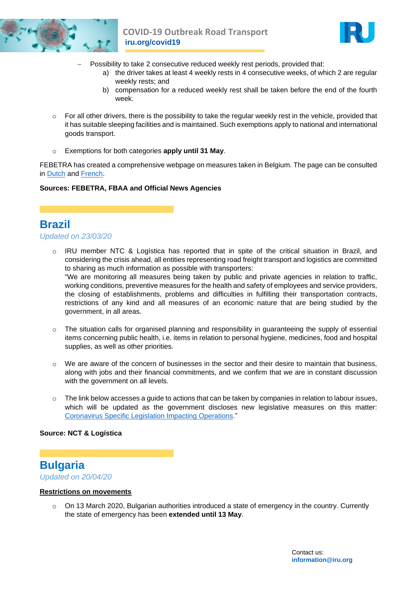



- Possibility to take 2 consecutive reduced weekly rest periods, provided that:
	- a) the driver takes at least 4 weekly rests in 4 consecutive weeks, of which 2 are regular weekly rests; and
	- b) compensation for a reduced weekly rest shall be taken before the end of the fourth week.
- $\circ$  For all other drivers, there is the possibility to take the regular weekly rest in the vehicle, provided that it has suitable sleeping facilities and is maintained. Such exemptions apply to national and international goods transport.
- Exemptions for both categories **apply until 31 May.**

FEBETRA has created a comprehensive webpage on measures taken in Belgium. The page can be consulted in [Dutch](https://febetra.be/belgie/) and [French.](https://febetra.be/fr/belgique/)

#### **Sources: FEBETRA, FBAA and Official News Agencies**

## **Brazil**

#### *Updated on 23/03/20*

- IRU member NTC & Logística has reported that in spite of the critical situation in Brazil, and considering the crisis ahead, all entities representing road freight transport and logistics are committed to sharing as much information as possible with transporters: "We are monitoring all measures being taken by public and private agencies in relation to traffic, working conditions, preventive measures for the health and safety of employees and service providers, the closing of establishments, problems and difficulties in fulfilling their transportation contracts, restrictions of any kind and all measures of an economic nature that are being studied by the government, in all areas.
- $\circ$  The situation calls for organised planning and responsibility in guaranteeing the supply of essential items concerning public health, i.e. items in relation to personal hygiene, medicines, food and hospital supplies, as well as other priorities.
- o We are aware of the concern of businesses in the sector and their desire to maintain that business, along with jobs and their financial commitments, and we confirm that we are in constant discussion with the government on all levels.
- $\circ$  The link below accesses a guide to actions that can be taken by companies in relation to labour issues, which will be updated as the government discloses new legislative measures on this matter: [Coronavirus Specific Legislation Impacting Operations.](http://t.email.portalntc.org.br/ls/click?upn=z-2BhzRxWdk5v4-2FGjSrhULsRv74gJMQvsdJOUjmcPxbGWdw9wH4pGREUMJUdAa44cZgOTJ9qXJ-2BAi4tPo7MhAprGKMUQOkGsSjvaIaLZ5LUl0SMNRlMmoUFhbgm9mMv2Xp6FkTYkN5LuJn-2FPr7z54USYE82EKw7a-2FmEtFaJvdzdbmyXcE-2B0R7QzDbhAdV318bL1-2FXP1R7IsUwtAzEw5m5PHA-3D-3D7NAV_BzL71Iq2G9-2F1EmNzIPxI-2B2HmHA44GiXxt4A8ICgEG3P1wENSkyqtZDJ2oELfUA-2FZhjQm8Hr29rkpugJu9EdTHn-2Bis1SpbDeLdKbYmM4nqU1KlN0qRWDcHHbQZfHHayu0NdQH5StZgyYn-2F-2BG2ykC-2F9aRnUZTutibKNhNTuPyKuFwoKMhQGS1tqbZUBLGQKAM150WovwtuEK-2BZzcEIZfeM3exVb-2FWBRF-2FChfE2msXKY-2FlFRUWaEuwMcdsMKwjwP3SFXu4brmby08qC4mXau3RCRJXW8vwJMHXMoS3oRz5o-2FgJkmHfVXorxix0YCF88xIOgQI8jUNI-2FDdcfUB03q9iFCRVjFY3oWsoXRcz0Ij9tMPxy1kZj-2Bh55w4VpoYjW0AiVHgksrTI2k0VGfdv2ArMV9iKc-2FDEIttaFsZU4K-2FPC8B94FrhTeo6bIQrYwonnLTsgPXuXDDX5X4NsuG-2FOHrK0pYmQY15O5N0nwnOB2GZoJDWuVmnWDerG3rmDgA-2FFx4FXFTg-2FbRIDEcLI1vHuzcNY3Q-3D-3D)"

#### **Source: NCT & Logística**

## **Bulgaria**

*Updated on 20/04/20*

#### **Restrictions on movements**

 $\circ$  On 13 March 2020, Bulgarian authorities introduced a state of emergency in the country. Currently the state of emergency has been **extended until 13 May**.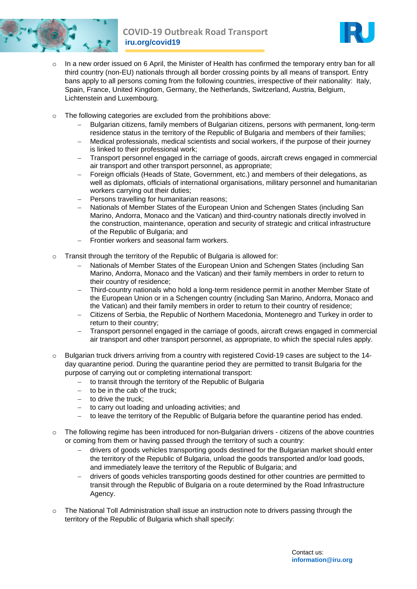



- $\circ$  In a new order issued on 6 April, the Minister of Health has confirmed the temporary entry ban for all third country (non-EU) nationals through all border crossing points by all means of transport. Entry bans apply to all persons coming from the following countries, irrespective of their nationality: Italy, Spain, France, United Kingdom, Germany, the Netherlands, Switzerland, Austria, Belgium, Lichtenstein and Luxembourg.
- o The following categories are excluded from the prohibitions above:
	- Bulgarian citizens, family members of Bulgarian citizens, persons with permanent, long-term residence status in the territory of the Republic of Bulgaria and members of their families;
	- Medical professionals, medical scientists and social workers, if the purpose of their journey is linked to their professional work;
	- Transport personnel engaged in the carriage of goods, aircraft crews engaged in commercial air transport and other transport personnel, as appropriate;
	- Foreign officials (Heads of State, Government, etc.) and members of their delegations, as well as diplomats, officials of international organisations, military personnel and humanitarian workers carrying out their duties;
	- Persons travelling for humanitarian reasons;
	- Nationals of Member States of the European Union and Schengen States (including San Marino, Andorra, Monaco and the Vatican) and third-country nationals directly involved in the construction, maintenance, operation and security of strategic and critical infrastructure of the Republic of Bulgaria; and
	- Frontier workers and seasonal farm workers.
- o Transit through the territory of the Republic of Bulgaria is allowed for:
	- Nationals of Member States of the European Union and Schengen States (including San Marino, Andorra, Monaco and the Vatican) and their family members in order to return to their country of residence;
	- Third-country nationals who hold a long-term residence permit in another Member State of the European Union or in a Schengen country (including San Marino, Andorra, Monaco and the Vatican) and their family members in order to return to their country of residence;
	- Citizens of Serbia, the Republic of Northern Macedonia, Montenegro and Turkey in order to return to their country;
	- Transport personnel engaged in the carriage of goods, aircraft crews engaged in commercial air transport and other transport personnel, as appropriate, to which the special rules apply.
- o Bulgarian truck drivers arriving from a country with registered Covid-19 cases are subject to the 14 day quarantine period. During the quarantine period they are permitted to transit Bulgaria for the purpose of carrying out or completing international transport:
	- to transit through the territory of the Republic of Bulgaria
	- $-$  to be in the cab of the truck:
	- $-$  to drive the truck:
	- to carry out loading and unloading activities; and
	- to leave the territory of the Republic of Bulgaria before the quarantine period has ended.
- $\circ$  The following regime has been introduced for non-Bulgarian drivers citizens of the above countries or coming from them or having passed through the territory of such a country:
	- drivers of goods vehicles transporting goods destined for the Bulgarian market should enter the territory of the Republic of Bulgaria, unload the goods transported and/or load goods, and immediately leave the territory of the Republic of Bulgaria; and
	- drivers of goods vehicles transporting goods destined for other countries are permitted to transit through the Republic of Bulgaria on a route determined by the Road Infrastructure Agency.
- $\circ$  The National Toll Administration shall issue an instruction note to drivers passing through the territory of the Republic of Bulgaria which shall specify: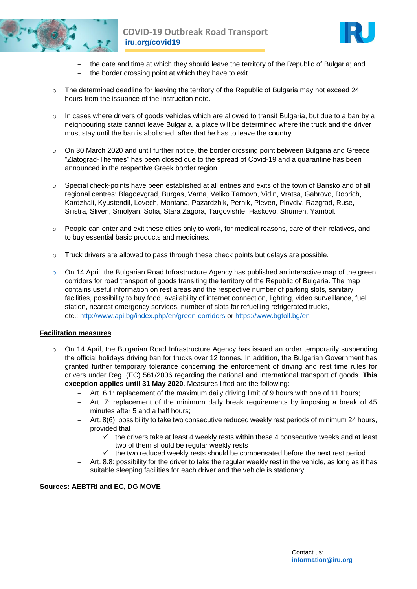



- the date and time at which they should leave the territory of the Republic of Bulgaria; and
- $-$  the border crossing point at which they have to exit.
- $\circ$  The determined deadline for leaving the territory of the Republic of Bulgaria may not exceed 24 hours from the issuance of the instruction note.
- $\circ$  In cases where drivers of goods vehicles which are allowed to transit Bulgaria, but due to a ban by a neighbouring state cannot leave Bulgaria, a place will be determined where the truck and the driver must stay until the ban is abolished, after that he has to leave the country.
- $\circ$  On 30 March 2020 and until further notice, the border crossing point between Bulgaria and Greece "Zlatograd-Thermes" has been closed due to the spread of Covid-19 and a quarantine has been announced in the respective Greek border region.
- o Special check-points have been established at all entries and exits of the town of Bansko and of all regional centres: Blagoevgrad, Burgas, Varna, Veliko Tarnovo, Vidin, Vratsa, Gabrovo, Dobrich, Kardzhali, Kyustendil, Lovech, Montana, Pazardzhik, Pernik, Pleven, Plovdiv, Razgrad, Ruse, Silistra, Sliven, Smolyan, Sofia, Stara Zagora, Targovishte, Haskovo, Shumen, Yambol.
- $\circ$  People can enter and exit these cities only to work, for medical reasons, care of their relatives, and to buy essential basic products and medicines.
- $\circ$  Truck drivers are allowed to pass through these check points but delays are possible.
- $\circ$  On 14 April, the Bulgarian Road Infrastructure Agency has published an interactive map of the green corridors for road transport of goods transiting the territory of the Republic of Bulgaria. The map contains useful information on rest areas and the respective number of parking slots, sanitary facilities, possibility to buy food, availability of internet connection, lighting, video surveillance, fuel station, nearest emergency services, number of slots for refuelling refrigerated trucks, etc.: <http://www.api.bg/index.php/en/green-corridors> or <https://www.bgtoll.bg/en>

#### **Facilitation measures**

- o On 14 April, the Bulgarian Road Infrastructure Agency has issued an order temporarily suspending the official holidays driving ban for trucks over 12 tonnes. In addition, the Bulgarian Government has granted further temporary tolerance concerning the enforcement of driving and rest time rules for drivers under Reg. (EC) 561/2006 regarding the national and international transport of goods. **This exception applies until 31 May 2020**. Measures lifted are the following:
	- Art. 6.1: replacement of the maximum daily driving limit of 9 hours with one of 11 hours;
	- Art. 7: replacement of the minimum daily break requirements by imposing a break of 45 minutes after 5 and a half hours;
	- Art. 8(6): possibility to take two consecutive reduced weekly rest periods of minimum 24 hours, provided that
		- $\checkmark$  the drivers take at least 4 weekly rests within these 4 consecutive weeks and at least two of them should be regular weekly rests
		- $\checkmark$  the two reduced weekly rests should be compensated before the next rest period
	- Art. 8.8: possibility for the driver to take the regular weekly rest in the vehicle, as long as it has suitable sleeping facilities for each driver and the vehicle is stationary.

#### **Sources: AEBTRI and EC, DG MOVE**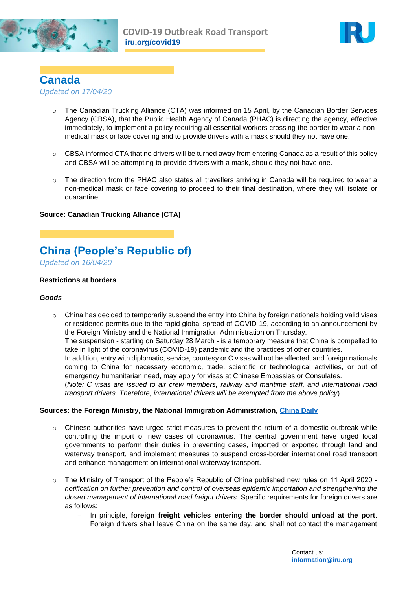



# **Canada**

#### *Updated on 17/04/20*

- o The Canadian Trucking Alliance (CTA) was informed on 15 April, by the Canadian Border Services Agency (CBSA), that the Public Health Agency of Canada (PHAC) is directing the agency, effective immediately, to implement a policy requiring all essential workers crossing the border to wear a nonmedical mask or face covering and to provide drivers with a mask should they not have one.
- $\circ$  CBSA informed CTA that no drivers will be turned away from entering Canada as a result of this policy and CBSA will be attempting to provide drivers with a mask, should they not have one.
- o The direction from the PHAC also states all travellers arriving in Canada will be required to wear a non-medical mask or face covering to proceed to their final destination, where they will isolate or quarantine.

#### **Source: Canadian Trucking Alliance (CTA)**

# **China (People's Republic of)**

*Updated on 16/04/20*

#### **Restrictions at borders**

#### *Goods*

 $\circ$  China has decided to temporarily suspend the entry into China by foreign nationals holding valid visas or residence permits due to the rapid global spread of COVID-19, according to an announcement by the Foreign Ministry and the National Immigration Administration on Thursday. The suspension - starting on Saturday 28 March - is a temporary measure that China is compelled to take in light of the coronavirus (COVID-19) pandemic and the practices of other countries. In addition, entry with diplomatic, service, courtesy or C visas will not be affected, and foreign nationals coming to China for necessary economic, trade, scientific or technological activities, or out of emergency humanitarian need, may apply for visas at Chinese Embassies or Consulates. (*Note: C visas are issued to air crew members, railway and maritime staff, and international road transport drivers. Therefore, international drivers will be exempted from the above policy*).

#### **Sources: the Foreign Ministry, the National Immigration Administration, [China Daily](http://www.chinadaily.com.cn/a/202003/27/WS5e7cd340a310128217282520.html)**

- o Chinese authorities have urged strict measures to prevent the return of a domestic outbreak while controlling the import of new cases of coronavirus. The central government have urged local governments to perform their duties in preventing cases, imported or exported through land and waterway transport, and implement measures to suspend cross-border international road transport and enhance management on international waterway transport.
- o The Ministry of Transport of the People's Republic of China published new rules on 11 April 2020 *notification on further prevention and control of overseas epidemic importation and strengthening the closed management of international road freight drivers*. Specific requirements for foreign drivers are as follows:
	- In principle, foreign freight vehicles entering the border should unload at the port. Foreign drivers shall leave China on the same day, and shall not contact the management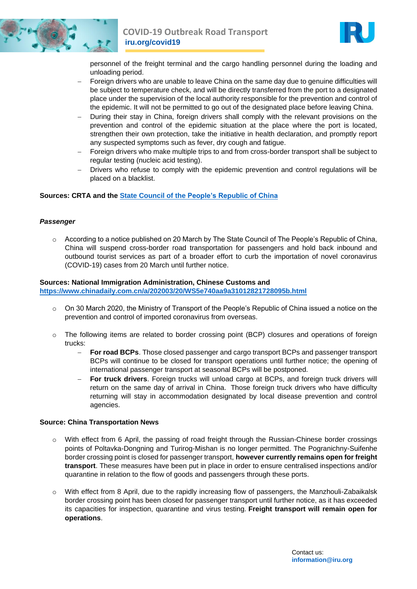



personnel of the freight terminal and the cargo handling personnel during the loading and unloading period.

- Foreign drivers who are unable to leave China on the same day due to genuine difficulties will be subject to temperature check, and will be directly transferred from the port to a designated place under the supervision of the local authority responsible for the prevention and control of the epidemic. It will not be permitted to go out of the designated place before leaving China.
- During their stay in China, foreign drivers shall comply with the relevant provisions on the prevention and control of the epidemic situation at the place where the port is located, strengthen their own protection, take the initiative in health declaration, and promptly report any suspected symptoms such as fever, dry cough and fatigue.
- Foreign drivers who make multiple trips to and from cross-border transport shall be subject to regular testing (nucleic acid testing).
- Drivers who refuse to comply with the epidemic prevention and control regulations will be placed on a blacklist.

#### **Sources: CRTA and the State Council of the [People's Republic of China](http://english.www.gov.cn/premier/news/202003/26/content_WS5e7caf41c6d0c201c2cbf8a2.html)**

#### *Passenger*

 $\circ$  According to a notice published on 20 March by The State Council of The People's Republic of China, China will suspend cross-border road transportation for passengers and hold back inbound and outbound tourist services as part of a broader effort to curb the importation of novel coronavirus (COVID-19) cases from 20 March until further notice.

#### **Sources: National Immigration Administration, Chinese Customs and**

**<https://www.chinadaily.com.cn/a/202003/20/WS5e740aa9a31012821728095b.html>**

- o On 30 March 2020, the Ministry of Transport of the People's Republic of China issued a notice on the prevention and control of imported coronavirus from overseas.
- o The following items are related to border crossing point (BCP) closures and operations of foreign trucks:
	- **For road BCPs**. Those closed passenger and cargo transport BCPs and passenger transport BCPs will continue to be closed for transport operations until further notice; the opening of international passenger transport at seasonal BCPs will be postponed.
	- **For truck drivers**. Foreign trucks will unload cargo at BCPs, and foreign truck drivers will return on the same day of arrival in China. Those foreign truck drivers who have difficulty returning will stay in accommodation designated by local disease prevention and control agencies.

#### **Source: China Transportation News**

- o With effect from 6 April, the passing of road freight through the Russian-Chinese border crossings points of Poltavka-Dongning and Turirog-Mishan is no longer permitted. The Pogranichny-Suifenhe border crossing point is closed for passenger transport, **however currently remains open for freight transport**. These measures have been put in place in order to ensure centralised inspections and/or quarantine in relation to the flow of goods and passengers through these ports.
- $\circ$  With effect from 8 April, due to the rapidly increasing flow of passengers, the Manzhouli-Zabaikalsk border crossing point has been closed for passenger transport until further notice, as it has exceeded its capacities for inspection, quarantine and virus testing. **Freight transport will remain open for operations**.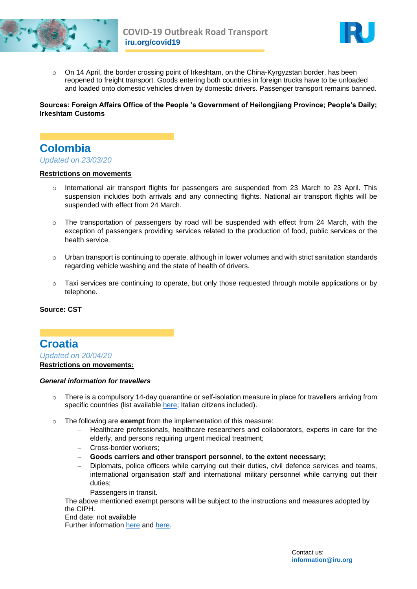



 $\circ$  On 14 April, the border crossing point of Irkeshtam, on the China-Kyrgyzstan border, has been reopened to freight transport. Goods entering both countries in foreign trucks have to be unloaded and loaded onto domestic vehicles driven by domestic drivers. Passenger transport remains banned.

**Sources: Foreign Affairs Office of the People 's Government of Heilongjiang Province; People's Daily; Irkeshtam Customs**

## **Colombia**

#### *Updated on 23/03/20*

#### **Restrictions on movements**

- $\circ$  International air transport flights for passengers are suspended from 23 March to 23 April. This suspension includes both arrivals and any connecting flights. National air transport flights will be suspended with effect from 24 March.
- $\circ$  The transportation of passengers by road will be suspended with effect from 24 March, with the exception of passengers providing services related to the production of food, public services or the health service.
- $\circ$  Urban transport is continuing to operate, although in lower volumes and with strict sanitation standards regarding vehicle washing and the state of health of drivers.
- o Taxi services are continuing to operate, but only those requested through mobile applications or by telephone.

#### **Source: CST**

**Croatia** *Updated on 20/04/20* **Restrictions on movements:** 

#### *General information for travellers*

- $\circ$  There is a compulsory 14-day quarantine or self-isolation measure in place for travellers arriving from specific countries (list available [here;](http://www.mvep.hr/en/info-servis/press-releases/coronavirus-control-strengthening-measures-for-croatian-and-foreign-nationals-entering-the-republic-of-croatia,32735.html) Italian citizens included).
- o The following are **exempt** from the implementation of this measure:
	- Healthcare professionals, healthcare researchers and collaborators, experts in care for the elderly, and persons requiring urgent medical treatment;
	- Cross-border workers;
	- **Goods carriers and other transport personnel, to the extent necessary;**
	- Diplomats, police officers while carrying out their duties, civil defence services and teams, international organisation staff and international military personnel while carrying out their duties;
	- Passengers in transit.

The above mentioned exempt persons will be subject to the instructions and measures adopted by the CIPH.

End date: not available Further information [here](http://www.mvep.hr/en/info-servis/press-releases/coronavirus-control-strengthening-measures-for-croatian-and-foreign-nationals-entering-the-republic-of-croatia,32735.html) and [here.](https://www.koronavirus.hr/)

> Contact us: **[information@iru.org](mailto:information@iru.org)**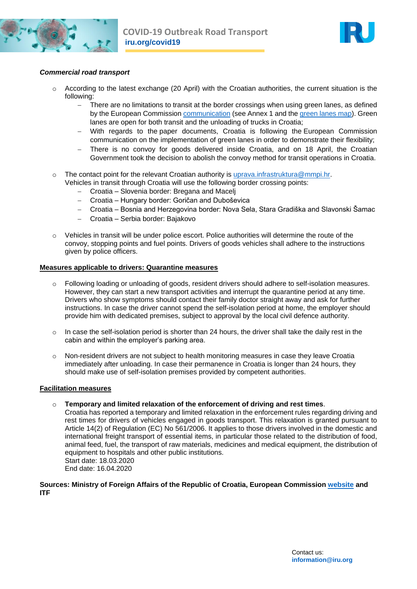



#### *Commercial road transport*

- $\circ$  According to the latest exchange (20 April) with the Croatian authorities, the current situation is the following:
	- There are no limitations to transit at the border crossings when using green lanes, as defined by the European Commissio[n communication](https://ec.europa.eu/transport/sites/transport/files/legislation/2020-03-23-communication-green-lanes_en.pdf) (see Annex 1 and the [green lanes map\)](https://ec.europa.eu/transport/sites/transport/files/green-lanes.pdf). Green lanes are open for both transit and the unloading of trucks in Croatia;
	- With regards to the paper documents, Croatia is following the European Commission communication on the implementation of green lanes in order to demonstrate their flexibility;
	- There is no convoy for goods delivered inside Croatia, and on 18 April, the Croatian Government took the decision to abolish the convoy method for transit operations in Croatia.
- $\circ$  The contact point for the relevant Croatian authority is uprava. infrastruktura@mmpi.hr. Vehicles in transit through Croatia will use the following border crossing points:
	- Croatia Slovenia border: Bregana and Macelj
	- Croatia Hungary border: Goričan and Duboševica
	- Croatia Bosnia and Herzegovina border: Nova Sela, Stara Gradiška and Slavonski Šamac
	- Croatia Serbia border: Bajakovo
- Vehicles in transit will be under police escort. Police authorities will determine the route of the convoy, stopping points and fuel points. Drivers of goods vehicles shall adhere to the instructions given by police officers.

#### **Measures applicable to drivers: Quarantine measures**

- o Following loading or unloading of goods, resident drivers should adhere to self-isolation measures. However, they can start a new transport activities and interrupt the quarantine period at any time. Drivers who show symptoms should contact their family doctor straight away and ask for further instructions. In case the driver cannot spend the self-isolation period at home, the employer should provide him with dedicated premises, subject to approval by the local civil defence authority.
- $\circ$  In case the self-isolation period is shorter than 24 hours, the driver shall take the daily rest in the cabin and within the employer's parking area.
- o Non-resident drivers are not subject to health monitoring measures in case they leave Croatia immediately after unloading. In case their permanence in Croatia is longer than 24 hours, they should make use of self-isolation premises provided by competent authorities.

#### **Facilitation measures**

o **Temporary and limited relaxation of the enforcement of driving and rest times**.

Croatia has reported a temporary and limited relaxation in the enforcement rules regarding driving and rest times for drivers of vehicles engaged in goods transport. This relaxation is granted pursuant to Article 14(2) of Regulation (EC) No 561/2006. It applies to those drivers involved in the domestic and international freight transport of essential items, in particular those related to the distribution of food, animal feed, fuel, the transport of raw materials, medicines and medical equipment, the distribution of equipment to hospitals and other public institutions. Start date: 18.03.2020

End date: 16.04.2020

#### **Sources: Ministry of Foreign Affairs of the Republic of Croatia, European Commission [website](https://ec.europa.eu/transport/coronavirus-response_en) and ITF**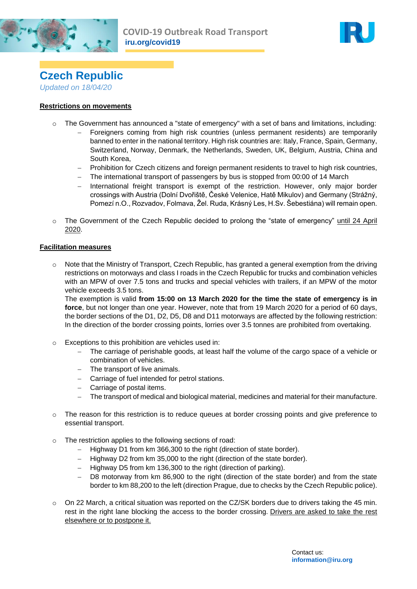



**Czech Republic** *Updated on 18/04/20*

#### **Restrictions on movements**

- $\circ$  The Government has announced a "state of emergency" with a set of bans and limitations, including:
	- Foreigners coming from high risk countries (unless permanent residents) are temporarily banned to enter in the national territory. High risk countries are: Italy, France, Spain, Germany, Switzerland, Norway, Denmark, the Netherlands, Sweden, UK, Belgium, Austria, China and South Korea,
	- Prohibition for Czech citizens and foreign permanent residents to travel to high risk countries,
	- The international transport of passengers by bus is stopped from 00:00 of 14 March
	- International freight transport is exempt of the restriction. However, only major border crossings with Austria (Dolní Dvořiště, České Velenice, Hatě Mikulov) and Germany (Strážný, Pomezí n.O., Rozvadov, Folmava, Žel. Ruda, Krásný Les, H.Sv. Šebestiána) will remain open.
- o The Government of the Czech Republic decided to prolong the "state of emergency" until 24 April 2020.

#### **Facilitation measures**

 $\circ$  Note that the Ministry of Transport, Czech Republic, has granted a general exemption from the driving restrictions on motorways and class I roads in the Czech Republic for trucks and combination vehicles with an MPW of over 7.5 tons and trucks and special vehicles with trailers, if an MPW of the motor vehicle exceeds 3.5 tons.

The exemption is valid **from 15:00 on 13 March 2020 for the time the state of emergency is in force**, but not longer than one year. However, note that from 19 March 2020 for a period of 60 days, the border sections of the D1, D2, D5, D8 and D11 motorways are affected by the following restriction: In the direction of the border crossing points, lorries over 3.5 tonnes are prohibited from overtaking.

- o Exceptions to this prohibition are vehicles used in:
	- The carriage of perishable goods, at least half the volume of the cargo space of a vehicle or combination of vehicles.
	- The transport of live animals.
	- Carriage of fuel intended for petrol stations.
	- Carriage of postal items.
	- The transport of medical and biological material, medicines and material for their manufacture.
- $\circ$  The reason for this restriction is to reduce queues at border crossing points and give preference to essential transport.
- o The restriction applies to the following sections of road:
	- Highway D1 from km 366,300 to the right (direction of state border).
	- Highway D2 from km 35,000 to the right (direction of the state border).
	- Highway D5 from km 136,300 to the right (direction of parking).
	- D8 motorway from km 86,900 to the right (direction of the state border) and from the state border to km 88,200 to the left (direction Prague, due to checks by the Czech Republic police).
- $\circ$  On 22 March, a critical situation was reported on the CZ/SK borders due to drivers taking the 45 min. rest in the right lane blocking the access to the border crossing. Drivers are asked to take the rest elsewhere or to postpone it.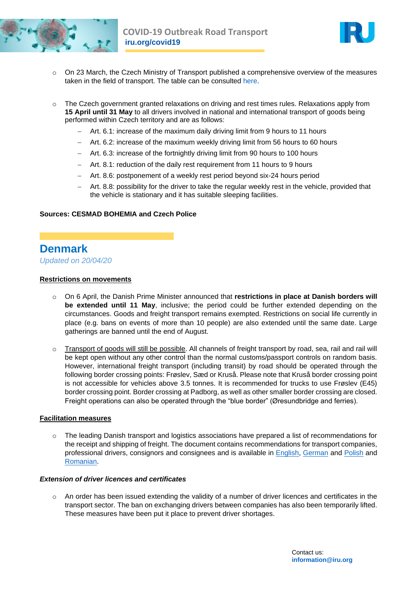



- $\circ$  On 23 March, the Czech Ministry of Transport published a comprehensive overview of the measures taken in the field of transport. The table can be consulted [here.](https://www.iru.org/apps/cms-filesystem-action?file=/Table%20restrictions%20Covid19_%20CZ-%2024.3.2020v2.pdf)
- $\circ$  The Czech government granted relaxations on driving and rest times rules. Relaxations apply from **15 April until 31 May** to all drivers involved in national and international transport of goods being performed within Czech territory and are as follows:
	- Art. 6.1: increase of the maximum daily driving limit from 9 hours to 11 hours
	- Art. 6.2: increase of the maximum weekly driving limit from 56 hours to 60 hours
	- Art. 6.3: increase of the fortnightly driving limit from 90 hours to 100 hours
	- Art. 8.1: reduction of the daily rest requirement from 11 hours to 9 hours
	- Art. 8.6: postponement of a weekly rest period beyond six-24 hours period
	- Art. 8.8: possibility for the driver to take the regular weekly rest in the vehicle, provided that the vehicle is stationary and it has suitable sleeping facilities.

#### **Sources: CESMAD BOHEMIA and Czech Police**

## **Denmark**

*Updated on 20/04/20*

#### **Restrictions on movements**

- o On 6 April, the Danish Prime Minister announced that **restrictions in place at Danish borders will be extended until 11 May**, inclusive; the period could be further extended depending on the circumstances. Goods and freight transport remains exempted. Restrictions on social life currently in place (e.g. bans on events of more than 10 people) are also extended until the same date. Large gatherings are banned until the end of August.
- o Transport of goods will still be possible. All channels of freight transport by road, sea, rail and rail will be kept open without any other control than the normal customs/passport controls on random basis. However, international freight transport (including transit) by road should be operated through the following border crossing points: Frøslev, Sæd or Kruså. Please note that Kruså border crossing point is not accessible for vehicles above 3.5 tonnes. It is recommended for trucks to use Frøslev (E45) border crossing point. Border crossing at Padborg, as well as other smaller border crossing are closed. Freight operations can also be operated through the "blue border" (Øresundbridge and ferries).

#### **Facilitation measures**

o The leading Danish transport and logistics associations have prepared a list of recommendations for the receipt and shipping of freight. The document contains recommendations for transport companies, professional drivers, consignors and consignees and is available in [English,](https://www.iru.org/apps/cms-filesystem-action?file=/flashinfo/Recommendations%20COVID-19%20-%20EN.pdf) [German](https://www.iru.org/apps/cms-filesystem-action?file=/flashinfo/Recommendations%20COVID-19%20-%20DE.pdf) and [Polish](https://www.iru.org/apps/cms-filesystem-action?file=/flashinfo/Recommendations%20COVID-19%20-%20PL.pdf) and [Romanian.](https://www.iru.org/apps/cms-filesystem-action?file=/flashinfo/Recommendations%20COVID-19%20-%20RO.pdf)

#### *Extension of driver licences and certificates*

An order has been issued extending the validity of a number of driver licences and certificates in the transport sector. The ban on exchanging drivers between companies has also been temporarily lifted. These measures have been put it place to prevent driver shortages.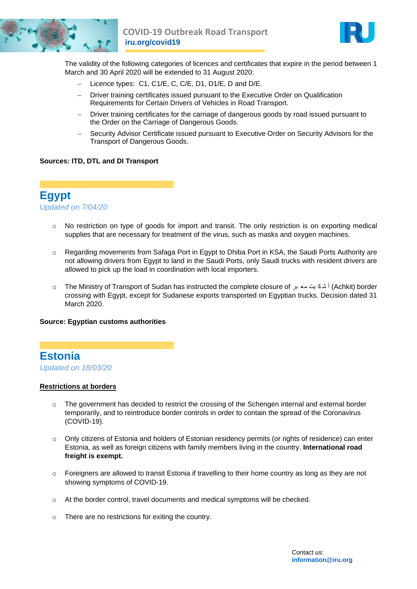



The validity of the following categories of licences and certificates that expire in the period between 1 March and 30 April 2020 will be extended to 31 August 2020:

- Licence types: C1, C1/E, C, C/E, D1, D1/E, D and D/E.
- Driver training certificates issued pursuant to the Executive Order on Qualification Requirements for Certain Drivers of Vehicles in Road Transport.
- Driver training certificates for the carriage of dangerous goods by road issued pursuant to the Order on the Carriage of Dangerous Goods.
- Security Advisor Certificate issued pursuant to Executive Order on Security Advisors for the Transport of Dangerous Goods.

#### **Sources: ITD, DTL and DI Transport**

### **Egypt**

#### *Updated on 7/04/20*

- $\circ$  No restriction on type of goods for import and transit. The only restriction is on exporting medical supplies that are necessary for treatment of the virus, such as masks and oxygen machines.
- o Regarding movements from Safaga Port in Egypt to Dhiba Port in KSA, the Saudi Ports Authority are not allowing drivers from Egypt to land in the Saudi Ports, only Saudi trucks with resident drivers are allowed to pick up the load in coordination with local importers.
- o The Ministry of Transport of Sudan has instructed the complete closure of بر مع يت ك ش أ) Achkit) border crossing with Egypt, except for Sudanese exports transported on Egyptian trucks. Decision dated 31 March 2020.

#### **Source: Egyptian customs authorities**

### **Estonia**

*Updated on 18/03/20*

#### **Restrictions at borders**

- $\circ$  The government has decided to restrict the crossing of the Schengen internal and external border temporarily, and to reintroduce border controls in order to contain the spread of the Coronavirus (COVID-19).
- o Only citizens of Estonia and holders of Estonian residency permits (or rights of residence) can enter Estonia, as well as foreign citizens with family members living in the country. **International road freight is exempt.**
- $\circ$  Foreigners are allowed to transit Estonia if travelling to their home country as long as they are not showing symptoms of COVID-19.
- o At the border control, travel documents and medical symptoms will be checked.
- o There are no restrictions for exiting the country.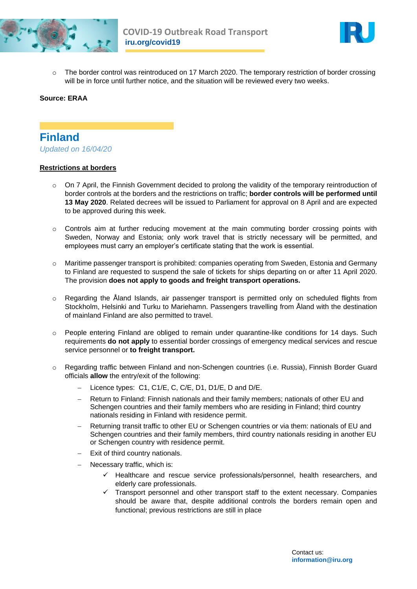



o The border control was reintroduced on 17 March 2020. The temporary restriction of border crossing will be in force until further notice, and the situation will be reviewed every two weeks.

#### **Source: ERAA**

## **Finland** *Updated on 16/04/20*

#### **Restrictions at borders**

- o On 7 April, the Finnish Government decided to prolong the validity of the temporary reintroduction of border controls at the borders and the restrictions on traffic; **border controls will be performed until 13 May 2020**. Related decrees will be issued to Parliament for approval on 8 April and are expected to be approved during this week.
- o Controls aim at further reducing movement at the main commuting border crossing points with Sweden, Norway and Estonia; only work travel that is strictly necessary will be permitted, and employees must carry an employer's certificate stating that the work is essential.
- o Maritime passenger transport is prohibited: companies operating from Sweden, Estonia and Germany to Finland are requested to suspend the sale of tickets for ships departing on or after 11 April 2020. The provision **does not apply to goods and freight transport operations.**
- o Regarding the Åland Islands, air passenger transport is permitted only on scheduled flights from Stockholm, Helsinki and Turku to Mariehamn. Passengers travelling from Åland with the destination of mainland Finland are also permitted to travel.
- o People entering Finland are obliged to remain under quarantine-like conditions for 14 days. Such requirements **do not apply** to essential border crossings of emergency medical services and rescue service personnel or **to freight transport.**
- o Regarding traffic between Finland and non-Schengen countries (i.e. Russia), Finnish Border Guard officials **allow** the entry/exit of the following:
	- $-$  Licence types: C1, C1/E, C, C/E, D1, D1/E, D and D/E.
	- Return to Finland: Finnish nationals and their family members; nationals of other EU and Schengen countries and their family members who are residing in Finland; third country nationals residing in Finland with residence permit.
	- Returning transit traffic to other EU or Schengen countries or via them: nationals of EU and Schengen countries and their family members, third country nationals residing in another EU or Schengen country with residence permit.
	- Exit of third country nationals.
	- Necessary traffic, which is:
		- $\checkmark$  Healthcare and rescue service professionals/personnel, health researchers, and elderly care professionals.
		- $\checkmark$  Transport personnel and other transport staff to the extent necessary. Companies should be aware that, despite additional controls the borders remain open and functional; previous restrictions are still in place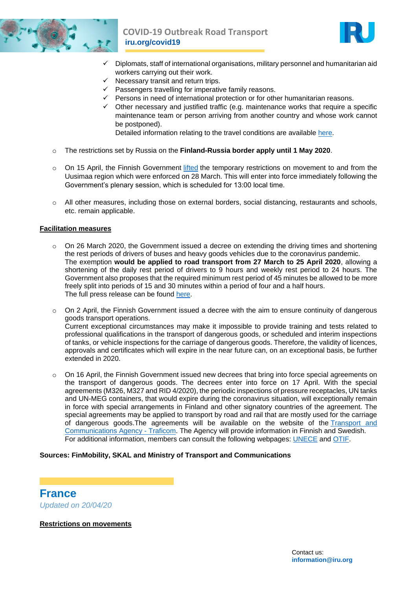



- Diplomats, staff of international organisations, military personnel and humanitarian aid workers carrying out their work.
- $\checkmark$  Necessary transit and return trips.
- $\checkmark$  Passengers travelling for imperative family reasons.
- $\checkmark$  Persons in need of international protection or for other humanitarian reasons.
- $\checkmark$  Other necessary and justified traffic (e.g. maintenance works that require a specific maintenance team or person arriving from another country and whose work cannot be postponed).

Detailed information relating to the travel conditions are available [here.](https://www.raja.fi/current_issues/guidelines_for_border_traffic)

- o The restrictions set by Russia on the **Finland-Russia border apply until 1 May 2020**.
- o On 15 April, the Finnish Government [lifted](https://vnk.fi/en/article/-/asset_publisher/xx-1) the temporary restrictions on movement to and from the Uusimaa region which were enforced on 28 March. This will enter into force immediately following the Government's plenary session, which is scheduled for 13:00 local time.
- o All other measures, including those on external borders, social distancing, restaurants and schools, etc. remain applicable.

#### **Facilitation measures**

- $\circ$  On 26 March 2020, the Government issued a decree on extending the driving times and shortening the rest periods of drivers of buses and heavy goods vehicles due to the coronavirus pandemic. The exemption **would be applied to road transport from 27 March to 25 April 2020**, allowing a shortening of the daily rest period of drivers to 9 hours and weekly rest period to 24 hours. The Government also proposes that the required minimum rest period of 45 minutes be allowed to be more freely split into periods of 15 and 30 minutes within a period of four and a half hours. The full press release can be found [here.](https://www.lvm.fi/-/temporary-exemptions-to-driving-times-and-rest-periods-due-to-coronavirus-situation-1035553)
- o On 2 April, the Finnish Government issued a decree with the aim to ensure continuity of dangerous goods transport operations. Current exceptional circumstances may make it impossible to provide training and tests related to professional qualifications in the transport of dangerous goods, or scheduled and interim inspections of tanks, or vehicle inspections for the carriage of dangerous goods. Therefore, the validity of licences, approvals and certificates which will expire in the near future can, on an exceptional basis, be further extended in 2020.
- On 16 April, the Finnish Government issued new decrees that bring into force special agreements on the transport of dangerous goods. The decrees enter into force on 17 April. With the special agreements (M326, M327 and RID 4/2020), the periodic inspections of pressure receptacles, UN tanks and UN-MEG containers, that would expire during the coronavirus situation, will exceptionally remain in force with special arrangements in Finland and other signatory countries of the agreement. The special agreements may be applied to transport by road and rail that are mostly used for the carriage of dangerous goods.The agreements will be available on the website of the [Transport and](https://www.traficom.fi/en/transport/liikennejarjestelma/transportation-dangerous-goods)  [Communications Agency -](https://www.traficom.fi/en/transport/liikennejarjestelma/transportation-dangerous-goods) Traficom. The Agency will provide information in Finnish and Swedish. For additional information, members can consult the following webpages: [UNECE](http://www.unece.org/trans/danger/multi/multi.html) and [OTIF.](http://otif.org/en/?page_id=176)

#### **Sources: FinMobility, SKAL and Ministry of Transport and Communications**

**France** *Updated on 20/04/20*

**Restrictions on movements**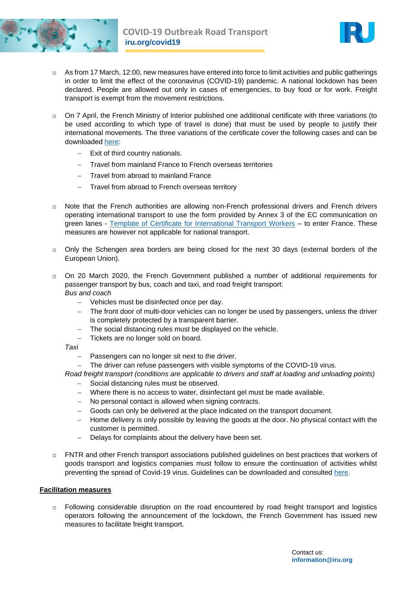



- $\circ$  As from 17 March, 12:00, new measures have entered into force to limit activities and public gatherings in order to limit the effect of the coronavirus (COVID-19) pandemic. A national lockdown has been declared. People are allowed out only in cases of emergencies, to buy food or for work. Freight transport is exempt from the movement restrictions.
- o On 7 April, the French Ministry of Interior published one additional certificate with three variations (to be used according to which type of travel is done) that must be used by people to justify their international movements. The three variations of the certificate cover the following cases and can be downloaded [here:](https://www.interieur.gouv.fr/Actualites/L-actu-du-Ministere/Attestation-de-deplacement-et-de-voyage)
	- $-$  Exit of third country nationals.
	- Travel from mainland France to French overseas territories
	- Travel from abroad to mainland France
	- Travel from abroad to French overseas territory
- o Note that the French authorities are allowing non-French professional drivers and French drivers operating international transport to use the form provided by Annex 3 of the EC communication on green lanes - [Template of Certificate for International Transport Workers](https://www.iru.org/apps/cms-filesystem-action?file=/flashinfo/Annex%203%20EU.pdf) – to enter France. These measures are however not applicable for national transport.
- o Only the Schengen area borders are being closed for the next 30 days (external borders of the European Union).
- o On 20 March 2020, the French Government published a number of additional requirements for passenger transport by bus, coach and taxi, and road freight transport: *Bus and coach*
	- Vehicles must be disinfected once per day.
	- The front door of multi-door vehicles can no longer be used by passengers, unless the driver is completely protected by a transparent barrier.
	- The social distancing rules must be displayed on the vehicle.
	- Tickets are no longer sold on board.

*Taxi*

- Passengers can no longer sit next to the driver.
- The driver can refuse passengers with visible symptoms of the COVID-19 virus.

*Road freight transport (conditions are applicable to drivers and staff at loading and unloading points)*

- Social distancing rules must be observed.
- Where there is no access to water, disinfectant gel must be made available.
- No personal contact is allowed when signing contracts.
- Goods can only be delivered at the place indicated on the transport document.
- Home delivery is only possible by leaving the goods at the door. No physical contact with the customer is permitted.
- Delays for complaints about the delivery have been set.
- FNTR and other French transport associations published guidelines on best practices that workers of goods transport and logistics companies must follow to ensure the continuation of activities whilst preventing the spread of Covid-19 virus. Guidelines can be downloaded and consulted [here.](http://www.centre-val-de-loire.developpement-durable.gouv.fr/IMG/pdf/guide-de-protection-covid-19-ccntr-trm-log.pdf?utm_source=POLITICO.EU&utm_campaign=24e2282812-EMAIL_CAMPAIGN_2020_04_20_04_56&utm_medium=email&utm_term=0_10959edeb5-24e2282812-190552283)

#### **Facilitation measures**

o Following considerable disruption on the road encountered by road freight transport and logistics operators following the announcement of the lockdown, the French Government has issued new measures to facilitate freight transport.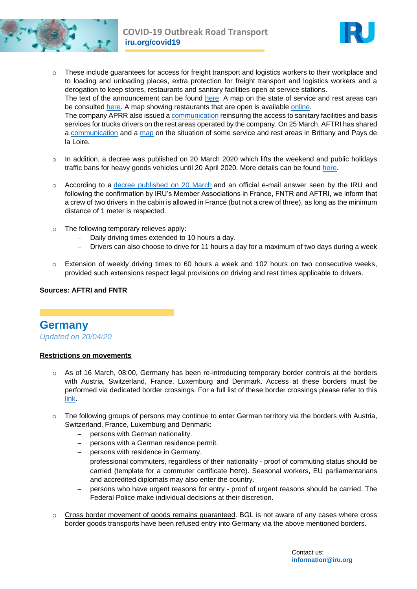



- o These include guarantees for access for freight transport and logistics workers to their workplace and to loading and unloading places, extra protection for freight transport and logistics workers and a derogation to keep stores, restaurants and sanitary facilities open at service stations. The text of the announcement can be found [here.](https://www.ecologique-solidaire.gouv.fr/poursuite-chaine-logistique-du-transport-marchandises) A map on the state of service and rest areas can be consulted [here.](http://umap.openstreetmap.fr/fr/map/cartographie-des-aires-de-repos-et-de-service-rese_433826#6/51.000/2.000) A map showing restaurants that are open is available [online.](https://www.google.com/maps/d/viewer?mid=1oLtr0VI_h9nFtNEy8JPSZgwEi-YtkigB&ll=46.94968780675603%2C4.389147776020309&z=6&fbclid=IwAR0bcG3FI7Z3UD7bcz76qgXCxCDgjEKo-zgfLpragMAjpFhQ4pbbl818Gn4) The company APRR also issued a [communication](https://www.iru.org/apps/cms-filesystem-action?file=/flashinfo/APRP%20communication.pdf) reinsuring the access to sanitary facilities and basis services for trucks drivers on the rest areas operated by the company. On 25 March, AFTRI has shared a [communication](https://www.iru.org/apps/cms-filesystem-action?file=/flashinfo/6448m.pdf) and a [map](https://www.iru.org/apps/cms-filesystem-action?file=/flashinfo/6448m%20annexe.pdf) on the situation of some service and rest areas in Brittany and Pays de la Loire.
- $\circ$  In addition, a decree was published on 20 March 2020 which lifts the weekend and public holidays traffic bans for heavy goods vehicles until 20 April 2020. More details can be found [here.](https://www.fntr.fr/sites/default/files/2020-03/arrete-circulation-reconstitue.pdf)
- o According to a [decree published on 20 March](https://www.iru.org/apps/cms-filesystem-action?file=/flashinfo/D%C3%A9cr%C3%AAt%20d%C3%A9rogation%20temporaire%20France.pdf) and an official e-mail answer seen by the IRU and following the confirmation by IRU's Member Associations in France, FNTR and AFTRI, we inform that a crew of two drivers in the cabin is allowed in France (but not a crew of three), as long as the minimum distance of 1 meter is respected.
- o The following temporary relieves apply:
	- Daily driving times extended to 10 hours a day.
	- Drivers can also choose to drive for 11 hours a day for a maximum of two days during a week
- o Extension of weekly driving times to 60 hours a week and 102 hours on two consecutive weeks, provided such extensions respect legal provisions on driving and rest times applicable to drivers.

#### **Sources: AFTRI and FNTR**

**Germany** *Updated on 20/04/20*

#### **Restrictions on movements**

- $\circ$  As of 16 March, 08:00, Germany has been re-introducing temporary border controls at the borders with Austria, Switzerland, France, Luxemburg and Denmark. Access at these borders must be performed via dedicated border crossings. For a full list of these border crossings please refer to this [link.](https://www.bmi.bund.de/SharedDocs/downloads/DE/veroeffentlichungen/2020/corona/liste-grenzuebergangsstellen.html)
- $\circ$  The following groups of persons may continue to enter German territory via the borders with Austria, Switzerland, France, Luxemburg and Denmark:
	- persons with German nationality.
	- persons with a German residence permit.
	- persons with residence in Germany.
	- professional commuters, regardless of their nationality proof of commuting status should be carried (template for a commuter certificate [here](https://www.bundespolizei.de/Web/DE/04Aktuelles/01Meldungen/2020/03/pendlerbescheinigung_down.pdf;jsessionid=D25697481662ED7557B81EB2ECFCB147.2_cid324?__blob=publicationFile&v=2)). Seasonal workers, EU parliamentarians and accredited diplomats may also enter the country.
	- persons who have urgent reasons for entry proof of urgent reasons should be carried. The Federal Police make individual decisions at their discretion.
- $\circ$  Cross border movement of goods remains guaranteed. BGL is not aware of any cases where cross border goods transports have been refused entry into Germany via the above mentioned borders.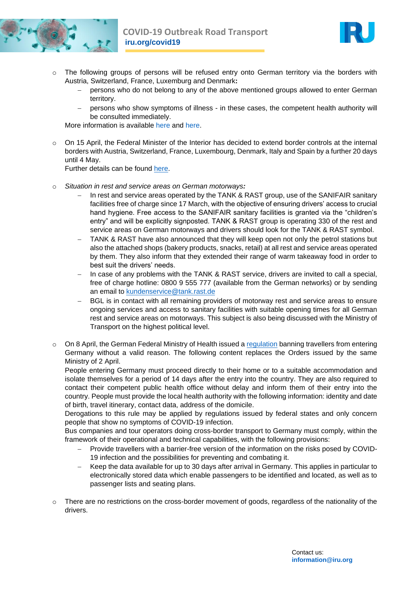



- o The following groups of persons will be refused entry onto German territory via the borders with Austria, Switzerland, France, Luxemburg and Denmark**:**
	- persons who do not belong to any of the above mentioned groups allowed to enter German territory.
	- persons who show symptoms of illness in these cases, the competent health authority will be consulted immediately.

More information is available [here](https://www.bundespolizei.de/Web/DE/04Aktuelles/01Meldungen/2020/03/200317_faq.html) and [here.](https://www.bmi.bund.de/SharedDocs/faqs/DE/themen/bevoelkerungsschutz/coronavirus/reisebeschraenkungen-grenzkontrollen/reisebeschraenkungen-grenzkontrollen-liste.html%20-%20f13819118)

o On 15 April, the Federal Minister of the Interior has decided to extend border controls at the internal borders with Austria, Switzerland, France, Luxembourg, Denmark, Italy and Spain by a further 20 days until 4 May.

Further details can be found [here.](https://www.bmi.bund.de/SharedDocs/pressemitteilungen/DE/2020/04/verlaengerung-grenzkontrollen.html)

- o *Situation in rest and service areas on German motorways:*
	- In rest and service areas operated by the TANK & RAST group, use of the SANIFAIR sanitary facilities free of charge since 17 March, with the objective of ensuring drivers' access to crucial hand hygiene. Free access to the SANIFAIR sanitary facilities is granted via the "children's entry" and will be explicitly signposted. TANK & RAST group is operating 330 of the rest and service areas on German motorways and drivers should look for the TANK & RAST symbol.
	- TANK & RAST have also announced that they will keep open not only the petrol stations but also the attached shops (bakery products, snacks, retail) at all rest and service areas operated by them. They also inform that they extended their range of warm takeaway food in order to best suit the drivers' needs.
	- In case of any problems with the TANK & RAST service, drivers are invited to call a special, free of charge hotline: 0800 9 555 777 (available from the German networks) or by sending an email to [kundenservice@tank.rast.de](mailto:kundenservice@tank.rast.de)
	- BGL is in contact with all remaining providers of motorway rest and service areas to ensure ongoing services and access to sanitary facilities with suitable opening times for all German rest and service areas on motorways. This subject is also being discussed with the Ministry of Transport on the highest political level.
- o On 8 April, the German Federal Ministry of Health issued a [regulation](https://www.iru.org/apps/cms-filesystem-action?file=/flashinfo/20-0162-lm%20BAnz%20AT%2009.04.2020%20B7.pdf) banning travellers from entering Germany without a valid reason. The following content replaces the Orders issued by the same Ministry of 2 April.

People entering Germany must proceed directly to their home or to a suitable accommodation and isolate themselves for a period of 14 days after the entry into the country. They are also required to contact their competent public health office without delay and inform them of their entry into the country. People must provide the local health authority with the following information: identity and date of birth, travel itinerary, contact data, address of the domicile.

Derogations to this rule may be applied by regulations issued by federal states and only concern people that show no symptoms of COVID-19 infection.

Bus companies and tour operators doing cross-border transport to Germany must comply, within the framework of their operational and technical capabilities, with the following provisions:

- Provide travellers with a barrier-free version of the information on the risks posed by COVID-19 infection and the possibilities for preventing and combating it.
- Keep the data available for up to 30 days after arrival in Germany. This applies in particular to electronically stored data which enable passengers to be identified and located, as well as to passenger lists and seating plans.
- $\circ$  There are no restrictions on the cross-border movement of goods, regardless of the nationality of the drivers.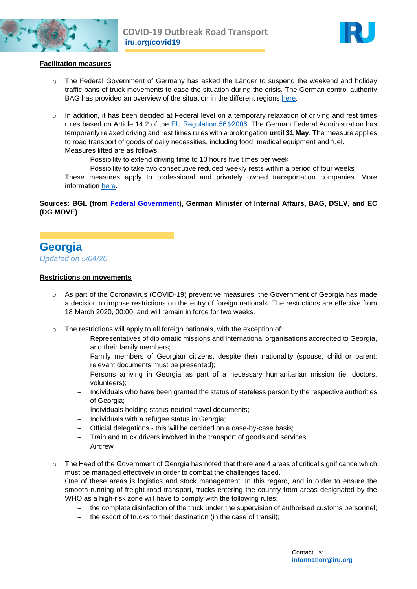



#### **Facilitation measures**

- $\circ$  The Federal Government of Germany has asked the Länder to suspend the weekend and holiday traffic bans of truck movements to ease the situation during the crisis. The German control authority BAG has provided an overview of the situation in the different regions [here.](https://www.iru.org/apps/cms-filesystem-action?file=/flashinfo/Allgemeinverf%C3%BCgungen%20Fahrverbote.pdf)
- $\circ$  In addition, it has been decided at Federal level on a temporary relaxation of driving and rest times rules based on Article 14.2 of the EU Regulation 561/2006. The German Federal Administration has temporarily relaxed driving and rest times rules with a prolongation **until 31 May**. The measure applies to road transport of goods of daily necessities, including food, medical equipment and fuel. Measures lifted are as follows:
	- Possibility to extend driving time to 10 hours five times per week
	- Possibility to take two consecutive reduced weekly rests within a period of four weeks

These measures apply to professional and privately owned transportation companies. More information [here.](https://www.bag.bund.de/SharedDocs/Kurzmeldungen/DE/2020/lenk_ruhezeiten_corona.html;jsessionid=B861BE43F098789C3FCDB61160AF6BEA.live11291?nn=12502)

#### **Sources: BGL (from [Federal Government\)](https://www.bmi.bund.de/DE/startseite/startseite-node.html), German Minister of Internal Affairs, BAG, DSLV, and EC (DG MOVE)**

### **Georgia**

*Updated on 5/04/20*

#### **Restrictions on movements**

- $\circ$  As part of the Coronavirus (COVID-19) preventive measures, the Government of Georgia has made a decision to impose restrictions on the entry of foreign nationals. The restrictions are effective from 18 March 2020, 00:00, and will remain in force for two weeks.
- o The restrictions will apply to all foreign nationals, with the exception of:
	- Representatives of diplomatic missions and international organisations accredited to Georgia, and their family members;
	- Family members of Georgian citizens, despite their nationality (spouse, child or parent; relevant documents must be presented);
	- Persons arriving in Georgia as part of a necessary humanitarian mission (ie. doctors, volunteers);
	- Individuals who have been granted the status of stateless person by the respective authorities of Georgia;
	- Individuals holding status-neutral travel documents;
	- $-$  Individuals with a refugee status in Georgia;
	- Official delegations this will be decided on a case-by-case basis;
	- Train and truck drivers involved in the transport of goods and services;
	- Aircrew
- $\circ$  The Head of the Government of Georgia has noted that there are 4 areas of critical significance which must be managed effectively in order to combat the challenges faced.

One of these areas is logistics and stock management. In this regard, and in order to ensure the smooth running of freight road transport, trucks entering the country from areas designated by the WHO as a high-risk zone will have to comply with the following rules:

- the complete disinfection of the truck under the supervision of authorised customs personnel;
- $-$  the escort of trucks to their destination (in the case of transit);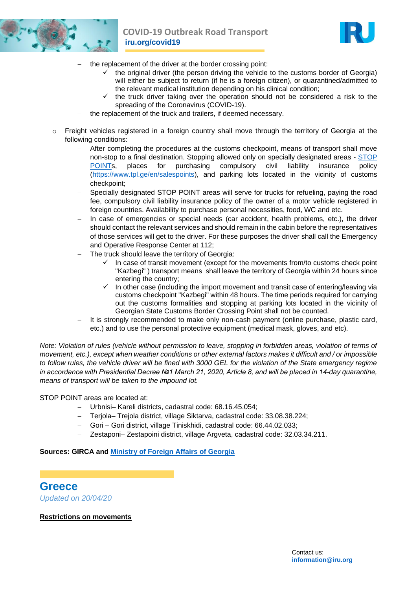



- the replacement of the driver at the border crossing point:
	- the original driver (the person driving the vehicle to the customs border of Georgia) will either be subject to return (if he is a foreign citizen), or quarantined/admitted to the relevant medical institution depending on his clinical condition;
	- $\checkmark$  the truck driver taking over the operation should not be considered a risk to the spreading of the Coronavirus (COVID-19).
- the replacement of the truck and trailers, if deemed necessary.
- o Freight vehicles registered in a foreign country shall move through the territory of Georgia at the following conditions:
	- After completing the procedures at the customs checkpoint, means of transport shall move non-stop to a final destination. Stopping allowed only on specially designated areas - [STOP](https://www.iru.org/apps/cms-filesystem-action?file=/georgia.jpg)  [POINTs](https://www.iru.org/apps/cms-filesystem-action?file=/georgia.jpg), places for purchasing compulsory civil liability insurance policy [\(https://www.tpl.ge/en/salespoints\)](https://www.tpl.ge/en/salespoints), and parking lots located in the vicinity of customs checkpoint;
	- Specially designated STOP POINT areas will serve for trucks for refueling, paying the road fee, compulsory civil liability insurance policy of the owner of a motor vehicle registered in foreign countries. Availability to purchase personal necessities, food, WC and etc.
	- In case of emergencies or special needs (car accident, health problems, etc.), the driver should contact the relevant services and should remain in the cabin before the representatives of those services will get to the driver. For these purposes the driver shall call the Emergency and Operative Response Center at 112;
	- The truck should leave the territory of Georgia:
		- $\checkmark$  In case of transit movement (except for the movements from/to customs check point "Kazbegi" ) transport means shall leave the territory of Georgia within 24 hours since entering the country;
		- In other case (including the import movement and transit case of entering/leaving via customs checkpoint "Kazbegi" within 48 hours. The time periods required for carrying out the customs formalities and stopping at parking lots located in the vicinity of Georgian State Customs Border Crossing Point shall not be counted.
	- It is strongly recommended to make only non-cash payment (online purchase, plastic card, etc.) and to use the personal protective equipment (medical mask, gloves, and etc).

*Note: Violation of rules (vehicle without permission to leave, stopping in forbidden areas, violation of terms of movement, etc.), except when weather conditions or other external factors makes it difficult and / or impossible*  to follow rules, the vehicle driver will be fined with 3000 GEL for the violation of the State emergency regime *in accordance with Presidential Decree №1 March 21, 2020, Article 8, and will be placed in 14-day quarantine, means of transport will be taken to the impound lot.*

STOP POINT areas are located at:

- Urbnisi– Kareli districts, cadastral code: 68.16.45.054;
- Terjola– Trejola district, village Siktarva, cadastral code: 33.08.38.224;
- Gori Gori district, village Tiniskhidi, cadastral code: 66.44.02.033;
- Zestaponi– Zestapoini district, village Argveta, cadastral code: 32.03.34.211.

**Sources: GIRCA and [Ministry of Foreign Affairs of Georgia](https://mfa.gov.ge/News/%E2%80%8Bsaqartveloshi-uckho-qveynis-moqalaqeebis-shemosvl.aspx?CatID=5)**

**Greece** *Updated on 20/04/20*

**Restrictions on movements**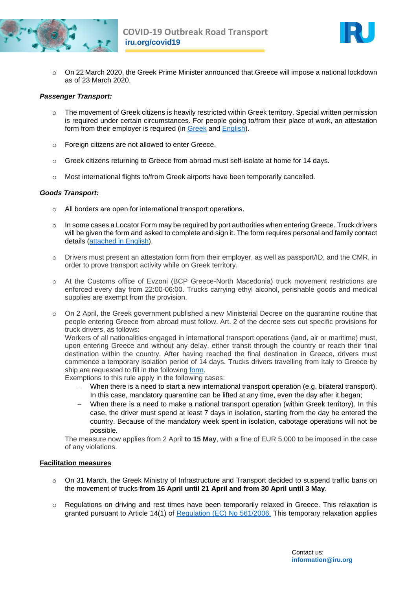



o On 22 March 2020, the Greek Prime Minister announced that Greece will impose a national lockdown as of 23 March 2020.

#### *Passenger Transport:*

- o The movement of Greek citizens is heavily restricted within Greek territory. Special written permission is required under certain circumstances. For people going to/from their place of work, an attestation form from their employer is required (in [Greek](https://www.iru.org/apps/cms-filesystem-action?file=/flashinfo/employer%20attestation%20form_gr.docx) and [English\)](https://www.iru.org/apps/cms-filesystem-action?file=/flashinfo/permit-work-commute-en.pdf).
- o Foreign citizens are not allowed to enter Greece.
- o Greek citizens returning to Greece from abroad must self-isolate at home for 14 days.
- $\circ$  Most international flights to/from Greek airports have been temporarily cancelled.

#### *Goods Transport:*

- o All borders are open for international transport operations.
- o In some cases a Locator Form may be required by port authorities when entering Greece. Truck drivers will be given the form and asked to complete and sign it. The form requires personal and family contact details [\(attached in English\)](https://www.iru.org/apps/cms-filesystem-action?file=/flashinfo/GR_covid19_locator%20form.pdf).
- $\circ$  Drivers must present an attestation form from their employer, as well as passport/ID, and the CMR, in order to prove transport activity while on Greek territory.
- o At the Customs office of Evzoni (BCP Greece-North Macedonia) truck movement restrictions are enforced every day from 22:00-06:00. Trucks carrying ethyl alcohol, perishable goods and medical supplies are exempt from the provision.
- $\circ$  On 2 April, the Greek government published a new Ministerial Decree on the quarantine routine that people entering Greece from abroad must follow. Art. 2 of the decree sets out specific provisions for truck drivers, as follows:

Workers of all nationalities engaged in international transport operations (land, air or maritime) must, upon entering Greece and without any delay, either transit through the country or reach their final destination within the country. After having reached the final destination in Greece, drivers must commence a temporary isolation period of 14 days. Trucks drivers travelling from Italy to Greece by ship are requested to fill in the following [form.](https://www.iru.org/apps/cms-filesystem-action?file=/flashinfo/GR_locator_form_quarantine.pdf)

Exemptions to this rule apply in the following cases:

- When there is a need to start a new international transport operation (e.g. bilateral transport). In this case, mandatory quarantine can be lifted at any time, even the day after it began;
- When there is a need to make a national transport operation (within Greek territory). In this case, the driver must spend at least 7 days in isolation, starting from the day he entered the country. Because of the mandatory week spent in isolation, cabotage operations will not be possible.

The measure now applies from 2 April **to 15 May**, with a fine of EUR 5,000 to be imposed in the case of any violations.

#### **Facilitation measures**

- o On 31 March, the Greek Ministry of Infrastructure and Transport decided to suspend traffic bans on the movement of trucks **from 16 April until 21 April and from 30 April until 3 May**.
- $\circ$  Regulations on driving and rest times have been temporarily relaxed in Greece. This relaxation is granted pursuant to Article 14(1) of [Regulation \(EC\) No 561/2006.](https://www.iru.org/apps/cms-filesystem-action?file=/flashinfo/EU%20Regulation%20No.%20561%202006.pdf) This temporary relaxation applies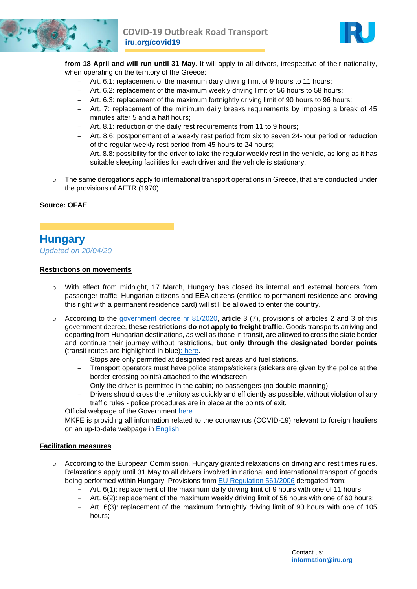



**from 18 April and will run until 31 May**. It will apply to all drivers, irrespective of their nationality, when operating on the territory of the Greece:

- Art. 6.1: replacement of the maximum daily driving limit of 9 hours to 11 hours;
- $-$  Art. 6.2: replacement of the maximum weekly driving limit of 56 hours to 58 hours;
- Art. 6.3: replacement of the maximum fortnightly driving limit of 90 hours to 96 hours;
- Art. 7: replacement of the minimum daily breaks requirements by imposing a break of 45 minutes after 5 and a half hours;
- Art. 8.1: reduction of the daily rest requirements from 11 to 9 hours;
- Art. 8.6: postponement of a weekly rest period from six to seven 24-hour period or reduction of the regular weekly rest period from 45 hours to 24 hours;
- Art. 8.8: possibility for the driver to take the regular weekly rest in the vehicle, as long as it has suitable sleeping facilities for each driver and the vehicle is stationary.
- o The same derogations apply to international transport operations in Greece, that are conducted under the provisions of AETR (1970).

#### **Source: OFAE**

## **Hungary**

*Updated on 20/04/20*

#### **Restrictions on movements**

- o With effect from midnight, 17 March, Hungary has closed its internal and external borders from passenger traffic. Hungarian citizens and EEA citizens (entitled to permanent residence and proving this right with a permanent residence card) will still be allowed to enter the country.
- $\circ$  According to the [government decree nr 81/2020,](https://www.mkfe.hu/images/cikkek/dok/Hirek/en_menu_81_2020_kormanyrendelet_2020_04_03.pdf) article 3 (7), provisions of articles 2 and 3 of this government decree, **these restrictions do not apply to freight traffic.** Goods transports arriving and departing from Hungarian destinations, as well as those in transit, are allowed to cross the state border and continue their journey without restrictions, **but only through the designated border points (**transit routes are highlighted in blue[\): here.](https://www.google.com/maps/d/viewer?mid=1TTwJysYGATqZNRi3NuP6B6_tYmxVF1JO&ll=47.64380169335263%2C18.138210792187465&z=7)
	- Stops are only permitted at designated rest areas and fuel stations.
	- Transport operators must have police stamps/stickers (stickers are given by the police at the border crossing points) attached to the windscreen.
	- Only the driver is permitted in the cabin; no passengers (no double-manning).
	- Drivers should cross the territory as quickly and efficiently as possible, without violation of any traffic rules - police procedures are in place at the points of exit.

Official webpage of the Government [here.](http://abouthungary.hu/news-in-brief/coronavirus-heres-the-latest/)

MKFE is providing all information related to the coronavirus (COVID-19) relevant to foreign hauliers on an up-to-date webpage in [English.](https://mkfe.hu/en/)

#### **Facilitation measures**

- o According to the European Commission, Hungary granted relaxations on driving and rest times rules. Relaxations apply until 31 May to all drivers involved in national and international transport of goods being performed within Hungary. Provisions from [EU Regulation 561/2006](https://www.iru.org/apps/cms-filesystem-action?file=/flashinfo/EU%20Regulation%20No.%20561%202006.pdf) derogated from:
	- Art. 6(1): replacement of the maximum daily driving limit of 9 hours with one of 11 hours;
	- Art. 6(2): replacement of the maximum weekly driving limit of 56 hours with one of 60 hours;
	- Art. 6(3): replacement of the maximum fortnightly driving limit of 90 hours with one of 105 hours;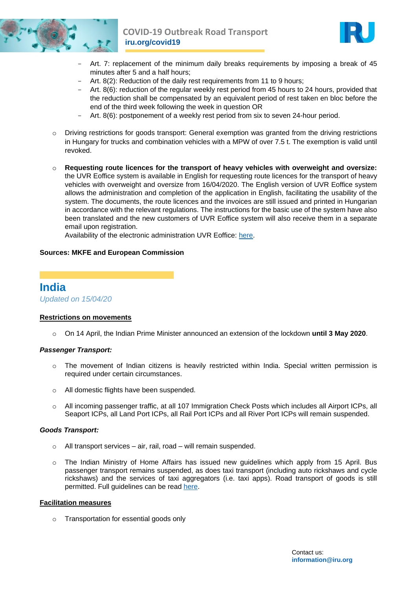



- Art. 7: replacement of the minimum daily breaks requirements by imposing a break of 45 minutes after 5 and a half hours;
- Art. 8(2): Reduction of the daily rest requirements from 11 to 9 hours;
- Art. 8(6): reduction of the regular weekly rest period from 45 hours to 24 hours, provided that the reduction shall be compensated by an equivalent period of rest taken en bloc before the end of the third week following the week in question OR
- Art. 8(6): postponement of a weekly rest period from six to seven 24-hour period.
- Driving restrictions for goods transport: General exemption was granted from the driving restrictions in Hungary for trucks and combination vehicles with a MPW of over 7.5 t. The exemption is valid until revoked.
- o **Requesting route licences for the transport of heavy vehicles with overweight and oversize:** the UVR Eoffice system is available in English for requesting route licences for the transport of heavy vehicles with overweight and oversize from 16/04/2020. The English version of UVR Eoffice system allows the administration and completion of the application in English, facilitating the usability of the system. The documents, the route licences and the invoices are still issued and printed in Hungarian in accordance with the relevant regulations. The instructions for the basic use of the system have also been translated and the new customers of UVR Eoffice system will also receive them in a separate email upon registration.

Availability of the electronic administration UVR Eoffice: [here.](https://uvreoffice.kozut.hu/uvr-eoffice-web/login)

#### **Sources: MKFE and European Commission**

### **India**

*Updated on 15/04/20*

#### **Restrictions on movements**

o On 14 April, the Indian Prime Minister announced an extension of the lockdown **until 3 May 2020**.

#### *Passenger Transport:*

- $\circ$  The movement of Indian citizens is heavily restricted within India. Special written permission is required under certain circumstances.
- o All domestic flights have been suspended.
- o All incoming passenger traffic, at all 107 Immigration Check Posts which includes all Airport ICPs, all Seaport ICPs, all Land Port ICPs, all Rail Port ICPs and all River Port ICPs will remain suspended.

#### *Goods Transport:*

- o All transport services air, rail, road will remain suspended.
- $\circ$  The Indian Ministry of Home Affairs has issued new guidelines which apply from 15 April. Bus passenger transport remains suspended, as does taxi transport (including auto rickshaws and cycle rickshaws) and the services of taxi aggregators (i.e. taxi apps). Road transport of goods is still permitted. Full guidelines can be read [here.](https://www.iru.org/apps/cms-filesystem-action?file=/flashinfo/MHA%20Order%20dt%2015.04.2020,%20with%20Revised%20Consolidated%20GUidelines.pdf.pdf.pdf)

#### **Facilitation measures**

o Transportation for essential goods only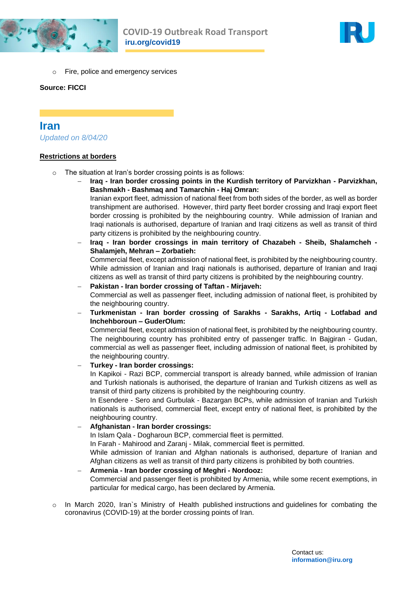



o Fire, police and emergency services

#### **Source: FICCI**

## **Iran**

*Updated on 8/04/20*

#### **Restrictions at borders**

- o The situation at Iran's border crossing points is as follows:
	- **Iraq - Iran border crossing points in the Kurdish territory of Parvizkhan - Parvizkhan, Bashmakh - Bashmaq and Tamarchin - Haj Omran:**

Iranian export fleet, admission of national fleet from both sides of the border, as well as border transhipment are authorised. However, third party fleet border crossing and Iraqi export fleet border crossing is prohibited by the neighbouring country. While admission of Iranian and Iraqi nationals is authorised, departure of Iranian and Iraqi citizens as well as transit of third party citizens is prohibited by the neighbouring country.

 **Iraq - Iran border crossings in main territory of Chazabeh - Sheib, Shalamcheh - Shalamjeh, Mehran – Zorbatieh:**  Commercial fleet, except admission of national fleet, is prohibited by the neighbouring country. While admission of Iranian and Iraqi nationals is authorised, departure of Iranian and Iraqi

citizens as well as transit of third party citizens is prohibited by the neighbouring country.

 **Pakistan - Iran border crossing of Taftan - Mirjaveh:**  Commercial as well as passenger fleet, including admission of national fleet, is prohibited by the neighbouring country.

 **Turkmenistan - Iran border crossing of Sarakhs - Sarakhs, Artiq - Lotfabad and Inchehboroun – GuderOlum:** 

Commercial fleet, except admission of national fleet, is prohibited by the neighbouring country. The neighbouring country has prohibited entry of passenger traffic. In Bajgiran - Gudan, commercial as well as passenger fleet, including admission of national fleet, is prohibited by the neighbouring country.

**Turkey - Iran border crossings:**

In Kapikoi - Razi BCP, commercial transport is already banned, while admission of Iranian and Turkish nationals is authorised, the departure of Iranian and Turkish citizens as well as transit of third party citizens is prohibited by the neighbouring country.

In Esendere - Sero and Gurbulak - Bazargan BCPs, while admission of Iranian and Turkish nationals is authorised, commercial fleet, except entry of national fleet, is prohibited by the neighbouring country.

#### **Afghanistan - Iran border crossings:**

In Islam Qala - Dogharoun BCP, commercial fleet is permitted.

In Farah - Mahirood and Zaranj - Milak, commercial fleet is permitted.

While admission of Iranian and Afghan nationals is authorised, departure of Iranian and Afghan citizens as well as transit of third party citizens is prohibited by both countries.

#### **Armenia - Iran border crossing of Meghri - Nordooz:**

Commercial and passenger fleet is prohibited by Armenia, while some recent exemptions, in particular for medical cargo, has been declared by Armenia.

o In March 2020, Iran`s Ministry of Health published [instructions](https://www.iru.org/apps/cms-filesystem-action?file=/flashinfo/Protocol%20for%20Protecting%20Individuals%20at%20Iran%E2%80%99s%20Points%20of%20Entry.pdf) and [guidelines](https://www.iru.org/apps/cms-filesystem-action?file=/flashinfo/Guidelines%20for%20Environmental%20Control%20to%20Combat%20COVID-19%20(Coronavirus)%20in%20Points%20of%20Entry%20(Passenger%20and%20Cargo).pdf) for combating the coronavirus (COVID-19) at the border crossing points of Iran.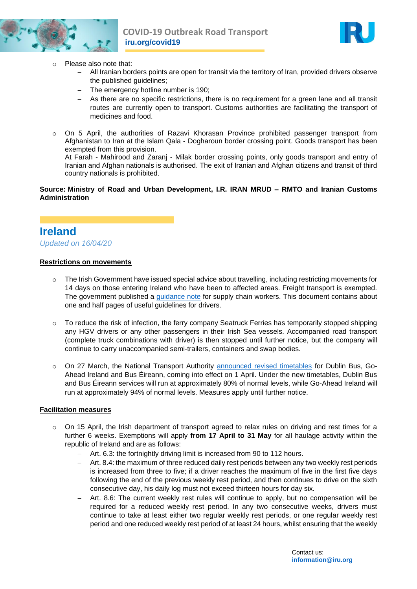



- o Please also note that:
	- All Iranian borders points are open for transit via the territory of Iran, provided drivers observe the published guidelines;
	- The emergency hotline number is 190;
	- As there are no specific restrictions, there is no requirement for a green lane and all transit routes are currently open to transport. Customs authorities are facilitating the transport of medicines and food.
- On 5 April, the authorities of Razavi Khorasan Province prohibited passenger transport from Afghanistan to Iran at the Islam Qala - Dogharoun border crossing point. Goods transport has been exempted from this provision.

At Farah - Mahirood and Zaranj - Milak border crossing points, only goods transport and entry of Iranian and Afghan nationals is authorised. The exit of Iranian and Afghan citizens and transit of third country nationals is prohibited.

#### **Source: Ministry of Road and Urban Development, I.R. IRAN MRUD – RMTO and Iranian Customs Administration**

### **Ireland**

*Updated on 16/04/20*

#### **Restrictions on movements**

- o The Irish Government have issued special advice about travelling, including restricting movements for 14 days on those entering Ireland who have been to affected areas. Freight transport is exempted. The government published a [guidance note](https://www.iru.org/apps/cms-filesystem-action?file=/flashinfo/Ireland%20COVID-19%20Supply%20Chain%20Guidance.pdf) for supply chain workers. This document contains about one and half pages of useful guidelines for drivers.
- o To reduce the risk of infection, the ferry company Seatruck Ferries has temporarily stopped shipping any HGV drivers or any other passengers in their Irish Sea vessels. Accompanied road transport (complete truck combinations with driver) is then stopped until further notice, but the company will continue to carry unaccompanied semi-trailers, containers and swap bodies.
- o On 27 March, the National Transport Authority [announced revised timetables](https://www.nationaltransport.ie/news/new-public-transport-timetables-to-take-effect-starting-monday/) for Dublin Bus, Go-Ahead Ireland and Bus Éireann, coming into effect on 1 April. Under the new timetables, Dublin Bus and Bus Éireann services will run at approximately 80% of normal levels, while Go-Ahead Ireland will run at approximately 94% of normal levels. Measures apply until further notice.

#### **Facilitation measures**

- o On 15 April, the Irish department of transport agreed to relax rules on driving and rest times for a further 6 weeks. Exemptions will apply **from 17 April to 31 May** for all haulage activity within the republic of Ireland and are as follows:
	- Art. 6.3: the fortnightly driving limit is increased from 90 to 112 hours.
	- Art. 8.4: the maximum of three reduced daily rest periods between any two weekly rest periods is increased from three to five; if a driver reaches the maximum of five in the first five days following the end of the previous weekly rest period, and then continues to drive on the sixth consecutive day, his daily log must not exceed thirteen hours for day six.
	- Art. 8.6: The current weekly rest rules will continue to apply, but no compensation will be required for a reduced weekly rest period. In any two consecutive weeks, drivers must continue to take at least either two regular weekly rest periods, or one regular weekly rest period and one reduced weekly rest period of at least 24 hours, whilst ensuring that the weekly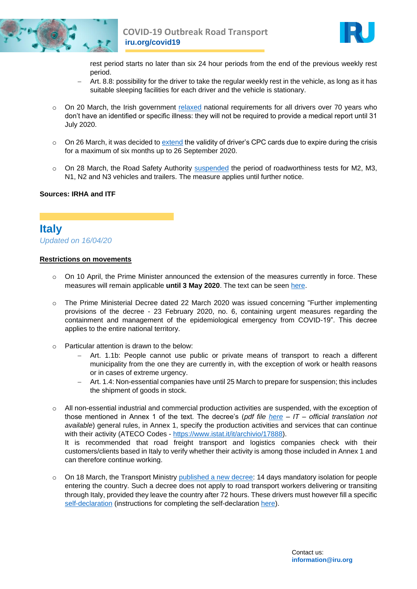



rest period starts no later than six 24 hour periods from the end of the previous weekly rest period.

- Art. 8.8: possibility for the driver to take the regular weekly rest in the vehicle, as long as it has suitable sleeping facilities for each driver and the vehicle is stationary.
- $\circ$  On 20 March, the Irish government [relaxed](http://www.irishstatutebook.ie/eli/2020/si/86/made/en/pdf) national requirements for all drivers over 70 years who don't have an identified or specific illness: they will not be required to provide a medical report until 31 July 2020.
- $\circ$  On 26 March, it was decided to [extend](https://www.rsa.ie/en/RSA/Professional-Drivers/Driver-Hours/) the validity of driver's CPC cards due to expire during the crisis for a maximum of six months up to 26 September 2020.
- o On 28 March, the Road Safety Authority [suspended](https://www.rsa.ie/en/Utility/News/Alerts/Coronavirus-COVIDID--19--No-Disruption-to-RSA-Services/) the period of roadworthiness tests for M2, M3, N1, N2 and N3 vehicles and trailers. The measure applies until further notice.

#### **Sources: IRHA and ITF**

### **Italy** *Updated on 16/04/20*

#### **Restrictions on movements**

- $\circ$  On 10 April, the Prime Minister announced the extension of the measures currently in force. These measures will remain applicable until 3 May 2020. The text can be seen [here.](https://www.gazzettaufficiale.it/eli/gu/2020/04/11/97/sg/pdf)
- $\circ$  The Prime Ministerial Decree dated 22 March 2020 was issued concerning "Further implementing provisions of the decree - 23 February 2020, no. 6, containing urgent measures regarding the containment and management of the epidemiological emergency from COVID-19". This decree applies to the entire national territory.
- o Particular attention is drawn to the below:
	- Art. 1.1b: People cannot use public or private means of transport to reach a different municipality from the one they are currently in, with the exception of work or health reasons or in cases of extreme urgency.
	- Art. 1.4: Non-essential companies have until 25 March to prepare for suspension; this includes the shipment of goods in stock.
- All non-essential industrial and commercial production activities are suspended, with the exception of those mentioned in Annex 1 of the text. The decree's (*pdf file [here](https://www.iru.org/apps/cms-filesystem-action?file=/flashinfo/New%20decree%20Italy_23.03.pdf) – IT – official translation not available*) general rules, in Annex 1, specify the production activities and services that can continue with their activity (ATECO Codes - [https://www.istat.it/it/archivio/17888\)](https://www.istat.it/it/archivio/17888).

It is recommended that road freight transport and logistics companies check with their customers/clients based in Italy to verify whether their activity is among those included in Annex 1 and can therefore continue working.

o On 18 March, the Transport Ministry [published a new decree:](http://www.mit.gov.it/sites/default/files/media/notizia/2020-03/DM_120_2020.pdf) 14 days mandatory isolation for people entering the country. Such a decree does not apply to road transport workers delivering or transiting through Italy, provided they leave the country after 72 hours. These drivers must however fill a specific [self-declaration](http://www.mit.gov.it/sites/default/files/media/documentazione/2020-04/14%20APR.%20MODELLO%20DICHIARAZIONE%20CONDUCENTI.pdf) (instructions for completing the self-declaration [here\)](https://www.iru.org/apps/cms-filesystem-action?file=/flashinfo/INSTRUCTIONS%20FOR%20COMPLETING%20THE%20SELF-DECLARATION.pdf).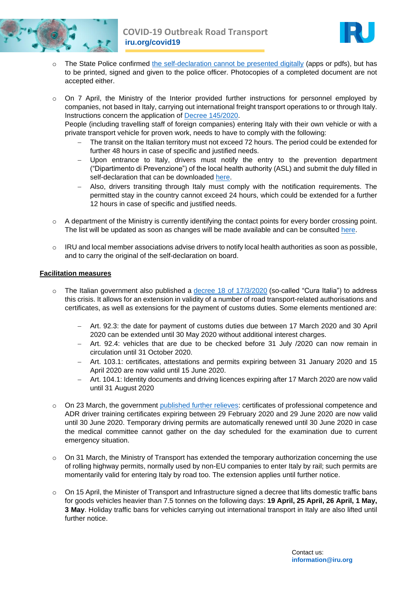



- o The State Police confirmed the self-declaration [cannot be presented digitally](https://www.poliziadistato.it/articolo/155e727296ce090693527218) (apps or pdfs), but has to be printed, signed and given to the police officer. Photocopies of a completed document are not accepted either.
- o On 7 April, the Ministry of the Interior provided further instructions for personnel employed by companies, not based in Italy, carrying out international freight transport operations to or through Italy. Instructions concern the application of [Decree 145/2020.](http://www.mit.gov.it/sites/default/files/media/notizia/2020-04/DECRETO%20NR.%20145%20DEL%203%20APRILE%202020_0.pdf) People (including travelling staff of foreign companies) entering Italy with their own vehicle or with a private transport vehicle for proven work, needs to have to comply with the following:
	- The transit on the Italian territory must not exceed 72 hours. The period could be extended for further 48 hours in case of specific and justified needs.
	- Upon entrance to Italy, drivers must notify the entry to the prevention department ("Dipartimento di Prevenzione") of the local health authority (ASL) and submit the duly filled in self-declaration that can be downloaded [here.](http://www.mit.gov.it/documentazione/autotrasporto-merci-circolari)
	- Also, drivers transiting through Italy must comply with the notification requirements. The permitted stay in the country cannot exceed 24 hours, which could be extended for a further 12 hours in case of specific and justified needs.
- $\circ$  A department of the Ministry is currently identifying the contact points for every border crossing point. The list will be updated as soon as changes will be made available and can be consulted [here.](https://www.iru.org/apps/cms-filesystem-action?file=/flashinfo/ASL%20contact%20points%20140420.pdf)
- $\circ$  IRU and local member associations advise drivers to notify local health authorities as soon as possible, and to carry the original of the self-declaration on board.

#### **Facilitation measures**

- $\circ$  The Italian government also published a [decree 18 of 17/3/2020](http://www.governo.it/sites/new.governo.it/files/documenti/documenti/Notizie-allegati/covid-19/decreto_20200317.pdf) (so-called "Cura Italia") to address this crisis. It allows for an extension in validity of a number of road transport-related authorisations and certificates, as well as extensions for the payment of customs duties. Some elements mentioned are:
	- Art. 92.3: the date for payment of customs duties due between 17 March 2020 and 30 April 2020 can be extended until 30 May 2020 without additional interest charges.
	- Art. 92.4: vehicles that are due to be checked before 31 July /2020 can now remain in circulation until 31 October 2020.
	- Art. 103.1: certificates, attestations and permits expiring between 31 January 2020 and 15 April 2020 are now valid until 15 June 2020.
	- Art. 104.1: Identity documents and driving licences expiring after 17 March 2020 are now valid until 31 August 2020
- o On 23 March, the government [published further relieves:](https://www.iru.org/apps/cms-filesystem-action?file=/flashinfo/gazzetta%20ufficiale%20230320.pdf) certificates of professional competence and ADR driver training certificates expiring between 29 February 2020 and 29 June 2020 are now valid until 30 June 2020. Temporary driving permits are automatically renewed until 30 June 2020 in case the medical committee cannot gather on the day scheduled for the examination due to current emergency situation.
- $\circ$  On 31 March, the Ministry of Transport has extended the temporary authorization concerning the use of rolling highway permits, normally used by non-EU companies to enter Italy by rail; such permits are momentarily valid for entering Italy by road too. The extension applies until further notice.
- o On 15 April, the Minister of Transport and Infrastructure signed a decree that lifts domestic traffic bans for goods vehicles heavier than 7.5 tonnes on the following days: **19 April, 25 April, 26 April, 1 May, 3 May**. Holiday traffic bans for vehicles carrying out international transport in Italy are also lifted until further notice.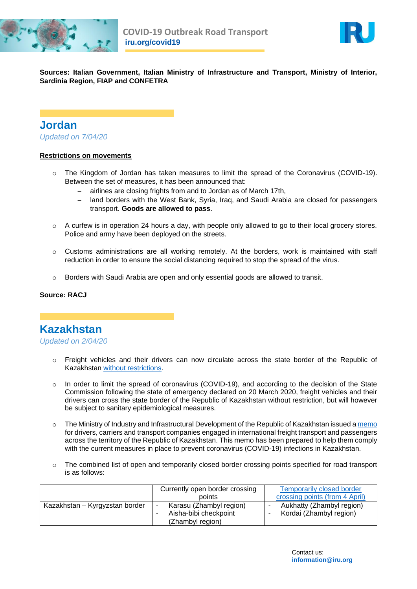



**Sources: Italian Government, Italian Ministry of Infrastructure and Transport, Ministry of Interior, Sardinia Region, FIAP and CONFETRA**

### **Jordan** *Updated on 7/04/20*

#### **Restrictions on movements**

- o The Kingdom of Jordan has taken measures to limit the spread of the Coronavirus (COVID-19). Between the set of measures, it has been announced that:
	- airlines are closing frights from and to Jordan as of March 17th,
	- land borders with the West Bank, Syria, Iraq, and Saudi Arabia are closed for passengers transport. **Goods are allowed to pass**.
- o A curfew is in operation 24 hours a day, with people only allowed to go to their local grocery stores. Police and army have been deployed on the streets.
- $\circ$  Customs administrations are all working remotely. At the borders, work is maintained with staff reduction in order to ensure the social distancing required to stop the spread of the virus.
- o Borders with Saudi Arabia are open and only essential goods are allowed to transit.

#### **Source: RACJ**

**Kazakhstan**

*Updated on 2/04/20* 

- o Freight vehicles and their drivers can now circulate across the state border of the Republic of Kazakhstan [without restrictions.](https://www.kazato.kz/posts/propusk-gruzovyh-avtotransportnyh-sredstv-i-ih-voditelej-cherez-gosudarstvennuyu-granicu-respubliki-kazahstan-osushestvlyaetsya-bez-ogranichenij)
- o In order to limit the spread of coronavirus (COVID-19), and according to the decision of the State Commission following the state of emergency declared on 20 March 2020, freight vehicles and their drivers can cross the state border of the Republic of Kazakhstan without restriction, but will however be subject to sanitary epidemiological measures.
- $\circ$  The Ministry of Industry and Infrastructural Development of the Republic of Kazakhstan issued a [memo](https://www.iru.org/apps/cms-filesystem-action?file=/flashinfo/Memo%20Kazakhstan.pdf) for drivers, carriers and transport companies engaged in international freight transport and passengers across the territory of the Republic of Kazakhstan. This memo has been prepared to help them comply with the current measures in place to prevent coronavirus (COVID-19) infections in Kazakhstan.
- $\circ$  The combined list of open and temporarily closed border crossing points specified for road transport is as follows:

|                                | Currently open border crossing | Temporarily closed border      |
|--------------------------------|--------------------------------|--------------------------------|
|                                | points                         | crossing points (from 4 April) |
| Kazakhstan – Kyrgyzstan border | Karasu (Zhambyl region)        | Aukhatty (Zhambyl region)      |
|                                | Aisha-bibi checkpoint          | Kordai (Zhambyl region)        |
|                                | (Zhambyl region)               |                                |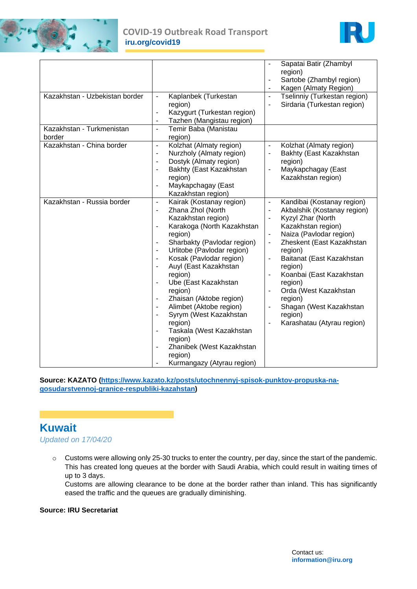

### **COVID-19 Outbreak Road Transport iru.org/covid19**



|                                |                                                         | Sapatai Batir (Zhambyl                                |
|--------------------------------|---------------------------------------------------------|-------------------------------------------------------|
|                                |                                                         | region)                                               |
|                                |                                                         | Sartobe (Zhambyl region)<br>$\blacksquare$            |
|                                |                                                         | Kagen (Almaty Region)                                 |
| Kazakhstan - Uzbekistan border | Kaplanbek (Turkestan<br>$\overline{\phantom{a}}$        | Tselinniy (Turkestan region)<br>$\blacksquare$        |
|                                | region)                                                 | Sirdaria (Turkestan region)                           |
|                                | Kazygurt (Turkestan region)<br>$\overline{\phantom{a}}$ |                                                       |
|                                | Tazhen (Mangistau region)<br>٠                          |                                                       |
| Kazakhstan - Turkmenistan      | Temir Baba (Manistau<br>$\blacksquare$                  |                                                       |
| border                         | region)                                                 |                                                       |
| Kazakhstan - China border      | Kolzhat (Almaty region)<br>$\blacksquare$               | Kolzhat (Almaty region)                               |
|                                | Nurzholy (Almaty region)<br>$\overline{\phantom{a}}$    | Bakhty (East Kazakhstan<br>ä,                         |
|                                | Dostyk (Almaty region)<br>$\overline{\phantom{a}}$      | region)                                               |
|                                | Bakhty (East Kazakhstan<br>$\blacksquare$               | Maykapchagay (East                                    |
|                                | region)                                                 | Kazakhstan region)                                    |
|                                | Maykapchagay (East<br>÷,                                |                                                       |
|                                | Kazakhstan region)                                      |                                                       |
| Kazakhstan - Russia border     | Kairak (Kostanay region)<br>$\blacksquare$              | Kandibai (Kostanay region)<br>$\blacksquare$          |
|                                | Zhana Zhol (North<br>$\blacksquare$                     | Akbalshik (Kostanay region)<br>$\blacksquare$         |
|                                | Kazakhstan region)                                      | Kyzyl Zhar (North<br>$\blacksquare$                   |
|                                | Karakoga (North Kazakhstan<br>$\blacksquare$            | Kazakhstan region)                                    |
|                                | region)                                                 | Naiza (Pavlodar region)<br>$\blacksquare$             |
|                                | Sharbakty (Pavlodar region)<br>$\blacksquare$           | Zheskent (East Kazakhstan<br>$\frac{1}{2}$            |
|                                | Urlitobe (Pavlodar region)<br>$\overline{\phantom{a}}$  | region)                                               |
|                                | Kosak (Pavlodar region)<br>$\blacksquare$               | Baitanat (East Kazakhstan<br>$\overline{\phantom{a}}$ |
|                                | Auyl (East Kazakhstan<br>$\overline{\phantom{a}}$       | region)                                               |
|                                | region)                                                 | Koanbai (East Kazakhstan                              |
|                                | Ube (East Kazakhstan<br>$\overline{\phantom{a}}$        | region)                                               |
|                                | region)                                                 | Orda (West Kazakhstan                                 |
|                                | Zhaisan (Aktobe region)<br>$\blacksquare$               | region)                                               |
|                                | Alimbet (Aktobe region)<br>$\overline{\phantom{a}}$     | Shagan (West Kazakhstan                               |
|                                | Syrym (West Kazakhstan<br>$\overline{\phantom{a}}$      | region)                                               |
|                                | region)                                                 | Karashatau (Atyrau region)                            |
|                                | Taskala (West Kazakhstan<br>$\overline{\phantom{a}}$    |                                                       |
|                                | region)                                                 |                                                       |
|                                | Zhanibek (West Kazakhstan<br>$\overline{\phantom{a}}$   |                                                       |
|                                | region)                                                 |                                                       |
|                                | Kurmangazy (Atyrau region)<br>٠                         |                                                       |

**Source: KAZATO [\(https://www.kazato.kz/posts/utochnennyj-spisok-punktov-propuska-na](https://www.kazato.kz/posts/utochnennyj-spisok-punktov-propuska-na-gosudarstvennoj-granice-respubliki-kazahstan)[gosudarstvennoj-granice-respubliki-kazahstan\)](https://www.kazato.kz/posts/utochnennyj-spisok-punktov-propuska-na-gosudarstvennoj-granice-respubliki-kazahstan)**

## **Kuwait**

*Updated on 17/04/20*

o Customs were allowing only 25-30 trucks to enter the country, per day, since the start of the pandemic. This has created long queues at the border with Saudi Arabia, which could result in waiting times of up to 3 days.

Customs are allowing clearance to be done at the border rather than inland. This has significantly eased the traffic and the queues are gradually diminishing.

#### **Source: IRU Secretariat**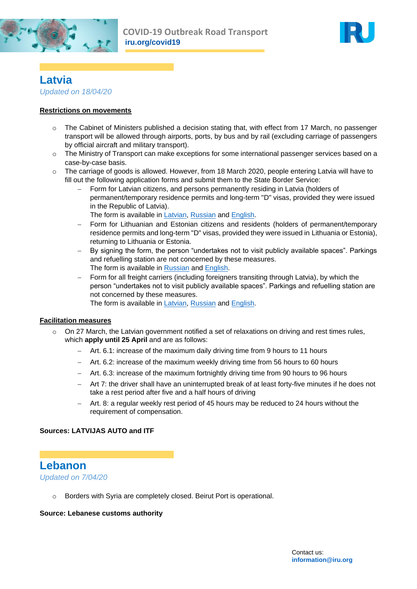



**Latvia** *Updated on 18/04/20*

#### **Restrictions on movements**

- $\circ$  The Cabinet of Ministers published a decision stating that, with effect from 17 March, no passenger transport will be allowed through airports, ports, by bus and by rail (excluding carriage of passengers by official aircraft and military transport).
- $\circ$  The Ministry of Transport can make exceptions for some international passenger services based on a case-by-case basis.
- o The carriage of goods is allowed. However, from 18 March 2020, people entering Latvia will have to fill out the following application forms and submit them to the State Border Service:
	- Form for Latvian citizens, and persons permanently residing in Latvia (holders of permanent/temporary residence permits and long-term "D" visas, provided they were issued in the Republic of Latvia).
		- The form is available in [Latvian,](http://www.sam.gov.lv/images/modules/items/PDF/item_8587_anketas_LV_parvadatajs_LATVISKI.pdf) [Russian](http://www.sam.gov.lv/images/modules/items/PDF/item_8588_anketas_LV_parvadatajs_KRIEVISKI.pdf) and [English.](http://www.sam.gov.lv/images/modules/items/PDF/item_8590_anketas_LV_parvadatajs_ANGLISKI.pdf)
	- Form for Lithuanian and Estonian citizens and residents (holders of permanent/temporary residence permits and long-term "D" visas, provided they were issued in Lithuania or Estonia), returning to Lithuania or Estonia.
	- By signing the form, the person "undertakes not to visit publicly available spaces". Parkings and refuelling station are not concerned by these measures. The form is available in [Russian](http://www.sam.gov.lv/images/modules/items/PDF/item_8593_anketas_LTU_EST_parvadatajs_KRIEVISKI.pdf) and [English.](http://www.sam.gov.lv/images/modules/items/PDF/item_8592_anketas_LTU_EST_parvadatajs_ANGLISKI.pdf)
	- Form for all freight carriers (including foreigners transiting through Latvia), by which the person "undertakes not to visit publicly available spaces". Parkings and refuelling station are not concerned by these measures.
		- The form is available in [Latvian,](http://www.sam.gov.lv/images/modules/items/PDF/item_8595_Kravu_parvadatajs_alpiecinajums_LATVISKI.doc.pdf) [Russian](http://www.sam.gov.lv/images/modules/items/PDF/item_8597_Kravu_parvadatajs_alpiecinajums_KRIEVISKI.pdf) and [English.](http://www.sam.gov.lv/images/modules/items/PDF/item_8596_Kravu_parvadatajs_alpiecinajums_ANGLISKI.doc.pdf)

#### **Facilitation measures**

- $\circ$  On 27 March, the Latvian government notified a set of relaxations on driving and rest times rules, which **apply until 25 April** and are as follows:
	- Art. 6.1: increase of the maximum daily driving time from 9 hours to 11 hours
	- Art. 6.2: increase of the maximum weekly driving time from 56 hours to 60 hours
	- Art. 6.3: increase of the maximum fortnightly driving time from 90 hours to 96 hours
	- Art 7: the driver shall have an uninterrupted break of at least forty-five minutes if he does not take a rest period after five and a half hours of driving
	- Art. 8: a regular weekly rest period of 45 hours may be reduced to 24 hours without the requirement of compensation.

#### **Sources: LATVIJAS AUTO and ITF**

### **Lebanon**

*Updated on 7/04/20*

o Borders with Syria are completely closed. Beirut Port is operational.

#### **Source: Lebanese customs authority**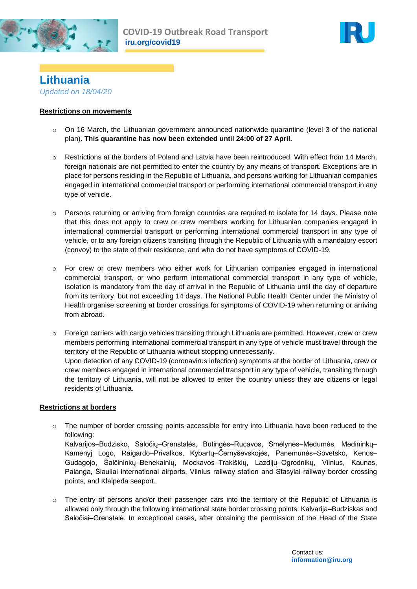



**Lithuania** *Updated on 18/04/20*

#### **Restrictions on movements**

- $\circ$  On 16 March, the Lithuanian government announced nationwide quarantine (level 3 of the national plan). **This quarantine has now been extended until 24:00 of 27 April.**
- o Restrictions at the borders of Poland and Latvia have been reintroduced. With effect from 14 March, foreign nationals are not permitted to enter the country by any means of transport. Exceptions are in place for persons residing in the Republic of Lithuania, and persons working for Lithuanian companies engaged in international commercial transport or performing international commercial transport in any type of vehicle.
- $\circ$  Persons returning or arriving from foreign countries are required to isolate for 14 days. Please note that this does not apply to crew or crew members working for Lithuanian companies engaged in international commercial transport or performing international commercial transport in any type of vehicle, or to any foreign citizens transiting through the Republic of Lithuania with a mandatory escort (convoy) to the state of their residence, and who do not have symptoms of COVID-19.
- o For crew or crew members who either work for Lithuanian companies engaged in international commercial transport, or who perform international commercial transport in any type of vehicle, isolation is mandatory from the day of arrival in the Republic of Lithuania until the day of departure from its territory, but not exceeding 14 days. The National Public Health Center under the Ministry of Health organise screening at border crossings for symptoms of COVID-19 when returning or arriving from abroad.
- $\circ$  Foreign carriers with cargo vehicles transiting through Lithuania are permitted. However, crew or crew members performing international commercial transport in any type of vehicle must travel through the territory of the Republic of Lithuania without stopping unnecessarily. Upon detection of any COVID-19 (coronavirus infection) symptoms at the border of Lithuania, crew or crew members engaged in international commercial transport in any type of vehicle, transiting through the territory of Lithuania, will not be allowed to enter the country unless they are citizens or legal residents of Lithuania.

#### **Restrictions at borders**

 $\circ$  The number of border crossing points accessible for entry into Lithuania have been reduced to the following:

Kalvarijos–Budzisko, Saločių–Grenstalės, Būtingės–Rucavos, Smėlynės–Medumės, Medininkų– Kamenyj Logo, Raigardo–Privalkos, Kybartų–Černyševskojės, Panemunės–Sovetsko, Kenos– Gudagojo, Šalčininkų–Benekainių, Mockavos–Trakiškių, Lazdijų–Ogrodnikų, Vilnius, Kaunas, Palanga, Šiauliai international airports, Vilnius railway station and Stasylai railway border crossing points, and Klaipeda seaport.

 $\circ$  The entry of persons and/or their passenger cars into the territory of the Republic of Lithuania is allowed only through the following international state border crossing points: Kalvarija–Budziskas and Saločiai–Grenstalė. In exceptional cases, after obtaining the permission of the Head of the State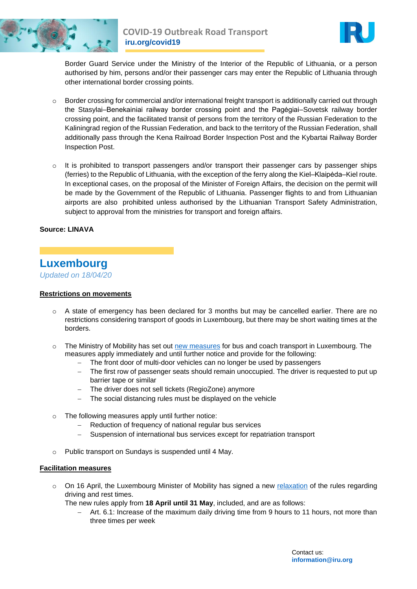



Border Guard Service under the Ministry of the Interior of the Republic of Lithuania, or a person authorised by him, persons and/or their passenger cars may enter the Republic of Lithuania through other international border crossing points.

- $\circ$  Border crossing for commercial and/or international freight transport is additionally carried out through the Stasylai–Benekainiai railway border crossing point and the Pagėgiai–Sovetsk railway border crossing point, and the facilitated transit of persons from the territory of the Russian Federation to the Kaliningrad region of the Russian Federation, and back to the territory of the Russian Federation, shall additionally pass through the Kena Railroad Border Inspection Post and the Kybartai Railway Border Inspection Post.
- $\circ$  It is prohibited to transport passengers and/or transport their passenger cars by passenger ships (ferries) to the Republic of Lithuania, with the exception of the ferry along the Kiel–Klaipėda–Kiel route. In exceptional cases, on the proposal of the Minister of Foreign Affairs, the decision on the permit will be made by the Government of the Republic of Lithuania. Passenger flights to and from Lithuanian airports are also prohibited unless authorised by the Lithuanian Transport Safety Administration, subject to approval from the ministries for transport and foreign affairs.

#### **Source: LINAVA**

## **Luxembourg**

*Updated on 18/04/20*

#### **Restrictions on movements**

- $\circ$  A state of emergency has been declared for 3 months but may be cancelled earlier. There are no restrictions considering transport of goods in Luxembourg, but there may be short waiting times at the borders.
- $\circ$  The Ministry of Mobility has set out [new measures](https://mmtp.gouvernement.lu/fr/actualites.gouvernement%2Bfr%2Bactualites%2Btoutes_actualites%2Bcommuniques%2B2020%2B03-mars%2B13-transport-public.html) for bus and coach transport in Luxembourg. The measures apply immediately and until further notice and provide for the following:
	- The front door of multi-door vehicles can no longer be used by passengers
	- The first row of passenger seats should remain unoccupied. The driver is requested to put up barrier tape or similar
	- The driver does not sell tickets (RegioZone) anymore
	- The social distancing rules must be displayed on the vehicle
- o The following measures apply until further notice:
	- Reduction of frequency of national regular bus services
	- Suspension of international bus services except for repatriation transport
- o Public transport on Sundays is suspended until 4 May.

#### **Facilitation measures**

o On 16 April, the Luxembourg Minister of Mobility has signed a new [relaxation](http://legilux.public.lu/eli/etat/leg/rmin/2020/04/16/a292/jo) of the rules regarding driving and rest times.

The new rules apply from **18 April until 31 May**, included, and are as follows:

 Art. 6.1: Increase of the maximum daily driving time from 9 hours to 11 hours, not more than three times per week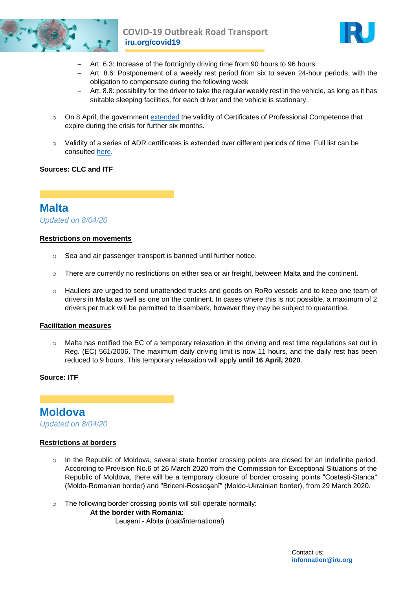



- Art. 6.3: Increase of the fortnightly driving time from 90 hours to 96 hours
- Art. 8.6: Postponement of a weekly rest period from six to seven 24-hour periods, with the obligation to compensate during the following week
- Art. 8.8: possibility for the driver to take the regular weekly rest in the vehicle, as long as it has suitable sleeping facilities, for each driver and the vehicle is stationary.
- On 8 April, the government [extended](http://legilux.public.lu/eli/etat/leg/rgd/2020/04/08/a257/jo) the validity of Certificates of Professional Competence that expire during the crisis for further six months.
- $\circ$  Validity of a series of ADR certificates is extended over different periods of time. Full list can be consulted [here.](https://www.itf-oecd.org/sites/default/files/docs/l-measures-covid19_0.pdf)

#### **Sources: CLC and ITF**

# **Malta**

*Updated on 8/04/20*

#### **Restrictions on movements**

- o Sea and air passenger transport is banned until further notice.
- o There are currently no restrictions on either sea or air freight, between Malta and the continent.
- o Hauliers are urged to send unattended trucks and goods on RoRo vessels and to keep one team of drivers in Malta as well as one on the continent. In cases where this is not possible, a maximum of 2 drivers per truck will be permitted to disembark, however they may be subject to quarantine.

#### **Facilitation measures**

 $\circ$  Malta has notified the EC of a temporary relaxation in the driving and rest time regulations set out in Reg. (EC) 561/2006. The maximum daily driving limit is now 11 hours, and the daily rest has been reduced to 9 hours. This temporary relaxation will apply **until 16 April, 2020**.

#### **Source: ITF**

**Moldova** *Updated on 8/04/20*

#### **Restrictions at borders**

- o In the Republic of Moldova, several state border crossing points are closed for an indefinite period. According to Provision No.6 of 26 March 2020 from the Commission for Exceptional Situations of the Republic of Moldova, there will be a temporary closure of border crossing points "Costești-Stanca" (Moldo-Romanian border) and "Briceni-Rossoșanî" (Moldo-Ukrainian border), from 29 March 2020.
- o The following border crossing points will still operate normally:
	- **At the border with Romania**:

Leuseni - Albița (road/international)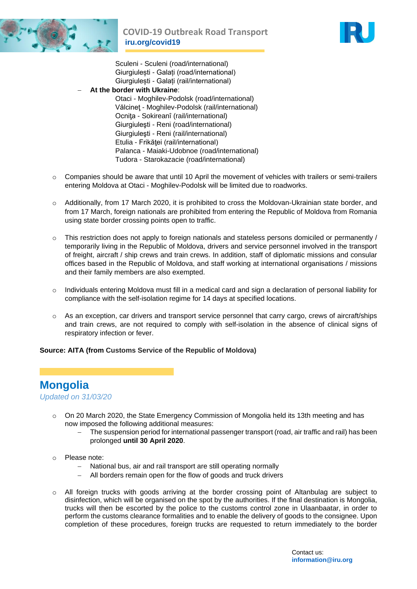

**COVID-19 Outbreak Road Transport iru.org/covid19**



Sculeni - Sculeni (road/international) Giurgiulești - Galați (road/international) Giurgiulești - Galați (rail/international)

**At the border with Ukraine**:

Otaci - Moghilev-Podolsk (road/international) Vălcinet - Moghilev-Podolsk (rail/international) Ocnita - Sokireanî (rail/international) Giurgiuleşti - Reni (road/international) Giurgiuleşti - Reni (rail/international) Etulia - Frikăţei (rail/international) Palanca - Maiaki-Udobnoe (road/international) Tudora - Starokazacie (road/international)

- $\circ$  Companies should be aware that until 10 April the movement of vehicles with trailers or semi-trailers entering Moldova at Otaci - Moghilev-Podolsk will be limited due to roadworks.
- o Additionally, from 17 March 2020, it is prohibited to cross the Moldovan-Ukrainian state border, and from 17 March, foreign nationals are prohibited from entering the Republic of Moldova from Romania using state border crossing points open to traffic.
- $\circ$  This restriction does not apply to foreign nationals and stateless persons domiciled or permanently / temporarily living in the Republic of Moldova, drivers and service personnel involved in the transport of freight, aircraft / ship crews and train crews. In addition, staff of diplomatic missions and consular offices based in the Republic of Moldova, and staff working at international organisations / missions and their family members are also exempted.
- o Individuals entering Moldova must fill in a medical card and sign a declaration of personal liability for compliance with the self-isolation regime for 14 days at specified locations.
- $\circ$  As an exception, car drivers and transport service personnel that carry cargo, crews of aircraft/ships and train crews, are not required to comply with self-isolation in the absence of clinical signs of respiratory infection or fever.

**Source: AITA (from Customs Service of the Republic of Moldova)**

## **Mongolia**

*Updated on 31/03/20*

- o On 20 March 2020, the State Emergency Commission of Mongolia held its 13th meeting and has now imposed the following additional measures:
	- The suspension period for international passenger transport (road, air traffic and rail) has been prolonged **until 30 April 2020**.
- o Please note:
	- National bus, air and rail transport are still operating normally
	- All borders remain open for the flow of goods and truck drivers
- o All foreign trucks with goods arriving at the border crossing point of Altanbulag are subject to disinfection, which will be organised on the spot by the authorities. If the final destination is Mongolia, trucks will then be escorted by the police to the customs control zone in Ulaanbaatar, in order to perform the customs clearance formalities and to enable the delivery of goods to the consignee. Upon completion of these procedures, foreign trucks are requested to return immediately to the border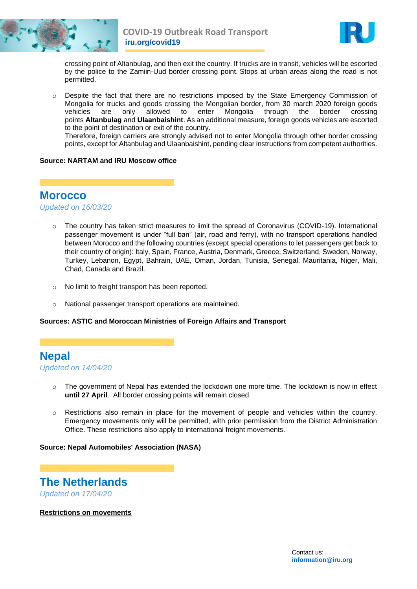



crossing point of Altanbulag, and then exit the country. If trucks are in transit, vehicles will be escorted by the police to the Zamiin-Uud border crossing point. Stops at urban areas along the road is not permitted.

 $\circ$  Despite the fact that there are no restrictions imposed by the State Emergency Commission of Mongolia for trucks and goods crossing the Mongolian border, from 30 march 2020 foreign goods vehicles are only allowed to enter Mongolia through the border crossing points **Altanbulag** and **Ulaanbaishint**. As an additional measure, foreign goods vehicles are escorted to the point of destination or exit of the country.

Therefore, foreign carriers are strongly advised not to enter Mongolia through other border crossing points, except for Altanbulag and Ulaanbaishint, pending clear instructions from competent authorities.

#### **Source: NARTAM and IRU Moscow office**

### **Morocco**

*Updated on 16/03/20*

- o The country has taken strict measures to limit the spread of Coronavirus (COVID-19). International passenger movement is under "full ban" (air, road and ferry), with no transport operations handled between Morocco and the following countries (except special operations to let passengers get back to their country of origin): Italy, Spain, France, Austria, Denmark, Greece, Switzerland, Sweden, Norway, Turkey, Lebanon, Egypt, Bahrain, UAE, Oman, Jordan, Tunisia, Senegal, Mauritania, Niger, Mali, Chad, Canada and Brazil.
- o No limit to freight transport has been reported.
- National passenger transport operations are maintained.

#### **Sources: ASTIC and Moroccan Ministries of Foreign Affairs and Transport**

### **Nepal**

#### *Updated on 14/04/20*

- $\circ$  The government of Nepal has extended the lockdown one more time. The lockdown is now in effect **until 27 April**. All border crossing points will remain closed.
- o Restrictions also remain in place for the movement of people and vehicles within the country. Emergency movements only will be permitted, with prior permission from the District Administration Office. These restrictions also apply to international freight movements.

#### **Source: Nepal Automobiles' Association (NASA)**

### **The Netherlands** *Updated on 17/04/20*

#### **Restrictions on movements**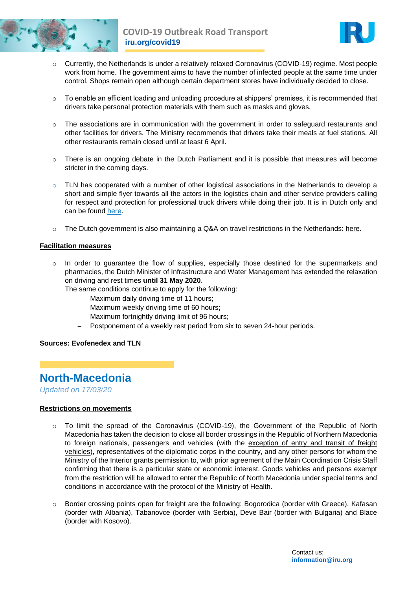



- o Currently, the Netherlands is under a relatively relaxed Coronavirus (COVID-19) regime. Most people work from home. The government aims to have the number of infected people at the same time under control. Shops remain open although certain department stores have individually decided to close.
- $\circ$  To enable an efficient loading and unloading procedure at shippers' premises, it is recommended that drivers take personal protection materials with them such as masks and gloves.
- o The associations are in communication with the government in order to safeguard restaurants and other facilities for drivers. The Ministry recommends that drivers take their meals at fuel stations. All other restaurants remain closed until at least 6 April.
- $\circ$  There is an ongoing debate in the Dutch Parliament and it is possible that measures will become stricter in the coming days.
- $\circ$  TLN has cooperated with a number of other logistical associations in the Netherlands to develop a short and simple flyer towards all the actors in the logistics chain and other service providers calling for respect and protection for professional truck drivers while doing their job. It is in Dutch only and can be found [here.](https://www.tln.nl/app/uploads/2020/03/Pamflet-sector-transport-en-logistiek.pdf)
- o The Dutch government is also maintaining a Q&A on travel restrictions in the Netherlands: [here.](https://www.netherlandsandyou.nl/travel-and-residence/visas-for-the-netherlands/qas-travel-restrictions-for-the-netherlands)

#### **Facilitation measures**

 $\circ$  In order to guarantee the flow of supplies, especially those destined for the supermarkets and pharmacies, the Dutch Minister of Infrastructure and Water Management has extended the relaxation on driving and rest times **until 31 May 2020**.

The same conditions continue to apply for the following:

- Maximum daily driving time of 11 hours;
- Maximum weekly driving time of 60 hours;
- Maximum fortnightly driving limit of 96 hours;
- Postponement of a weekly rest period from six to seven 24-hour periods.

#### **Sources: Evofenedex and TLN**

## **North-Macedonia**

*Updated on 17/03/20* 

#### **Restrictions on movements**

- o To limit the spread of the Coronavirus (COVID-19), the Government of the Republic of North Macedonia has taken the decision to close all border crossings in the Republic of Northern Macedonia to foreign nationals, passengers and vehicles (with the exception of entry and transit of freight vehicles), representatives of the diplomatic corps in the country, and any other persons for whom the Ministry of the Interior grants permission to, with prior agreement of the Main Coordination Crisis Staff confirming that there is a particular state or economic interest. Goods vehicles and persons exempt from the restriction will be allowed to enter the Republic of North Macedonia under special terms and conditions in accordance with the protocol of the Ministry of Health.
- o Border crossing points open for freight are the following: Bogorodica (border with Greece), Kafasan (border with Albania), Tabanovce (border with Serbia), Deve Bair (border with Bulgaria) and Blace (border with Kosovo).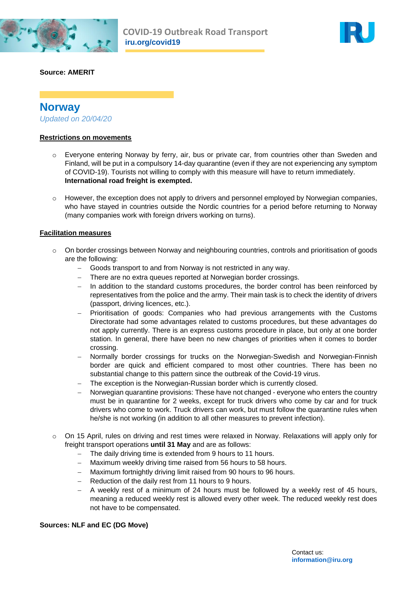



**Source: AMERIT**

**Norway** *Updated on 20/04/20*

#### **Restrictions on movements**

- o Everyone entering Norway by ferry, air, bus or private car, from countries other than Sweden and Finland, will be put in a compulsory 14-day quarantine (even if they are not experiencing any symptom of COVID-19). Tourists not willing to comply with this measure will have to return immediately. **International road freight is exempted.**
- However, the exception does not apply to drivers and personnel employed by Norwegian companies, who have stayed in countries outside the Nordic countries for a period before returning to Norway (many companies work with foreign drivers working on turns).

#### **Facilitation measures**

- $\circ$  On border crossings between Norway and neighbouring countries, controls and prioritisation of goods are the following:
	- Goods transport to and from Norway is not restricted in any way.
	- There are no extra queues reported at Norwegian border crossings.
	- In addition to the standard customs procedures, the border control has been reinforced by representatives from the police and the army. Their main task is to check the identity of drivers (passport, driving licences, etc.).
	- Prioritisation of goods: Companies who had previous arrangements with the Customs Directorate had some advantages related to customs procedures, but these advantages do not apply currently. There is an express customs procedure in place, but only at one border station. In general, there have been no new changes of priorities when it comes to border crossing.
	- Normally border crossings for trucks on the Norwegian-Swedish and Norwegian-Finnish border are quick and efficient compared to most other countries. There has been no substantial change to this pattern since the outbreak of the Covid-19 virus.
	- The exception is the Norwegian-Russian border which is currently closed.
	- Norwegian quarantine provisions: These have not changed everyone who enters the country must be in quarantine for 2 weeks, except for truck drivers who come by car and for truck drivers who come to work. Truck drivers can work, but must follow the quarantine rules when he/she is not working (in addition to all other measures to prevent infection).
- o On 15 April, rules on driving and rest times were relaxed in Norway. Relaxations will apply only for freight transport operations **until 31 May** and are as follows:
	- The daily driving time is extended from 9 hours to 11 hours.
	- Maximum weekly driving time raised from 56 hours to 58 hours.
	- Maximum fortnightly driving limit raised from 90 hours to 96 hours.
	- Reduction of the daily rest from 11 hours to 9 hours.
	- A weekly rest of a minimum of 24 hours must be followed by a weekly rest of 45 hours, meaning a reduced weekly rest is allowed every other week. The reduced weekly rest does not have to be compensated.

#### **Sources: NLF and EC (DG Move)**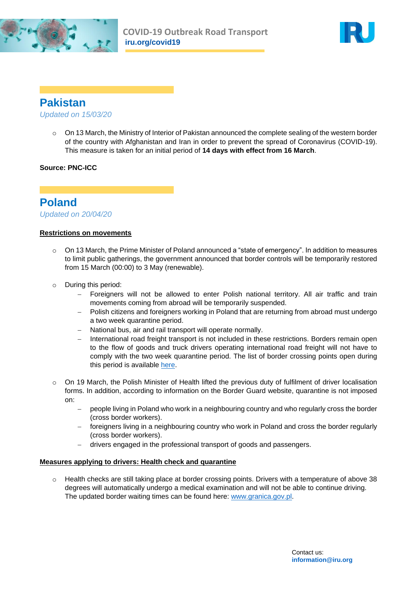



# **Pakistan**

*Updated on 15/03/20*

o On 13 March, the Ministry of Interior of Pakistan announced the complete sealing of the western border of the country with Afghanistan and Iran in order to prevent the spread of Coronavirus (COVID-19). This measure is taken for an initial period of **14 days with effect from 16 March**.

#### **Source: PNC-ICC**

# **Poland**

*Updated on 20/04/20*

#### **Restrictions on movements**

- o On 13 March, the Prime Minister of Poland announced a "state of emergency". In addition to measures to limit public gatherings, the government announced that border controls will be temporarily restored from 15 March (00:00) to 3 May (renewable).
- o During this period:
	- Foreigners will not be allowed to enter Polish national territory. All air traffic and train movements coming from abroad will be temporarily suspended.
	- Polish citizens and foreigners working in Poland that are returning from abroad must undergo a two week quarantine period.
	- National bus, air and rail transport will operate normally.
	- International road freight transport is not included in these restrictions. Borders remain open to the flow of goods and truck drivers operating international road freight will not have to comply with the two week quarantine period. The list of border crossing points open during this period is available [here.](https://www.iru.org/apps/cms-filesystem-action?file=/flashinfo/BCPs%20in%20Poland%20-%2018.03.20.pdf)
- $\circ$  On 19 March, the Polish Minister of Health lifted the previous duty of fulfilment of driver localisation forms. In addition, according to information on the Border Guard website, quarantine is not imposed on:
	- people living in Poland who work in a neighbouring country and who regularly cross the border (cross border workers).
	- foreigners living in a neighbouring country who work in Poland and cross the border regularly (cross border workers).
	- drivers engaged in the professional transport of goods and passengers.

#### **Measures applying to drivers: Health check and quarantine**

o Health checks are still taking place at border crossing points. Drivers with a temperature of above 38 degrees will automatically undergo a medical examination and will not be able to continue driving. The updated border waiting times can be found here: [www.granica.gov.pl.](http://www.granica.gov.pl/)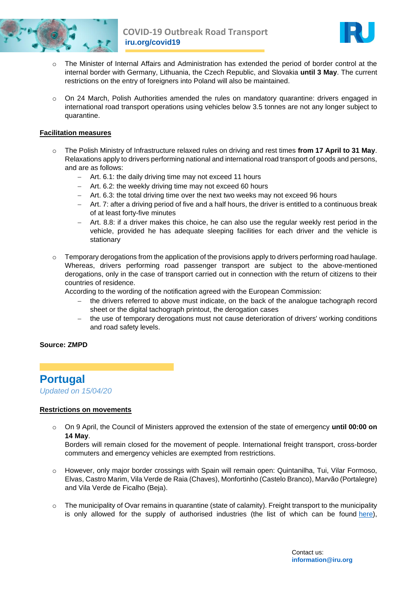



- o The Minister of Internal Affairs and Administration has extended the period of border control at the internal border with Germany, Lithuania, the Czech Republic, and Slovakia **until 3 May**. The current restrictions on the entry of foreigners into Poland will also be maintained.
- $\circ$  On 24 March, Polish Authorities amended the rules on mandatory quarantine: drivers engaged in international road transport operations using vehicles below 3.5 tonnes are not any longer subject to quarantine.

#### **Facilitation measures**

- o The Polish Ministry of Infrastructure relaxed rules on driving and rest times **from 17 April to 31 May**. Relaxations apply to drivers performing national and international road transport of goods and persons, and are as follows:
	- Art. 6.1: the daily driving time may not exceed 11 hours
	- Art. 6.2: the weekly driving time may not exceed 60 hours
	- Art. 6.3: the total driving time over the next two weeks may not exceed 96 hours
	- Art. 7: after a driving period of five and a half hours, the driver is entitled to a continuous break of at least forty-five minutes
	- Art. 8.8: if a driver makes this choice, he can also use the regular weekly rest period in the vehicle, provided he has adequate sleeping facilities for each driver and the vehicle is stationary
- Temporary derogations from the application of the provisions apply to drivers performing road haulage. Whereas, drivers performing road passenger transport are subject to the above-mentioned derogations, only in the case of transport carried out in connection with the return of citizens to their countries of residence.

According to the wording of the notification agreed with the European Commission:

- the drivers referred to above must indicate, on the back of the analogue tachograph record sheet or the digital tachograph printout, the derogation cases
- the use of temporary derogations must not cause deterioration of drivers' working conditions and road safety levels.

#### **Source: ZMPD**

## **Portugal**

*Updated on 15/04/20*

#### **Restrictions on movements**

o On 9 April, the Council of Ministers approved the extension of the state of emergency **until 00:00 on 14 May**.

Borders will remain closed for the movement of people. International freight transport, cross-border commuters and emergency vehicles are exempted from restrictions.

- o However, only major border crossings with Spain will remain open: Quintanilha, Tui, Vilar Formoso, Elvas, Castro Marim, Vila Verde de Raia (Chaves), Monfortinho (Castelo Branco), Marvão (Portalegre) and Vila Verde de Ficalho (Beja).
- $\circ$  The municipality of Ovar remains in quarantine (state of calamity). Freight transport to the municipality is only allowed for the supply of authorised industries (the list of which can be found [here\)](https://dre.pt/web/guest/home/-/dre/131193435/details/maximized?serie=II&day=2020-04-07&date=2020-04-01&dreId=131193433),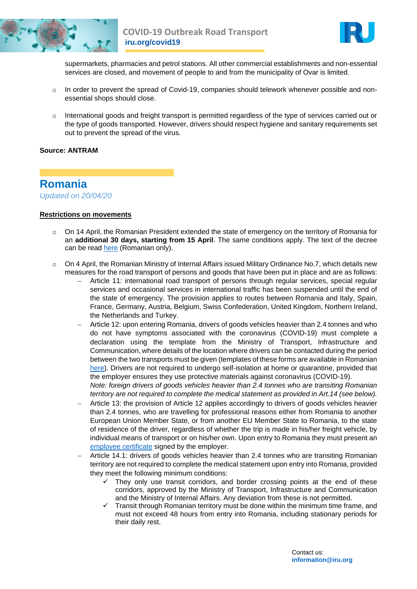



supermarkets, pharmacies and petrol stations. All other commercial establishments and non-essential services are closed, and movement of people to and from the municipality of Ovar is limited.

- o In order to prevent the spread of Covid-19, companies should telework whenever possible and nonessential shops should close.
- $\circ$  International goods and freight transport is permitted regardless of the type of services carried out or the type of goods transported. However, drivers should respect hygiene and sanitary requirements set out to prevent the spread of the virus.

#### **Source: ANTRAM**

### **Romania**

*Updated on 20/04/20*

#### **Restrictions on movements**

- $\circ$  On 14 April, the Romanian President extended the state of emergency on the territory of Romania for an **additional 30 days, starting from 15 April**. The same conditions apply. The text of the decree can be read [here](https://www.iru.org/apps/cms-filesystem-action?file=/flashinfo/14-04-2020-decret-privind-prelungirea-starii-de-urgenta.pdf) (Romanian only).
- o On 4 April, the Romanian Ministry of Internal Affairs issued Military Ordinance No.7, which details new measures for the road transport of persons and goods that have been put in place and are as follows:
	- Article 11: international road transport of persons through regular services, special regular services and occasional services in international traffic has been suspended until the end of the state of emergency. The provision applies to routes between Romania and Italy, Spain, France, Germany, Austria, Belgium, Swiss Confederation, United Kingdom, Northern Ireland, the Netherlands and Turkey.
	- Article 12: upon entering Romania, drivers of goods vehicles heavier than 2.4 tonnes and who do not have symptoms associated with the coronavirus (COVID-19) must complete a declaration using the template from the Ministry of Transport, Infrastructure and Communication, where details of the location where drivers can be contacted during the period between the two transports must be given (templates of these forms are available in Romanian [here\)](https://www.untrr.ro/userfiles/files/RO%20-%20formular%20COND%20AUTO%20ACTUALIZAT%20%20MTIC03.04.2020.pdf). Drivers are not required to undergo self-isolation at home or quarantine, provided that the employer ensures they use protective materials against coronavirus (COVID-19). *Note: foreign drivers of goods vehicles heavier than 2.4 tonnes who are transiting Romanian*

*territory are not required to complete the medical statement as provided in Art.14 (see below).*

- Article 13: the provision of Article 12 applies accordingly to drivers of goods vehicles heavier than 2.4 tonnes, who are travelling for professional reasons either from Romania to another European Union Member State, or from another EU Member State to Romania, to the state of residence of the driver, regardless of whether the trip is made in his/her freight vehicle, by individual means of transport or on his/her own. Upon entry to Romania they must present an [employee certificate](https://www.untrr.ro/userfiles/files/Adeverin%C8%9B%C4%83-angajator-in-engleza-1.pdf) signed by the employer.
- Article 14.1: drivers of goods vehicles heavier than 2.4 tonnes who are transiting Romanian territory are not required to complete the medical statement upon entry into Romania, provided they meet the following minimum conditions:
	- $\checkmark$  They only use transit corridors, and border crossing points at the end of these corridors, approved by the Ministry of Transport, Infrastructure and Communication and the Ministry of Internal Affairs. Any deviation from these is not permitted.
	- Transit through Romanian territory must be done within the minimum time frame, and must not exceed 48 hours from entry into Romania, including stationary periods for their daily rest.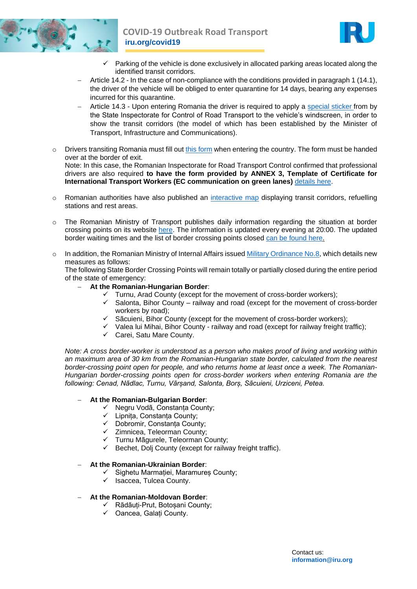



- Parking of the vehicle is done exclusively in allocated parking areas located along the identified transit corridors.
- Article 14.2 In the case of non-compliance with the conditions provided in paragraph 1 (14.1), the driver of the vehicle will be obliged to enter quarantine for 14 days, bearing any expenses incurred for this quarantine.
- Article 14.3 Upon entering Romania the driver is required to apply a [special sticker](https://www.untrr.ro/userfiles/files/tranzit%20romania%281%29.pdf) from by the State Inspectorate for Control of Road Transport to the vehicle's windscreen, in order to show the transit corridors (the model of which has been established by the Minister of Transport, Infrastructure and Communications).
- $\circ$  Drivers transiting Romania must fill out [this form](https://www.iru.org/apps/cms-filesystem-action?file=/flashinfo/romania.pdf) when entering the country. The form must be handed over at the border of exit. Note: In this case, the Romanian Inspectorate for Road Transport Control confirmed that professional drivers are also required **to have the form provided by ANNEX 3, Template of Certificate for International Transport Workers (EC communication on green lanes)** [details here.](https://www.untrr.ro/userfiles/files/ANEXA%203%20-%20Certicat%20emis%20de%20firma%20pentru%20transport%20international%20soferi%20profesionisti.pdf)
- $\circ$  Romanian authorities have also published an [interactive map](https://cestrin.maps.arcgis.com/apps/webappviewer/index.html?id=2cd8851109eb443ab4c09cb0ec96b054) displaying transit corridors, refuelling stations and rest areas.
- o The Romanian Ministry of Transport publishes daily information regarding the situation at border crossing points on its website [here.](http://www.mt.gov.ro/web14/) The information is updated every evening at 20:00. The updated border waiting times and the list of border crossing points closed [can be found here.](https://www.politiadefrontiera.ro/en/traficonline/?vt=2&dt=1)
- o In addition, the Romanian Ministry of Internal Affairs issue[d Military Ordinance No.8,](https://www.untrr.ro/userfiles/files/Military-Ordinance-no-8.pdf) which details new measures as follows:

The following State Border Crossing Points will remain totally or partially closed during the entire period of the state of emergency:

- **At the Romanian-Hungarian Border**:
	- $\checkmark$  Turnu, Arad County (except for the movement of cross-border workers);
	- $\checkmark$  Salonta, Bihor County railway and road (except for the movement of cross-border workers by road);
	- $\checkmark$  Sãcuieni, Bihor County (except for the movement of cross-border workers);
	- $\checkmark$  Valea lui Mihai, Bihor County railway and road (except for railway freight traffic);
	- $\checkmark$  Carei, Satu Mare County.

*Note: A cross border-worker is understood as a person who makes proof of living and working within an maximum area of 30 km from the Romanian-Hungarian state border, calculated from the nearest border-crossing point open for people, and who returns home at least once a week. The Romanian-Hungarian border-crossing points open for cross-border workers when entering Romania are the following: Cenad, Nãdlac, Turnu, Vãrșand, Salonta, Borș, Sãcuieni, Urziceni, Petea.*

#### **At the Romanian-Bulgarian Border**:

- $\checkmark$  Negru Vodã, Constanța County;
- $\checkmark$  Lipnita, Constanța County;
- $\checkmark$  Dobromir, Constanța County;
- $\checkmark$  Zimnicea, Teleorman County;
- $\checkmark$  Turnu Mãgurele, Teleorman County;
- $\checkmark$  Bechet, Dolj County (except for railway freight traffic).

#### **At the Romanian-Ukrainian Border**:

- $\checkmark$  Sighetu Marmației, Maramures County;
- $\checkmark$  Isaccea, Tulcea County.
- **At the Romanian-Moldovan Border**:
	- Rãdãuți-Prut, Botoșani County;
	- Oancea, Galați County.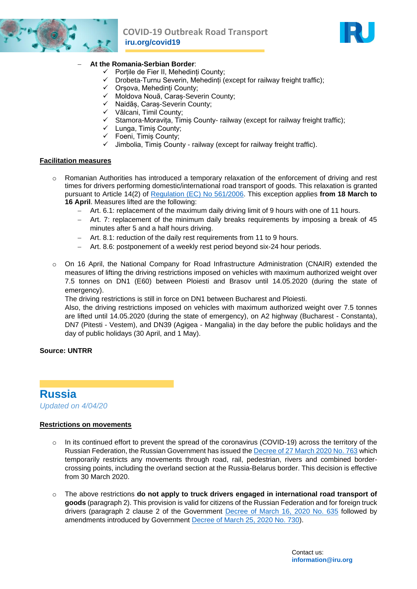

### **COVID-19 Outbreak Road Transport iru.org/covid19**



#### **At the Romania-Serbian Border**:

- $\checkmark$  Porțile de Fier II, Mehedinți County;
- $\checkmark$  Drobeta-Turnu Severin, Mehedinți (except for railway freight traffic);
- Orșova, Mehedinți County;
- Moldova Nouã, Caraș-Severin County;
- Naidãș, Caraș-Severin County;
- $\checkmark$  Vãlcani, Timil County;
- $\checkmark$  Stamora-Moravita, Timis County- railway (except for railway freight traffic);
- $\checkmark$  Lunga, Timiș County;
- $\checkmark$  Foeni, Timis County;
- $\checkmark$  Jimbolia, Timis County railway (except for railway freight traffic).

#### **Facilitation measures**

- o Romanian Authorities has introduced a temporary relaxation of the enforcement of driving and rest times for drivers performing domestic/international road transport of goods. This relaxation is granted pursuant to Article 14(2) of [Regulation \(EC\) No 561/2006.](https://www.iru.org/apps/cms-filesystem-action?file=/flashinfo/EU%20Regulation%20No.%20561%202006.pdf) This exception applies **from 18 March to 16 April**. Measures lifted are the following:
	- Art. 6.1: replacement of the maximum daily driving limit of 9 hours with one of 11 hours.
	- Art. 7: replacement of the minimum daily breaks requirements by imposing a break of 45 minutes after 5 and a half hours driving.
	- Art. 8.1: reduction of the daily rest requirements from 11 to 9 hours.
	- Art. 8.6: postponement of a weekly rest period beyond six-24 hour periods.
- o On 16 April, the National Company for Road Infrastructure Administration (CNAIR) extended the measures of lifting the driving restrictions imposed on vehicles with maximum authorized weight over 7.5 tonnes on DN1 (E60) between Ploiesti and Brasov until 14.05.2020 (during the state of emergency).

The driving restrictions is still in force on DN1 between Bucharest and Ploiesti.

Also, the driving restrictions imposed on vehicles with maximum authorized weight over 7.5 tonnes are lifted until 14.05.2020 (during the state of emergency), on A2 highway (Bucharest - Constanta), DN7 (Pitesti - Vestem), and DN39 (Agigea - Mangalia) in the day before the public holidays and the day of public holidays (30 April, and 1 May).

#### **Source: UNTRR**

**Russia** *Updated on 4/04/20*

#### **Restrictions on movements**

- $\circ$  In its continued effort to prevent the spread of the coronavirus (COVID-19) across the territory of the Russian Federation, the Russian Government has issued th[e Decree of 27 March 2020 No. 763](https://www.asmap.ru/upload/iblock/%D0%A0%D0%B0%D1%81%D0%BF%D0%BE%D1%80%D1%8F%D0%B6%D0%B5%D0%BD%D0%B8%D0%B5%20763-%D1%80.pdf) which temporarily restricts any movements through road, rail, pedestrian, rivers and combined bordercrossing points, including the overland section at the Russia-Belarus border. This decision is effective from 30 March 2020.
- The above restrictions **do not apply to truck drivers engaged in international road transport of goods** (paragraph 2). This provision is valid for citizens of the Russian Federation and for foreign truck drivers (paragraph 2 clause 2 of the Government [Decree of March 16, 2020 No. 635](http://static.government.ru/media/files/wwGGarWzAuGcDRw4OFHBfkInXcpD0ZPu.pdf) followed by amendments introduced by Government [Decree of March 25, 2020 No. 730\)](https://www.asmap.ru/upload/iblock/%D0%A0%D0%B0%D1%81%D0%BF%D0%BE%D1%80%D1%8F%D0%B6%D0%B5%D0%BD%D0%B8%D0%B5%20730-%D0%A0.pdf).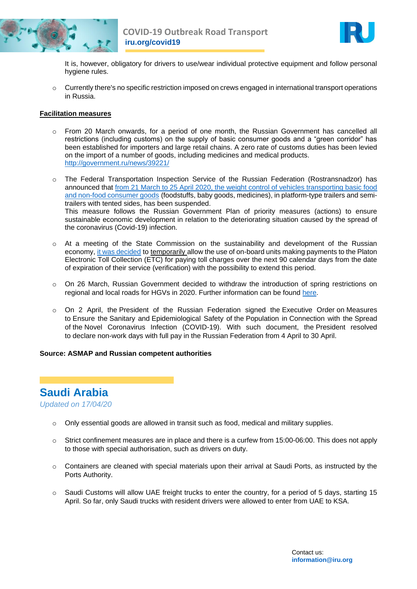



It is, however, obligatory for drivers to use/wear individual protective equipment and follow personal hygiene rules.

o Currently there's no specific restriction imposed on crews engaged in international transport operations in Russia.

#### **Facilitation measures**

- o From 20 March onwards, for a period of one month, the Russian Government has cancelled all restrictions (including customs) on the supply of basic consumer goods and a "green corridor" has been established for importers and large retail chains. A zero rate of customs duties has been levied on the import of a number of goods, including medicines and medical products. [http://government.ru/news/39221/](https://webmail.iru.org/owa/redir.aspx?C=sn_jKT8-bKMSQcF4agEkYLMTnQ9vfMEPSqkSTMdM3KHqmIdZ18_XCA..&URL=http%3a%2f%2fgovernment.ru%2fnews%2f39221%2f)
- o The Federal Transportation Inspection Service of the Russian Federation (Rostransnadzor) has announced that [from 21 March to 25 April 2020, the weight control of vehicles transporting basic food](https://webmail.iru.org/owa/redir.aspx?C=TEbR3DNSSsCbGMNd-CWaEx15EHgbcI9D7SK2R8pwGkXqmIdZ18_XCA..&URL=https%3a%2f%2frostransnadzor.ru%2fPress-sluzhba%2fnovosti-i-soby-tiya%2fdocument%2f62274)  [and non-food consumer goods](https://webmail.iru.org/owa/redir.aspx?C=TEbR3DNSSsCbGMNd-CWaEx15EHgbcI9D7SK2R8pwGkXqmIdZ18_XCA..&URL=https%3a%2f%2frostransnadzor.ru%2fPress-sluzhba%2fnovosti-i-soby-tiya%2fdocument%2f62274) (foodstuffs, baby goods, medicines), in platform-type trailers and semitrailers with tented sides, has been suspended. This measure follows the Russian Government Plan of priority measures (actions) to ensure sustainable economic development in relation to the deteriorating situation caused by the spread of the coronavirus (Covid-19) infection.
- $\circ$  At a meeting of the State Commission on the sustainability and development of the Russian economy, [it was decided](https://www.asmap.ru/detail-news/prodlen-srok-ispolzovaniya-bortovykh-ustroystv-platon) to temporarily allow the use of on-board units making payments to the Platon Electronic Toll Collection (ETC) for paying toll charges over the next 90 calendar days from the date of expiration of their service (verification) with the possibility to extend this period.
- o On 26 March, Russian Government decided to withdraw the introduction of spring restrictions on regional and local roads for HGVs in 2020. Further information can be found [here.](https://www.asmap.ru/detail-news/vitse-premer-m-khusnullin-dal-poruchenie-otmenit-vesennie-ogranicheniya-dvizheniya)
- o On 2 April, the President of the Russian Federation signed the Executive Order on Measures to Ensure the Sanitary and Epidemiological Safety of the Population in Connection with the Spread of the Novel Coronavirus Infection (COVID-19). With such document, the President resolved to declare non-work days with full pay in the Russian Federation from 4 April to 30 April.

#### **Source: ASMAP and Russian competent authorities**

### **Saudi Arabia**

*Updated on 17/04/20*

- o Only essential goods are allowed in transit such as food, medical and military supplies.
- $\circ$  Strict confinement measures are in place and there is a curfew from 15:00-06:00. This does not apply to those with special authorisation, such as drivers on duty.
- o Containers are cleaned with special materials upon their arrival at Saudi Ports, as instructed by the Ports Authority.
- $\circ$  Saudi Customs will allow UAE freight trucks to enter the country, for a period of 5 days, starting 15 April. So far, only Saudi trucks with resident drivers were allowed to enter from UAE to KSA.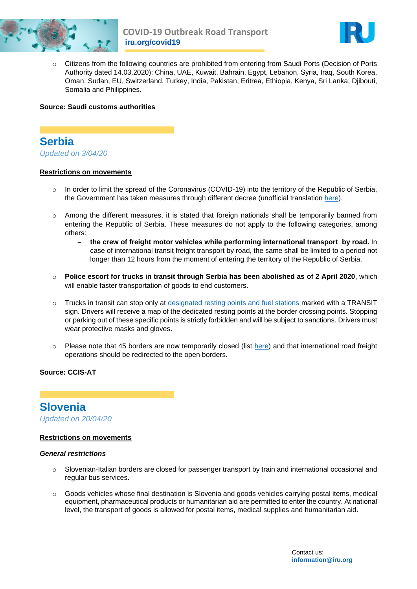



o Citizens from the following countries are prohibited from entering from Saudi Ports (Decision of Ports Authority dated 14.03.2020): China, UAE, Kuwait, Bahrain, Egypt, Lebanon, Syria, Iraq, South Korea, Oman, Sudan, EU, Switzerland, Turkey, India, Pakistan, Eritrea, Ethiopia, Kenya, Sri Lanka, Djibouti, Somalia and Philippines.

#### **Source: Saudi customs authorities**

# **Serbia** *Updated on 3/04/20*

#### **Restrictions on movements**

- o In order to limit the spread of the Coronavirus (COVID-19) into the territory of the Republic of Serbia, the Government has taken measures through different decree (unofficial translation [here\)](https://www.iru.org/apps/cms-filesystem-action?file=/flashinfo/DECISION.pdf).
- o Among the different measures, it is stated that foreign nationals shall be temporarily banned from entering the Republic of Serbia. These measures do not apply to the following categories, among others:
	- **the crew of freight motor vehicles while performing international transport by road.** In case of international transit freight transport by road, the same shall be limited to a period not longer than 12 hours from the moment of entering the territory of the Republic of Serbia.
- o **Police escort for trucks in transit through Serbia has been abolished as of 2 April 2020**, which will enable faster transportation of goods to end customers.
- $\circ$  Trucks in transit can stop only at [designated resting points and fuel stations](https://www.iru.org/apps/cms-filesystem-action?file=/flashinfo/SSG%20transit%20Republic%20of%20Serbia.pdf) marked with a TRANSIT sign. Drivers will receive a map of the dedicated resting points at the border crossing points. Stopping or parking out of these specific points is strictly forbidden and will be subject to sanctions. Drivers must wear protective masks and gloves.
- $\circ$  Please note that 45 borders are now temporarily closed (list [here\)](https://www.iru.org/apps/cms-filesystem-action?file=/flashinfo/Closed%20borders%20Serbia%2003.04.20.pdf) and that international road freight operations should be redirected to the open borders.

**Source: CCIS-AT**

**Slovenia** *Updated on 20/04/20*

#### **Restrictions on movements**

#### *General restrictions*

- o Slovenian-Italian borders are closed for passenger transport by train and international occasional and regular bus services.
- o Goods vehicles whose final destination is Slovenia and goods vehicles carrying postal items, medical equipment, pharmaceutical products or humanitarian aid are permitted to enter the country. At national level, the transport of goods is allowed for postal items, medical supplies and humanitarian aid.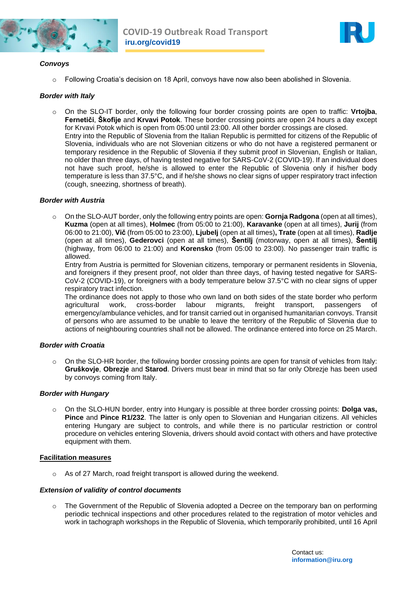



#### *Convoys*

o Following Croatia's decision on 18 April, convoys have now also been abolished in Slovenia.

#### *Border with Italy*

o On the SLO-IT border, only the following four border crossing points are open to traffic: **Vrtojba**, **Fernetiči**, **Škofije** and **Krvavi Potok**. These border crossing points are open 24 hours a day except for Krvavi Potok which is open from 05:00 until 23:00. All other border crossings are closed. Entry into the Republic of Slovenia from the Italian Republic is permitted for citizens of the Republic of Slovenia, individuals who are not Slovenian citizens or who do not have a registered permanent or temporary residence in the Republic of Slovenia if they submit proof in Slovenian, English or Italian, no older than three days, of having tested negative for SARS-CoV-2 (COVID-19). If an individual does not have such proof, he/she is allowed to enter the Republic of Slovenia only if his/her body temperature is less than 37.5°C, and if he/she shows no clear signs of upper respiratory tract infection (cough, sneezing, shortness of breath).

#### *Border with Austria*

o On the SLO-AUT border, only the following entry points are open: **Gornja Radgona** (open at all times), **Kuzma** (open at all times), **Holmec** (from 05:00 to 21:00), **Karavanke** (open at all times), **Jurij** (from 06:00 to 21:00), **Vič** (from 05:00 to 23:00), **Ljubelj** (open at all times)**, Trate** (open at all times), **Radlje**  (open at all times), **Gederovci** (open at all times), **Šentilj** (motorway, open at all times), **Šentilj**  (highway, from 06:00 to 21:00) and **Korensko** (from 05:00 to 23:00). No passenger train traffic is allowed.

Entry from Austria is permitted for Slovenian citizens, temporary or permanent residents in Slovenia, and foreigners if they present proof, not older than three days, of having tested negative for SARS-CoV-2 (COVID-19), or foreigners with a body temperature below 37.5°C with no clear signs of upper respiratory tract infection.

The ordinance does not apply to those who own land on both sides of the state border who perform agricultural work, cross-border labour migrants, freight transport, passengers of emergency/ambulance vehicles, and for transit carried out in organised humanitarian convoys. Transit of persons who are assumed to be unable to leave the territory of the Republic of Slovenia due to actions of neighbouring countries shall not be allowed. The ordinance entered into force on 25 March.

#### *Border with Croatia*

 $\circ$  On the SLO-HR border, the following border crossing points are open for transit of vehicles from Italy: **Gruškovje**, **Obrezje** and **Starod**. Drivers must bear in mind that so far only Obrezje has been used by convoys coming from Italy.

#### *Border with Hungary*

o On the SLO-HUN border, entry into Hungary is possible at three border crossing points: **Dolga vas, Pince** and **Pince R1/232**. The latter is only open to Slovenian and Hungarian citizens. All vehicles entering Hungary are subject to controls, and while there is no particular restriction or control procedure on vehicles entering Slovenia, drivers should avoid contact with others and have protective equipment with them.

#### **Facilitation measures**

o As of 27 March, road freight transport is allowed during the weekend.

#### *Extension of validity of control documents*

 $\circ$  The Government of the Republic of Slovenia adopted a Decree on the temporary ban on performing periodic technical inspections and other procedures related to the registration of motor vehicles and work in tachograph workshops in the Republic of Slovenia, which temporarily prohibited, until 16 April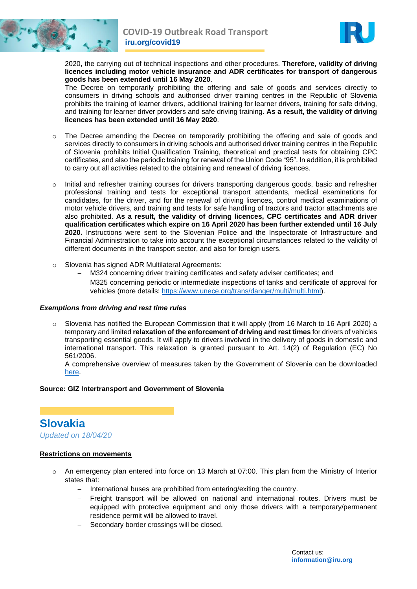



2020, the carrying out of technical inspections and other procedures. **Therefore, validity of driving licences including motor vehicle insurance and ADR certificates for transport of dangerous goods has been extended until 16 May 2020**.

The Decree on temporarily prohibiting the offering and sale of goods and services directly to consumers in driving schools and authorised driver training centres in the Republic of Slovenia prohibits the training of learner drivers, additional training for learner drivers, training for safe driving, and training for learner driver providers and safe driving training. **As a result, the validity of driving licences has been extended until 16 May 2020**.

- o The Decree amending the Decree on temporarily prohibiting the offering and sale of goods and services directly to consumers in driving schools and authorised driver training centres in the Republic of Slovenia prohibits Initial Qualification Training, theoretical and practical tests for obtaining CPC certificates, and also the periodic training for renewal of the Union Code "95". In addition, it is prohibited to carry out all activities related to the obtaining and renewal of driving licences.
- $\circ$  Initial and refresher training courses for drivers transporting dangerous goods, basic and refresher professional training and tests for exceptional transport attendants, medical examinations for candidates, for the driver, and for the renewal of driving licences, control medical examinations of motor vehicle drivers, and training and tests for safe handling of tractors and tractor attachments are also prohibited. **As a result, the validity of driving licences, CPC certificates and ADR driver qualification certificates which expire on 16 April 2020 has been further extended until 16 July 2020.** Instructions were sent to the Slovenian Police and the Inspectorate of Infrastructure and Financial Administration to take into account the exceptional circumstances related to the validity of different documents in the transport sector, and also for foreign users.
- Slovenia has signed ADR Multilateral Agreements:
	- M324 concerning driver training certificates and safety adviser certificates; and
	- M325 concerning periodic or intermediate inspections of tanks and certificate of approval for vehicles (more details: [https://www.unece.org/trans/danger/multi/multi.html\)](https://www.unece.org/trans/danger/multi/multi.html).

#### *Exemptions from driving and rest time rules*

Slovenia has notified the European Commission that it will apply (from 16 March to 16 April 2020) a temporary and limited **relaxation of the enforcement of driving and rest times** for drivers of vehicles transporting essential goods. It will apply to drivers involved in the delivery of goods in domestic and international transport. This relaxation is granted pursuant to Art. 14(2) of Regulation (EC) No 561/2006.

A comprehensive overview of measures taken by the Government of Slovenia can be downloaded [here.](https://www.iru.org/apps/cms-filesystem-action?file=/flashinfo/ukrepi_word_27_3_2020.pdf)

#### **Source: GIZ Intertransport and Government of Slovenia**

**Slovakia** *Updated on 18/04/20*

#### **Restrictions on movements**

- $\circ$  An emergency plan entered into force on 13 March at 07:00. This plan from the Ministry of Interior states that:
	- $-I$ nternational buses are prohibited from entering/exiting the country.
	- Freight transport will be allowed on national and international routes. Drivers must be equipped with protective equipment and only those drivers with a temporary/permanent residence permit will be allowed to travel.
	- Secondary border crossings will be closed.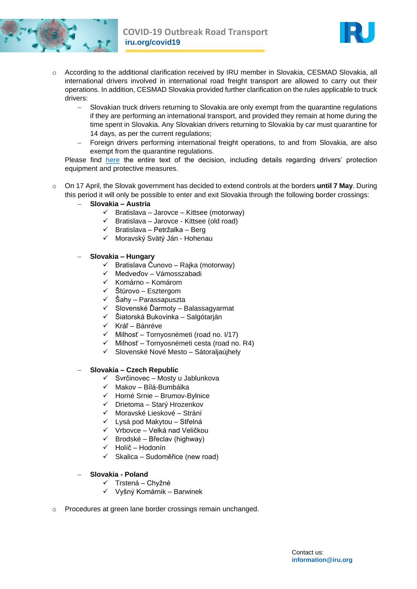



- o According to the additional clarification received by IRU member in Slovakia, CESMAD Slovakia, all international drivers involved in international road freight transport are allowed to carry out their operations. In addition, CESMAD Slovakia provided further clarification on the rules applicable to truck drivers:
	- Slovakian truck drivers returning to Slovakia are only exempt from the quarantine regulations if they are performing an international transport, and provided they remain at home during the time spent in Slovakia. Any Slovakian drivers returning to Slovakia by car must quarantine for 14 days, as per the current regulations;
	- Foreign drivers performing international freight operations, to and from Slovakia, are also exempt from the quarantine regulations.

Please find [here](https://www.iru.org/apps/cms-filesystem-action?file=/flashinfo/Public%20order%20Slovakia%2013.03.20.pdf) the entire text of the decision, including details regarding drivers' protection equipment and protective measures.

- o On 17 April, the Slovak government has decided to extend controls at the borders **until 7 May**. During this period it will only be possible to enter and exit Slovakia through the following border crossings:
	- **Slovakia – Austria**
		- $\checkmark$  Bratislava Jarovce Kittsee (motorway)
		- $\checkmark$  Bratislava Jarovce Kittsee (old road)
		- Bratislava Petržalka Berg
		- Moravský Svätý Ján Hohenau
	- **Slovakia – Hungary**
		- $\checkmark$  Bratislava Čunovo Rajka (motorway)
		- $\checkmark$  Medveďov Vámosszabadi
		- $\times$  Komárno Komárom
		- Štúrovo Esztergom
		- $\checkmark$  Šahy Parassapuszta
		- $\checkmark$  Slovenské Ďarmoty Balassagyarmat
		- Šiatorská Bukovinka Salgótarján
		- Kráľ Bánréve
		- $\checkmark$  Milhosť Tornyosnémeti (road no. I/17)
		- $\checkmark$  Milhosť Tornyosnémeti cesta (road no. R4)
		- $\checkmark$  Slovenské Nové Mesto Sátoraljaújhely

#### **Slovakia – Czech Republic**

- $\checkmark$  Svrčinovec Mosty u Jablunkova
- $\checkmark$  Makov Bílá-Bumbálka
- $\checkmark$  Horné Srnie Brumov-Bylnice
- Drietoma Starý Hrozenkov
- Moravské Lieskové Strání
- Lysá pod Makytou Střelná
- Vrbovce Velká nad Veličkou
- $\checkmark$  Brodské Břeclav (highway)
- Holíč Hodonín
- $\checkmark$  Skalica Sudoměřice (new road)

#### **Slovakia - Poland**

- $\checkmark$  Trstená Chyžné
- $\checkmark$  Vyšný Komárnik Barwinek
- o Procedures at green lane border crossings remain unchanged.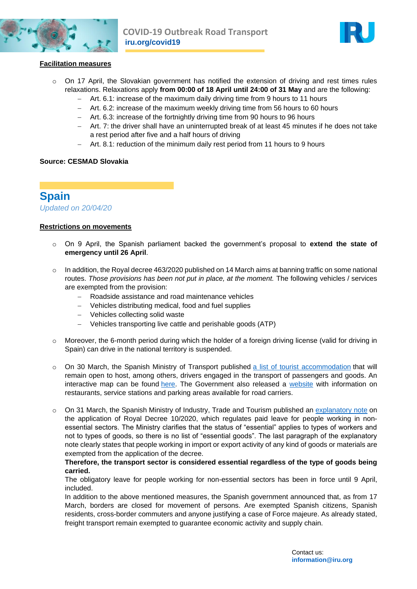



#### **Facilitation measures**

- o On 17 April, the Slovakian government has notified the extension of driving and rest times rules relaxations. Relaxations apply **from 00:00 of 18 April until 24:00 of 31 May** and are the following:
	- Art. 6.1: increase of the maximum daily driving time from 9 hours to 11 hours
	- Art. 6.2: increase of the maximum weekly driving time from 56 hours to 60 hours
	- Art. 6.3: increase of the fortnightly driving time from 90 hours to 96 hours
	- Art. 7: the driver shall have an uninterrupted break of at least 45 minutes if he does not take a rest period after five and a half hours of driving
	- Art. 8.1: reduction of the minimum daily rest period from 11 hours to 9 hours

#### **Source: CESMAD Slovakia**

**Spain** *Updated on 20/04/20*

#### **Restrictions on movements**

- o On 9 April, the Spanish parliament backed the government's proposal to **extend the state of emergency until 26 April**.
- $\circ$  In addition, the Royal decree 463/2020 published on 14 March aims at banning traffic on some national routes. *Those provisions has been not put in place, at the moment.* The following vehicles / services are exempted from the provision:
	- Roadside assistance and road maintenance vehicles
	- Vehicles distributing medical, food and fuel supplies
	- Vehicles collecting solid waste
	- Vehicles transporting live cattle and perishable goods (ATP)
- o Moreover, the 6-month period during which the holder of a foreign driving license (valid for driving in Spain) can drive in the national territory is suspended.
- $\circ$  On 30 March, the Spanish Ministry of Transport published [a list of tourist accommodation](https://www.boe.es/boe/dias/2020/03/30/pdfs/BOE-A-2020-4194.pdf) that will remain open to host, among others, drivers engaged in the transport of passengers and goods. An interactive map can be found [here.](https://www.mincotur.gob.es/es-es/COVID-19/Paginas/Mapa-Hoteles.aspx) The Government also released a [website](https://www.mitma.gob.es/transporte-terrestre/punto-de-informacion-de-servicios-de-restauracion) with information on restaurants, service stations and parking areas available for road carriers.
- $\circ$  On 31 March, the Spanish Ministry of Industry, Trade and Tourism published an [explanatory note](https://www.iru.org/apps/cms-filesystem-action?file=/flashinfo/31_03_2020%20Nota%20interpretativa%20sector%20industrial%20RDL10-2020.pdf) on the application of Royal Decree 10/2020, which regulates paid leave for people working in nonessential sectors. The Ministry clarifies that the status of "essential" applies to types of workers and not to types of goods, so there is no list of "essential goods". The last paragraph of the explanatory note clearly states that people working in import or export activity of any kind of goods or materials are exempted from the application of the decree.

#### **Therefore, the transport sector is considered essential regardless of the type of goods being carried.**

The obligatory leave for people working for non-essential sectors has been in force until 9 April, included.

In addition to the above mentioned measures, the Spanish government announced that, as from 17 March, borders are closed for movement of persons. Are exempted Spanish citizens, Spanish residents, cross-border commuters and anyone justifying a case of Force majeure. As already stated, freight transport remain exempted to guarantee economic activity and supply chain.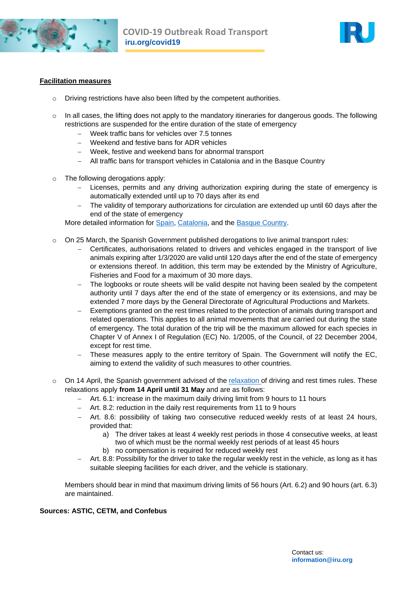



#### **Facilitation measures**

- o Driving restrictions have also been lifted by the competent authorities.
- $\circ$  In all cases, the lifting does not apply to the mandatory itineraries for dangerous goods. The following restrictions are suspended for the entire duration of the state of emergency
	- Week traffic bans for vehicles over 7.5 tonnes
	- Weekend and festive bans for ADR vehicles
	- Week, festive and weekend bans for abnormal transport
	- All traffic bans for transport vehicles in Catalonia and in the Basque Country
- o The following derogations apply:
	- Licenses, permits and any driving authorization expiring during the state of emergency is automatically extended until up to 70 days after its end
	- The validity of temporary authorizations for circulation are extended up until 60 days after the end of the state of emergency

More detailed information for [Spain,](http://www.dgt.es/es/prensa/notas-de-prensa/2020/Medidas_preventivas_adoptadas_por_la_Direccion_General_de_Trafico_como_consecuencia_del_COVID19.shtml) [Catalonia,](https://www.iru.org/apps/cms-filesystem-action?file=/flashinfo/Temporary%20lift%20of%20diving%20restrictions%20Catalonia%2014.03.20.pdf) and the [Basque Country.](https://www.iru.org/apps/cms-filesystem-action?file=/flashinfo/Lifting%20restrictions%20Basque%20Country.pdf)

- $\circ$  On 25 March, the Spanish Government published derogations to live animal transport rules:
	- Certificates, authorisations related to drivers and vehicles engaged in the transport of live animals expiring after 1/3/2020 are valid until 120 days after the end of the state of emergency or extensions thereof. In addition, this term may be extended by the Ministry of Agriculture, Fisheries and Food for a maximum of 30 more days.
	- The logbooks or route sheets will be valid despite not having been sealed by the competent authority until 7 days after the end of the state of emergency or its extensions, and may be extended 7 more days by the General Directorate of Agricultural Productions and Markets.
	- Exemptions granted on the rest times related to the protection of animals during transport and related operations. This applies to all animal movements that are carried out during the state of emergency. The total duration of the trip will be the maximum allowed for each species in Chapter V of Annex I of Regulation (EC) No. 1/2005, of the Council, of 22 December 2004, except for rest time.
	- These measures apply to the entire territory of Spain. The Government will notify the EC, aiming to extend the validity of such measures to other countries.
- o On 14 April, the Spanish government advised of the [relaxation](https://www.boe.es/boe/dias/2020/04/15/pdfs/BOE-A-2020-4461.pdf) of driving and rest times rules. These relaxations apply **from 14 April until 31 May** and are as follows:
	- Art. 6.1: increase in the maximum daily driving limit from 9 hours to 11 hours
	- Art. 8.2: reduction in the daily rest requirements from 11 to 9 hours
	- Art. 8.6: possibility of taking two consecutive reduced weekly rests of at least 24 hours, provided that:
		- a) The driver takes at least 4 weekly rest periods in those 4 consecutive weeks, at least two of which must be the normal weekly rest periods of at least 45 hours
		- b) no compensation is required for reduced weekly rest
	- Art. 8.8: Possibility for the driver to take the regular weekly rest in the vehicle, as long as it has suitable sleeping facilities for each driver, and the vehicle is stationary.

Members should bear in mind that maximum driving limits of 56 hours (Art. 6.2) and 90 hours (art. 6.3) are maintained.

#### **Sources: ASTIC, CETM, and Confebus**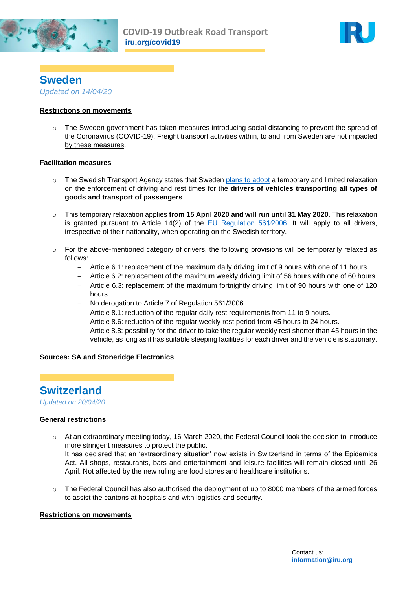



**Sweden** *Updated on 14/04/20*

#### **Restrictions on movements**

 $\circ$  The Sweden government has taken measures introducing social distancing to prevent the spread of the Coronavirus (COVID-19). Freight transport activities within, to and from Sweden are not impacted by these measures.

#### **Facilitation measures**

- o The Swedish Transport Agency states that Sweden [plans to adopt](https://transportstyrelsen.se/en/road/Commercial-transport/notification-of-temporary-derogation-from-driving-and-rest-times-pursuant-to-art.-141-of-regulation-5612006-by-sweden/) a temporary and limited relaxation on the enforcement of driving and rest times for the **drivers of vehicles transporting all types of goods and transport of passengers**.
- o This temporary relaxation applies **from 15 April 2020 and will run until 31 May 2020**. This relaxation is granted pursuant to Article 14(2) of the EU Regulation  $561/2006$ . It will apply to all drivers, irrespective of their nationality, when operating on the Swedish territory.
- $\circ$  For the above-mentioned category of drivers, the following provisions will be temporarily relaxed as follows:
	- Article 6.1: replacement of the maximum daily driving limit of 9 hours with one of 11 hours.
	- Article 6.2: replacement of the maximum weekly driving limit of 56 hours with one of 60 hours.
	- Article 6.3: replacement of the maximum fortnightly driving limit of 90 hours with one of 120 hours.
	- No derogation to Article 7 of Regulation 561/2006.
	- Article 8.1: reduction of the regular daily rest requirements from 11 to 9 hours.
	- Article 8.6: reduction of the regular weekly rest period from 45 hours to 24 hours.
	- Article 8.8: possibility for the driver to take the regular weekly rest shorter than 45 hours in the vehicle, as long as it has suitable sleeping facilities for each driver and the vehicle is stationary.

#### **Sources: SA and Stoneridge Electronics**

## **Switzerland**

*Updated on 20/04/20*

#### **General restrictions**

- o At an extraordinary meeting today, 16 March 2020, the Federal Council took the decision to introduce more stringent measures to protect the public. It has declared that an 'extraordinary situation' now exists in Switzerland in terms of the Epidemics Act. All shops, restaurants, bars and entertainment and leisure facilities will remain closed until 26 April. Not affected by the new ruling are food stores and healthcare institutions.
- $\circ$  The Federal Council has also authorised the deployment of up to 8000 members of the armed forces to assist the cantons at hospitals and with logistics and security.

#### **Restrictions on movements**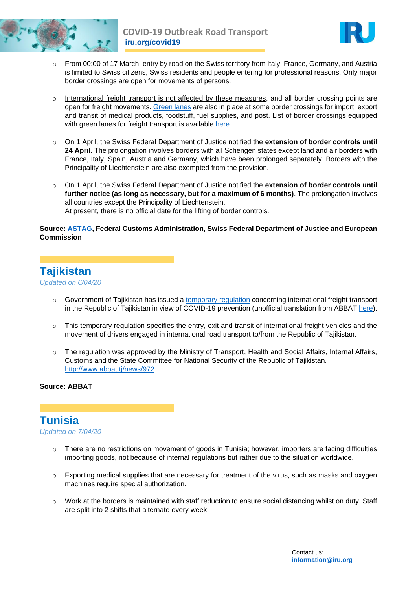



- o From 00:00 of 17 March, entry by road on the Swiss territory from Italy, France, Germany, and Austria is limited to Swiss citizens, Swiss residents and people entering for professional reasons. Only major border crossings are open for movements of persons.
- o International freight transport is not affected by these measures, and all border crossing points are open for freight movements. [Green lanes](https://www.ezv.admin.ch/ezv/fr/home/teaser-page-d-accueil/a-la-une-teaser/coronavirus/green-lanes.html) are also in place at some border crossings for import, export and transit of medical products, foodstuff, fuel supplies, and post. List of border crossings equipped with green lanes for freight transport is available [here.](https://www.ezv.admin.ch/ezv/fr/home/teaser-page-d-accueil/a-la-une-teaser/coronavirus/liste-geoeffnete-grenzuebergaenge.html)
- o On 1 April, the Swiss Federal Department of Justice notified the **extension of border controls until 24 April**. The prolongation involves borders with all Schengen states except land and air borders with France, Italy, Spain, Austria and Germany, which have been prolonged separately. Borders with the Principality of Liechtenstein are also exempted from the provision.
- o On 1 April, the Swiss Federal Department of Justice notified the **extension of border controls until further notice (as long as necessary, but for a maximum of 6 months)**. The prolongation involves all countries except the Principality of Liechtenstein. At present, there is no official date for the lifting of border controls.

#### **Source: [ASTAG,](https://www.astag.ch/connaissances/aktuell/corona-virus-f/) Federal Customs Administration, Swiss Federal Department of Justice and European Commission**

### **Tajikistan**

*Updated on 6/04/20*

- o Government of Tajikistan has issued a [temporary regulation](https://www.iru.org/apps/cms-filesystem-action?file=/flashinfo/Tajikistan_RU.pdf) concerning international freight transport in the Republic of Tajikistan in view of COVID-19 prevention (unofficial translation from ABBAT [here\)](https://www.iru.org/apps/cms-filesystem-action?file=/flashinfo/Tajikistan_EN_6.04.pdf).
- $\circ$  This temporary regulation specifies the entry, exit and transit of international freight vehicles and the movement of drivers engaged in international road transport to/from the Republic of Tajikistan.
- $\circ$  The regulation was approved by the Ministry of Transport, Health and Social Affairs, Internal Affairs, Customs and the State Committee for National Security of the Republic of Tajikistan. <http://www.abbat.tj/news/972>

#### **Source: ABBAT**

## **Tunisia**

*Updated on 7/04/20*

- $\circ$  There are no restrictions on movement of goods in Tunisia; however, importers are facing difficulties importing goods, not because of internal regulations but rather due to the situation worldwide.
- o Exporting medical supplies that are necessary for treatment of the virus, such as masks and oxygen machines require special authorization.
- o Work at the borders is maintained with staff reduction to ensure social distancing whilst on duty. Staff are split into 2 shifts that alternate every week.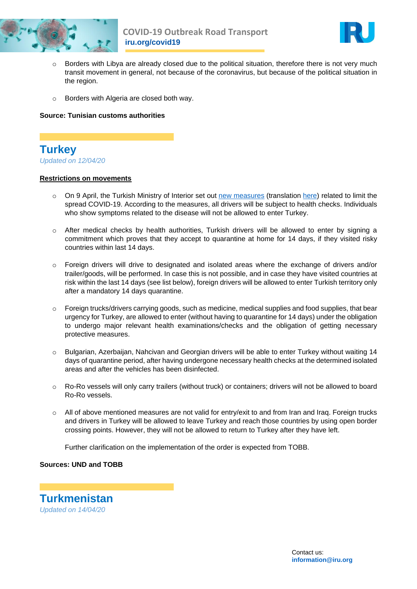



- $\circ$  Borders with Libya are already closed due to the political situation, therefore there is not very much transit movement in general, not because of the coronavirus, but because of the political situation in the region.
- o Borders with Algeria are closed both way.

**Source: Tunisian customs authorities**

**Turkey** *Updated on 12/04/20*

#### **Restrictions on movements**

- o On 9 April, the Turkish Ministry of Interior set out [new measures](https://www.iru.org/apps/cms-filesystem-action?file=/flashinfo/turkish%20notice.pdf) (translation [here\)](https://www.iru.org/apps/cms-filesystem-action?file=/flashinfo/turkey%20notice%20translation%202.pdf) related to limit the spread COVID-19. According to the measures, all drivers will be subject to health checks. Individuals who show symptoms related to the disease will not be allowed to enter Turkey.
- o After medical checks by health authorities, Turkish drivers will be allowed to enter by signing a commitment which proves that they accept to quarantine at home for 14 days, if they visited risky countries within last 14 days.
- o Foreign drivers will drive to designated and isolated areas where the exchange of drivers and/or trailer/goods, will be performed. In case this is not possible, and in case they have visited countries at risk within the last 14 days (see list below), foreign drivers will be allowed to enter Turkish territory only after a mandatory 14 days quarantine.
- o Foreign trucks/drivers carrying goods, such as medicine, medical supplies and food supplies, that bear urgency for Turkey, are allowed to enter (without having to quarantine for 14 days) under the obligation to undergo major relevant health examinations/checks and the obligation of getting necessary protective measures.
- $\circ$  Bulgarian, Azerbaijan, Nahcivan and Georgian drivers will be able to enter Turkey without waiting 14 days of quarantine period, after having undergone necessary health checks at the determined isolated areas and after the vehicles has been disinfected.
- o Ro-Ro vessels will only carry trailers (without truck) or containers; drivers will not be allowed to board Ro-Ro vessels.
- o All of above mentioned measures are not valid for entry/exit to and from Iran and Iraq. Foreign trucks and drivers in Turkey will be allowed to leave Turkey and reach those countries by using open border crossing points. However, they will not be allowed to return to Turkey after they have left.

Further clarification on the implementation of the order is expected from TOBB.

**Sources: UND and TOBB**

**Turkmenistan** *Updated on 14/04/20*

> Contact us: **[information@iru.org](mailto:information@iru.org)**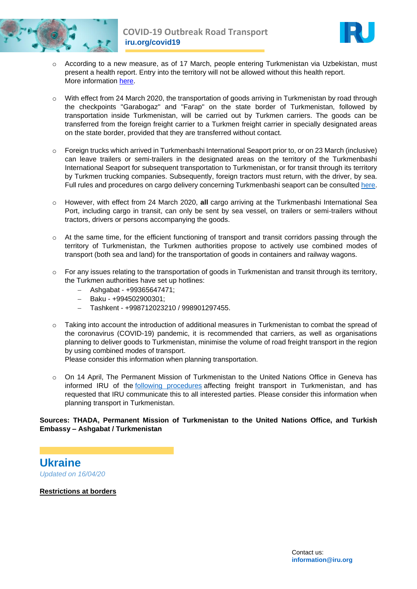



- o According to a new measure, as of 17 March, people entering Turkmenistan via Uzbekistan, must present a health report. Entry into the territory will not be allowed without this health report. More information [here.](http://askabat.be.mfa.gov.tr/Mission/ShowAnnouncement/369918)
- $\circ$  With effect from 24 March 2020, the transportation of goods arriving in Turkmenistan by road through the checkpoints "Garabogaz" and "Farap" on the state border of Turkmenistan, followed by transportation inside Turkmenistan, will be carried out by Turkmen carriers. The goods can be transferred from the foreign freight carrier to a Turkmen freight carrier in specially designated areas on the state border, provided that they are transferred without contact.
- $\circ$  Foreign trucks which arrived in Turkmenbashi International Seaport prior to, or on 23 March (inclusive) can leave trailers or semi-trailers in the designated areas on the territory of the Turkmenbashi International Seaport for subsequent transportation to Turkmenistan, or for transit through its territory by Turkmen trucking companies. Subsequently, foreign tractors must return, with the driver, by sea. Full rules and procedures on cargo delivery concerning Turkmenbashi seaport can be consulted [here.](https://www.iru.org/apps/cms-filesystem-action?file=/flashinfo/352%20-%2026032020%20-%20IRU%20-%20%20Rules%20and%20procedure%20of%20Cargo%20delivery.pdf)
- o However, with effect from 24 March 2020, **all** cargo arriving at the Turkmenbashi International Sea Port, including cargo in transit, can only be sent by sea vessel, on trailers or semi-trailers without tractors, drivers or persons accompanying the goods.
- $\circ$  At the same time, for the efficient functioning of transport and transit corridors passing through the territory of Turkmenistan, the Turkmen authorities propose to actively use combined modes of transport (both sea and land) for the transportation of goods in containers and railway wagons.
- o For any issues relating to the transportation of goods in Turkmenistan and transit through its territory, the Turkmen authorities have set up hotlines:
	- $-$  Ashgabat  $+99365647471$ ;
	- $-$  Baku +994502900301;
	- Tashkent +998712023210 / 998901297455.
- o Taking into account the introduction of additional measures in Turkmenistan to combat the spread of the coronavirus (COVID-19) pandemic, it is recommended that carriers, as well as organisations planning to deliver goods to Turkmenistan, minimise the volume of road freight transport in the region by using combined modes of transport.

Please consider this information when planning transportation.

o On 14 April, The Permanent Mission of Turkmenistan to the United Nations Office in Geneva has informed IRU of the **[following procedures](https://www.iru.org/apps/cms-filesystem-action?file=/flashinfo/Turkmenistan%20Cargo%20Procedures%20IRU.pdf)** affecting freight transport in Turkmenistan, and has requested that IRU communicate this to all interested parties. Please consider this information when planning transport in Turkmenistan.

#### **Sources: THADA, Permanent Mission of Turkmenistan to the United Nations Office, and Turkish Embassy – Ashgabat / Turkmenistan**

**Ukraine** *Updated on 16/04/20*

**Restrictions at borders**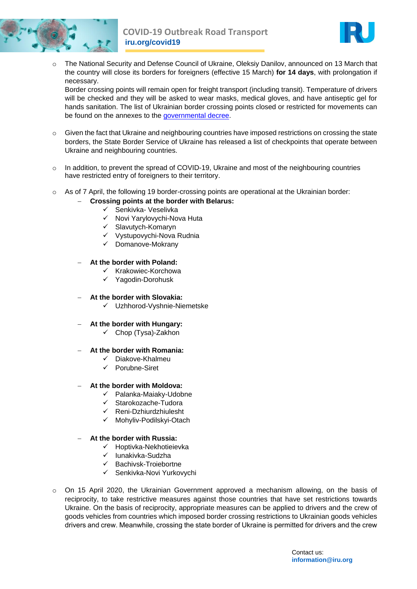



o The National Security and Defense Council of Ukraine, Oleksiy Danilov, announced on 13 March that the country will close its borders for foreigners (effective 15 March) **for 14 days**, with prolongation if necessary.

Border crossing points will remain open for freight transport (including transit). Temperature of drivers will be checked and they will be asked to wear masks, medical gloves, and have antiseptic gel for hands sanitation. The list of Ukrainian border crossing points closed or restricted for movements can be found on the annexes to the [governmental decree.](https://www.kmu.gov.ua/npas/pro-timchasove-zakrittya-deyakih-punktiv-propusku-cherez-derzhavnij-kordon-ta-punktiv-kontrolyu-i-pripinennya-v-nih-pishohidnogo-spoluchennya-288130320)

- o Given the fact that Ukraine and neighbouring countries have imposed restrictions on crossing the state borders, the State Border Service of Ukraine has released a list of checkpoints that operate between Ukraine and neighbouring countries.
- o In addition, to prevent the spread of COVID-19, Ukraine and most of the neighbouring countries have restricted entry of foreigners to their territory.
- $\circ$  As of 7 April, the following 19 border-crossing points are operational at the Ukrainian border:
	- **Crossing points at the border with Belarus:**
		- $\checkmark$  Senkivka- Veselivka
		- $\checkmark$  Novi Yarylovychi-Nova Huta
		- $\checkmark$  Slavutych-Komaryn
		- $\checkmark$  Vystupovychi-Nova Rudnia
		- $\checkmark$  Domanove-Mokrany
	- **At the border with Poland:**
		- $\checkmark$  Krakowiec-Korchowa
		- Yagodin-Dorohusk
	- **At the border with Slovakia:**
		- Uzhhorod-Vyshnie-Niemetske
	- **At the border with Hungary:**
		- $\checkmark$  Chop (Tysa)-Zakhon
	- **At the border with Romania:**
		- Diakove-Khalmeu
		- Porubne-Siret
	- **At the border with Moldova:**
		- $\checkmark$  Palanka-Maiaky-Udobne
		- $\checkmark$  Starokozache-Tudora
		- $\checkmark$  Reni-Dzhiurdzhiulesht
		- $\checkmark$  Mohyliv-Podilskyi-Otach

#### **At the border with Russia:**

- $\checkmark$  Hoptivka-Nekhotieievka
- $\checkmark$  lunakivka-Sudzha
- $\checkmark$  Bachivsk-Troiebortne
- $\checkmark$  Senkivka-Novi Yurkovychi
- $\circ$  On 15 April 2020, the Ukrainian Government approved a mechanism allowing, on the basis of reciprocity, to take restrictive measures against those countries that have set restrictions towards Ukraine. On the basis of reciprocity, appropriate measures can be applied to drivers and the crew of goods vehicles from countries which imposed border crossing restrictions to Ukrainian goods vehicles drivers and crew. Meanwhile, сrossing the state border of Ukraine is permitted for drivers and the crew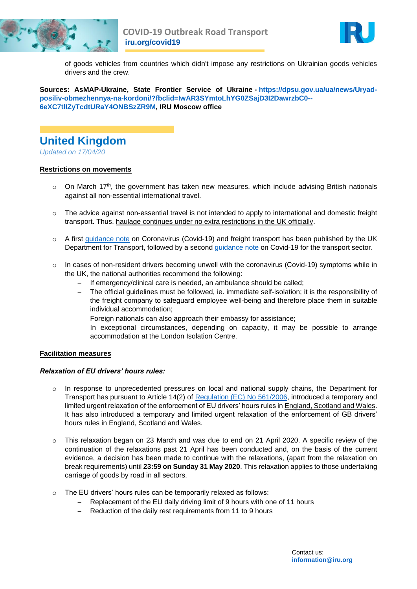



of goods vehicles from countries which didn't impose any restrictions on Ukrainian goods vehicles drivers and the crew.

**Sources: AsMAP-Ukraine, State Frontier Service of Ukraine - [https://dpsu.gov.ua/ua/news/Uryad](https://dpsu.gov.ua/ua/news/Uryad-posiliv-obmezhennya-na-kordoni/?fbclid=IwAR3SYmtoLhYG0ZSajD3I2DawrzbC0--6eXC7tlIZyTcdtURaY4ONBSzZR9M)[posiliv-obmezhennya-na-kordoni/?fbclid=IwAR3SYmtoLhYG0ZSajD3I2DawrzbC0--](https://dpsu.gov.ua/ua/news/Uryad-posiliv-obmezhennya-na-kordoni/?fbclid=IwAR3SYmtoLhYG0ZSajD3I2DawrzbC0--6eXC7tlIZyTcdtURaY4ONBSzZR9M) [6eXC7tlIZyTcdtURaY4ONBSzZR9M,](https://dpsu.gov.ua/ua/news/Uryad-posiliv-obmezhennya-na-kordoni/?fbclid=IwAR3SYmtoLhYG0ZSajD3I2DawrzbC0--6eXC7tlIZyTcdtURaY4ONBSzZR9M) IRU Moscow office**

# **United Kingdom**

*Updated on 17/04/20*

#### **Restrictions on movements**

- $\circ$  On March 17<sup>th</sup>, the government has taken new measures, which include advising British nationals [against all non-essential international travel.](https://www.gov.uk/guidance/travel-advice-novel-coronavirus)
- o The advice against non-essential travel is not intended to apply to international and domestic freight transport. Thus, haulage continues under no extra restrictions in the UK officially.
- o A first [guidance note](https://www.gov.uk/government/publications/covid-19-guidance-on-freight-transport/covid-19-advice-for-the-freight-transport-industry) on Coronavirus (Covid-19) and freight transport has been published by the UK Department for Transport, followed by a second [guidance note](https://www.iru.org/apps/cms-filesystem-action?file=/flashinfo/Guidance%20UK.pdf) on Covid-19 for the transport sector.
- $\circ$  In cases of non-resident drivers becoming unwell with the coronavirus (Covid-19) symptoms while in the UK, the national authorities recommend the following:
	- If emergency/clinical care is needed, an ambulance should be called;
	- The official guidelines must be followed, ie. immediate self-isolation; it is the responsibility of the freight company to safeguard employee well-being and therefore place them in suitable individual accommodation;
	- Foreign nationals can also approach their embassy for assistance;
	- $-$  In exceptional circumstances, depending on capacity, it may be possible to arrange accommodation at the London Isolation Centre.

#### **Facilitation measures**

#### *Relaxation of EU drivers' hours rules:*

- $\circ$  In response to unprecedented pressures on local and national supply chains, the Department for Transport has pursuant to Article 14(2) of [Regulation \(EC\) No 561/2006,](https://www.iru.org/apps/cms-filesystem-action?file=/flashinfo/EU%20Regulation%20No.%20561%202006.pdf) introduced a temporary and limited urgent relaxation of the enforcement of EU drivers' hours rules in England, Scotland and Wales. It has also introduced a temporary and limited urgent relaxation of the enforcement of GB drivers' hours rules in England, Scotland and Wales.
- o This relaxation began on 23 March and was due to end on 21 April 2020. A specific review of the continuation of the relaxations past 21 April has been conducted and, on the basis of the current evidence, a decision has been made to continue with the relaxations, (apart from the relaxation on break requirements) until **23:59 on Sunday 31 May 2020**. This relaxation applies to those undertaking carriage of goods by road in all sectors.
- o The EU drivers' hours rules can be temporarily relaxed as follows:
	- Replacement of the EU daily driving limit of 9 hours with one of 11 hours
	- Reduction of the daily rest requirements from 11 to 9 hours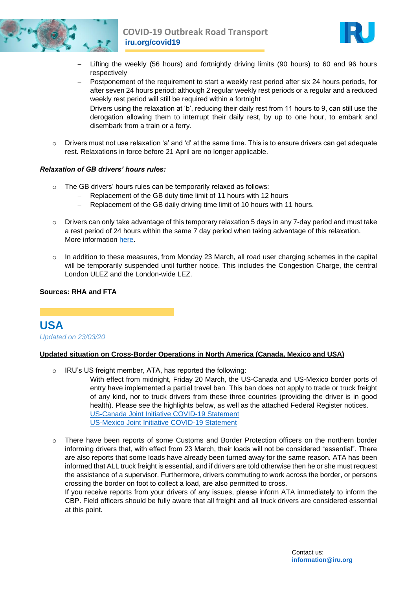



- Lifting the weekly (56 hours) and fortnightly driving limits (90 hours) to 60 and 96 hours respectively
- Postponement of the requirement to start a weekly rest period after six 24 hours periods, for after seven 24 hours period; although 2 regular weekly rest periods or a regular and a reduced weekly rest period will still be required within a fortnight
- Drivers using the relaxation at 'b', reducing their daily rest from 11 hours to 9, can still use the derogation allowing them to interrupt their daily rest, by up to one hour, to embark and disembark from a train or a ferry.
- Drivers must not use relaxation 'a' and 'd' at the same time. This is to ensure drivers can get adequate rest. Relaxations in force before 21 April are no longer applicable.

#### *Relaxation of GB drivers' hours rules:*

- o The GB drivers' hours rules can be temporarily relaxed as follows:
	- Replacement of the GB duty time limit of 11 hours with 12 hours
	- Replacement of the GB daily driving time limit of 10 hours with 11 hours.
- $\circ$  Drivers can only take advantage of this temporary relaxation 5 days in any 7-day period and must take a rest period of 24 hours within the same 7 day period when taking advantage of this relaxation. More information [here.](https://www.gov.uk/government/publications/temporary-relaxation-of-the-enforcement-of-the-drivers-hours-rules-all-sectors-carriage-of-goods-by-road/temporary-relaxation-of-the-enforcement-of-the-eu-and-gb-drivers-hours-rules-all-sectors-carriage-of-goods-by-road)
- $\circ$  In addition to these measures, from Monday 23 March, all road user charging schemes in the capital will be temporarily suspended until further notice. This includes the Congestion Charge, the central London ULEZ and the London-wide LEZ.

#### **Sources: RHA and FTA**

### **USA** *Updated on 23/03/20*

#### **Updated situation on Cross-Border Operations in North America (Canada, Mexico and USA)**

- o IRU's US freight member, ATA, has reported the following:
	- With effect from midnight, Friday 20 March, the US-Canada and US-Mexico border ports of entry have implemented a partial travel ban. This ban does not apply to trade or truck freight of any kind, nor to truck drivers from these three countries (providing the driver is in good health). Please see the highlights below, as well as the attached Federal Register notices. [US-Canada Joint Initiative COVID-19 Statement](https://www.dhs.gov/news/2020/03/20/joint-statement-us-canada-joint-initiative-temporary-restriction-travelers-crossing) [US-Mexico Joint Initiative COVID-19 Statement](https://www.dhs.gov/news/2020/03/20/joint-statement-us-mexico-joint-initiative-combat-covid-19-pandemic)
- o There have been reports of some Customs and Border Protection officers on the northern border informing drivers that, with effect from 23 March, their loads will not be considered "essential". There are also reports that some loads have already been turned away for the same reason. ATA has been informed that ALL truck freight is essential, and if drivers are told otherwise then he or she must request the assistance of a supervisor. Furthermore, drivers commuting to work across the border, or persons crossing the border on foot to collect a load, are also permitted to cross.

If you receive reports from your drivers of any issues, please inform ATA immediately to inform the CBP. Field officers should be fully aware that all freight and all truck drivers are considered essential at this point.